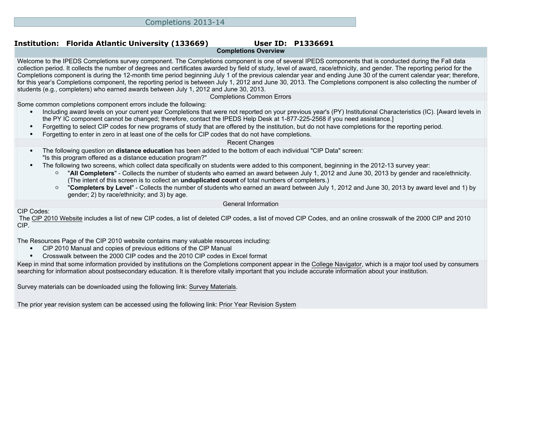# **Completions Overview**

Welcome to the IPEDS Completions survey component. The Completions component is one of several IPEDS components that is conducted during the Fall data collection period. It collects the number of degrees and certificates awarded by field of study, level of award, race/ethnicity, and gender. The reporting period for the Completions component is during the 12-month time period beginning July 1 of the previous calendar year and ending June 30 of the current calendar year; therefore, for this year's Completions component, the reporting period is between July 1, 2012 and June 30, 2013. The Completions component is also collecting the number of students (e.g., completers) who earned awards between July 1, 2012 and June 30, 2013.

Completions Common Errors

Some common completions component errors include the following:

- Including award levels on your current year Completions that were not reported on your previous year's (PY) Institutional Characteristics (IC). [Award levels in the PY IC component cannot be changed; therefore, contact the IPEDS Help Desk at 1-877-225-2568 if you need assistance.]
- Forgetting to select CIP codes for new programs of study that are offered by the institution, but do not have completions for the reporting period.
- Forgetting to enter in zero in at least one of the cells for CIP codes that do not have completions.

#### Recent Changes

- The following question on **distance education** has been added to the bottom of each individual "CIP Data" screen: "Is this program offered as a distance education program?"
- The following two screens, which collect data specifically on students were added to this component, beginning in the 2012-13 survey year:
	- "**All Completers**" Collects the number of students who earned an award between July 1, 2012 and June 30, 2013 by gender and race/ethnicity. (The intent of this screen is to collect an **unduplicated count** of total numbers of completers.)
	- "**Completers by Level**" Collects the number of students who earned an award between July 1, 2012 and June 30, 2013 by award level and 1) by gender; 2) by race/ethnicity; and 3) by age.

General Information

CIP Codes:

 The [CIP 2010 Website](http://nces.ed.gov/ipeds/cip2011) includes a list of new CIP codes, a list of deleted CIP codes, a list of moved CIP Codes, and an online crosswalk of the 2000 CIP and 2010 CIP.

The [Resources Page](http://nces.ed.gov/ipeds/cipcode/resources.aspx?y=55) of the CIP 2010 website contains many valuable resources including:

- CIP 2010 Manual and copies of previous editions of the CIP Manual
- Crosswalk between the 2000 CIP codes and the 2010 CIP codes in Excel format

Keep in mind that some information provided by institutions on the Completions component appear in the [College Navigator](http://collegenavigator.ed.gov), which is a major tool used by consumers searching for information about postsecondary education. It is therefore vitally important that you include accurate information about your institution.

Survey materials can be downloaded using the following link: [Survey Materials.](https://surveys.nces.ed.gov/ipeds/VisIndex.aspx)

The prior year revision system can be accessed using the following link: [Prior Year Revision System](https://surveys.nces.ed.gov/IPEDS/PriorYearDataRedirect.aspx?survey_id=10)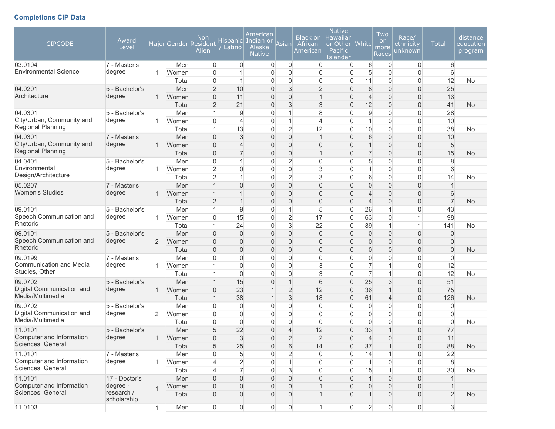# **Completions CIP Data**

| <b>CIPCODE</b>               | Award<br>Level            |                |       | <b>Non</b><br>Major Gender Resident<br>Alien | <b>Hispanic</b><br>Latino | American<br>Indian or<br>Alaska<br><b>Native</b> | Asian               | <b>Black or</b><br>African<br>American | <b>Native</b><br>Hawaiian<br>or Other<br>Pacific<br>Islander | <b>White</b>     | Two<br><b>or</b><br>more<br>Races | Race/<br>ethnicity<br>unknown | <b>Total</b>   | distance<br>education<br>program |
|------------------------------|---------------------------|----------------|-------|----------------------------------------------|---------------------------|--------------------------------------------------|---------------------|----------------------------------------|--------------------------------------------------------------|------------------|-----------------------------------|-------------------------------|----------------|----------------------------------|
| 03.0104                      | 7 - Master's              |                | Men   | $\overline{0}$                               | $\overline{0}$            | $\mathbf 0$                                      | $\overline{0}$      | 0                                      | $\mathbf 0$                                                  | 6                | $\overline{0}$                    | 0                             | 6              |                                  |
| <b>Environmental Science</b> | degree                    | $\mathbf{1}$   | Women | $\overline{0}$                               |                           | $\overline{0}$                                   | $\mathbf 0$         | 0                                      | $\overline{0}$                                               | 5                | 0                                 | $\overline{0}$                | 6              |                                  |
|                              |                           |                | Total | $\overline{0}$                               | 1                         | $\overline{0}$                                   | $\overline{0}$      | 0                                      | 0                                                            | 11               | 0                                 | $\mathbf 0$                   | 12             | <b>No</b>                        |
| 04.0201                      | 5 - Bachelor's            |                | Men   | $\overline{2}$                               | 10                        | $\overline{0}$                                   | $\mathfrak{S}$      | $\overline{2}$                         | $\mathbf{0}$                                                 | 8                | $\overline{0}$                    | $\mathbf 0$                   | 25             |                                  |
| Architecture                 | degree                    | $\mathbf{1}$   | Women | 0                                            | 11                        | $\overline{0}$                                   | $\overline{0}$      | $\mathbf 1$                            | $\Omega$                                                     | $\overline{4}$   | $\overline{0}$                    | $\overline{0}$                | 16             |                                  |
|                              |                           |                | Total | $\overline{2}$                               | 21                        | $\overline{0}$                                   | 3                   | 3                                      | $\mathbf{0}$                                                 | 12               | $\overline{0}$                    | $\mathbf 0$                   | 41             | <b>No</b>                        |
| 04.0301                      | 5 - Bachelor's            |                | Men   | 1                                            | 9                         | $\overline{0}$                                   | 1                   | 8                                      | $\Omega$                                                     | 9                | 0                                 | $\overline{0}$                | 28             |                                  |
| City/Urban, Community and    | degree                    | $\mathbf{1}$   | Women | $\overline{0}$                               | $\overline{4}$            | $\overline{0}$                                   | 1                   | 4                                      | $\Omega$                                                     | $\mathbf{1}$     | 0                                 | $\overline{0}$                | 10             |                                  |
| Regional Planning            |                           |                | Total | 1                                            | 13                        | $\overline{0}$                                   | $\overline{2}$      | 12                                     | $\overline{0}$                                               | 10               | 0                                 | $\overline{0}$                | 38             | No                               |
| 04.0301                      | 7 - Master's              |                | Men   | $\overline{0}$                               | 3                         | 0                                                | $\mathsf{O}\xspace$ | $\mathbf{1}$                           | $\mathbf{0}$                                                 | $\,$ 6 $\,$      | $\overline{0}$                    | $\overline{0}$                | 10             |                                  |
| City/Urban, Community and    | degree                    | $\mathbf{1}$   | Women | $\overline{0}$                               | $\overline{\mathcal{L}}$  | $\overline{0}$                                   | $\overline{0}$      | 0                                      | $\mathbf{0}$                                                 | $\mathbf{1}$     | $\overline{0}$                    | $\boldsymbol{0}$              | 5              |                                  |
| <b>Regional Planning</b>     |                           |                | Total | $\overline{0}$                               | $\overline{7}$            | 0                                                | $\mathbf 0$         | $\mathbf{1}$                           | $\mathbf{0}$                                                 | $\overline{7}$   | $\overline{0}$                    | $\mathbf 0$                   | 15             | <b>No</b>                        |
| 04.0401                      | 5 - Bachelor's            |                | Men   | $\overline{0}$                               | 1                         | $\overline{0}$                                   | $\overline{2}$      | 0                                      | $\Omega$                                                     | 5                | 0                                 | $\overline{0}$                | 8              |                                  |
| Environmental                | degree                    | $\mathbf{1}$   | Women | $\overline{2}$                               | 0                         | $\overline{0}$                                   | $\overline{0}$      | 3                                      | $\overline{0}$                                               | $\mathbf{1}$     | 0                                 | $\overline{0}$                | 6              |                                  |
| Design/Architecture          |                           |                | Total | $\overline{2}$                               | 1                         | $\overline{0}$                                   | $\overline{2}$      | 3                                      | $\mathbf 0$                                                  | 6                | 0                                 | $\overline{0}$                | 14             | <b>No</b>                        |
| 05.0207                      | 7 - Master's              |                | Men   | 1                                            | $\overline{0}$            | $\overline{0}$                                   | $\bf 0$             | $\overline{0}$                         | $\Omega$                                                     | $\overline{0}$   | $\overline{0}$                    | $\overline{0}$                | $\overline{1}$ |                                  |
| <b>Women's Studies</b>       | degree                    | $\mathbf 1$    | Women | 1                                            | 1                         | $\overline{0}$                                   | $\overline{0}$      | $\overline{0}$                         | $\Omega$                                                     | $\overline{4}$   | $\overline{0}$                    | $\overline{0}$                | 6              |                                  |
|                              |                           |                | Total | $\overline{2}$                               | 1                         | 0                                                | $\mathbf{0}$        | 0                                      | $\mathbf{0}$                                                 | $\overline{4}$   | 0                                 | $\overline{0}$                | $\overline{7}$ | No                               |
| 09.0101                      | 5 - Bachelor's            |                | Men   | 1                                            | 9                         | $\overline{0}$                                   | 1                   | 5                                      | $\Omega$                                                     | 26               | 1                                 | $\overline{0}$                | 43             |                                  |
| Speech Communication and     | degree                    | $\mathbf{1}$   | Women | 0                                            | 15                        | $\overline{0}$                                   | $\overline{2}$      | 17                                     | $\overline{0}$                                               | 63               | 0                                 | $\mathbf 1$                   | 98             |                                  |
| Rhetoric                     |                           |                | Total | 1                                            | 24                        | $\overline{0}$                                   | $\mathfrak{S}$      | 22                                     | $\overline{0}$                                               | 89               | $\mathbf{1}$                      | $\mathbf{1}$                  | 141            | <b>No</b>                        |
| 09.0101                      | 5 - Bachelor's            |                | Men   | $\overline{0}$                               | $\overline{0}$            | $\boldsymbol{0}$                                 | $\bf 0$             | $\mathbf 0$                            | $\mathbf{0}$                                                 | $\boldsymbol{0}$ | 0                                 | $\boldsymbol{0}$              | $\mathbf{0}$   |                                  |
| Speech Communication and     | degree                    | 2              | Women | $\overline{0}$                               | $\overline{0}$            | $\overline{0}$                                   | $\mathbf 0$         | $\overline{0}$                         | $\mathbf{0}$                                                 | $\overline{0}$   | $\overline{0}$                    | $\boldsymbol{0}$              | $\overline{0}$ |                                  |
| Rhetoric                     |                           |                | Total | $\overline{0}$                               | $\overline{0}$            | $\boldsymbol{0}$                                 | $\mathbf 0$         | 0                                      | $\mathbf{0}$                                                 | $\overline{0}$   | 0                                 | $\mathbf 0$                   | $\overline{0}$ | <b>No</b>                        |
| 09.0199                      | 7 - Master's              |                | Men   | 0                                            | 0                         | $\overline{0}$                                   | $\mathbf 0$         | 0                                      | $\Omega$                                                     | 0                | 0                                 | $\overline{0}$                | $\Omega$       |                                  |
| Communication and Media      | degree                    | $\mathbf{1}$   | Women |                                              | 0                         | $\overline{0}$                                   | $\overline{0}$      | 3                                      | 0                                                            | $\overline{7}$   | 1                                 | $\overline{0}$                | 12             |                                  |
| Studies, Other               |                           |                | Total | 1                                            | 0                         | $\overline{0}$                                   | $\overline{0}$      | 3                                      | $\overline{0}$                                               | $\overline{7}$   | 1                                 | $\mathbf 0$                   | 12             | <b>No</b>                        |
| 09.0702                      | 5 - Bachelor's            |                | Men   | 1                                            | 15                        | $\overline{0}$                                   | $\overline{1}$      | 6                                      | $\overline{0}$                                               | 25               | 3                                 | $\overline{0}$                | 51             |                                  |
| Digital Communication and    | degree                    | $\mathbf{1}$   | Women | 0                                            | 23                        | 1                                                | $\overline{2}$      | 12                                     | $\mathbf{0}$                                                 | 36               | 1                                 | $\mathbf 0$                   | 75             |                                  |
| Media/Multimedia             |                           |                | Total | 1                                            | 38                        | 1                                                | $\mathbf{3}$        | 18                                     | $\mathbf{0}$                                                 | 61               | 4                                 | $\overline{0}$                | 126            | <b>No</b>                        |
| 09.0702                      | 5 - Bachelor's            |                | Men   | $\mathbf{0}$                                 | 0                         | $\overline{0}$                                   | $\mathbf 0$         | $\mathbf 0$                            | $\Omega$                                                     | $\boldsymbol{0}$ | 0                                 | $\overline{0}$                | $\Omega$       |                                  |
| Digital Communication and    | degree                    | 2              | Women | $\mathbf 0$                                  | 0                         | $\overline{0}$                                   | $\overline{0}$      | 0                                      | $\overline{0}$                                               | 0                | 0                                 | $\overline{0}$                | 0              |                                  |
| Media/Multimedia             |                           |                | Total | 0                                            | $\boldsymbol{0}$          | $\overline{0}$                                   | $\overline{0}$      | 0                                      | $\overline{0}$                                               | $\overline{0}$   | 0                                 | $\boldsymbol{0}$              | $\overline{0}$ | No                               |
| 11.0101                      | 5 - Bachelor's            |                | Men   | 5                                            | 22                        | 0                                                | $\overline{4}$      | 12                                     | $\mathbf{0}$                                                 | 33               | 1                                 | $\mathbf 0$                   | 77             |                                  |
| Computer and Information     | degree                    | $\mathbf{1}$   | Women | $\Omega$                                     | 3                         | 0                                                | $\overline{2}$      | $\overline{2}$                         | $\Omega$                                                     | $\overline{4}$   | 0                                 | $\overline{0}$                | 11             |                                  |
| Sciences, General            |                           |                | Total | $\sqrt{5}$                                   | 25                        | $\boldsymbol{0}$                                 | $\,$ 6 $\,$         | 14                                     | $\overline{0}$                                               | 37               | $\mathbf{1}$                      | $\mathbf 0$                   | 88             | <b>No</b>                        |
| 11.0101                      | 7 - Master's              |                | Men   | 0                                            | 5                         | 0                                                | $\overline{2}$      | 0                                      | $\overline{0}$                                               | 14               | 1                                 | $\overline{0}$                | 22             |                                  |
| Computer and Information     | degree                    | $\mathbf{1}$   | Women | 4                                            | $\overline{2}$            | $\boldsymbol{0}$                                 | $\mathbf{1}$        | 0                                      | $\overline{0}$                                               | $\mathbf{1}$     | $\mathsf{O}\xspace$               | $\boldsymbol{0}$              | $\,8\,$        |                                  |
| Sciences, General            |                           |                | Total | 4                                            | $\overline{7}$            | $\overline{0}$                                   | $\sqrt{3}$          | 0                                      | $\overline{0}$                                               | 15               | $\mathbf{1}$                      | $\boldsymbol{0}$              | 30             | No                               |
| 11.0101                      | 17 - Doctor's             |                | Men   | $\overline{0}$                               | $\overline{0}$            | $\overline{0}$                                   | $\bf 0$             | $\overline{0}$                         | $\overline{0}$                                               | $\mathbf{1}$     | $\boldsymbol{0}$                  | $\overline{0}$                |                |                                  |
| Computer and Information     | degree -                  | $\overline{1}$ | Women | $\overline{0}$                               | $\overline{0}$            | $\overline{0}$                                   | $\mathbf 0$         | 1                                      | $\overline{0}$                                               | 0                | $\overline{0}$                    | $\boldsymbol{0}$              |                |                                  |
| Sciences, General            | research /<br>scholarship |                | Total | $\Omega$                                     | 0                         | $\overline{0}$                                   | $\Omega$            | 1                                      | $\Omega$                                                     |                  | 0                                 | $\boldsymbol{0}$              | $\overline{2}$ | <b>No</b>                        |
| 11.0103                      |                           | $\mathbf{1}$   | Men   | 0                                            | 0                         | $\overline{0}$                                   | $\boldsymbol{0}$    | $\mathbf{1}$                           | $\overline{0}$                                               | $\overline{2}$   | $\boldsymbol{0}$                  | $\mathsf{O}\xspace$           | 3              |                                  |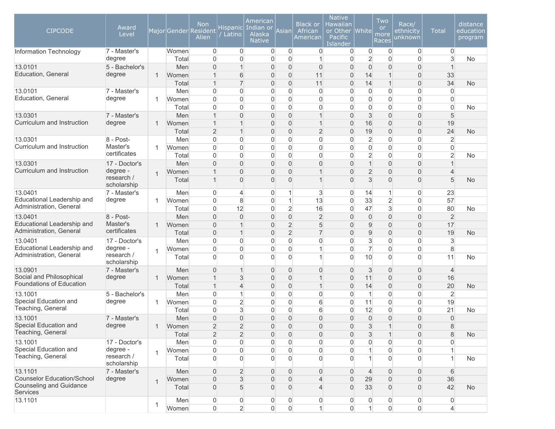| <b>CIPCODE</b>                                        | Award<br>Level            |              |              | <b>Non</b><br>Major Gender Resident<br>Alien | <b>Hispanic</b><br>Latino        | American<br>  Indian or<br>Alaska<br><b>Native</b> | Asian                            | <b>Black</b> or<br>African<br>American | <b>Native</b><br>Hawaiian<br>or Other   White<br>Pacific<br><b>Islander</b> |                                | Two<br><b>or</b><br>more<br>Races | Race/<br>ethnicity<br>unknown    | <b>Total</b>   | distance<br>education<br>program |
|-------------------------------------------------------|---------------------------|--------------|--------------|----------------------------------------------|----------------------------------|----------------------------------------------------|----------------------------------|----------------------------------------|-----------------------------------------------------------------------------|--------------------------------|-----------------------------------|----------------------------------|----------------|----------------------------------|
| Information Technology                                | 7 - Master's              |              | Women        | $\overline{0}$                               | $\overline{0}$                   | $\overline{0}$                                     | $\overline{0}$                   | $\overline{0}$                         | $\overline{0}$                                                              | $\overline{0}$                 | $\mathbf 0$                       | $\overline{0}$                   | $\overline{0}$ |                                  |
|                                                       | degree                    |              | Total        | $\overline{0}$                               | 0                                | $\overline{0}$                                     | $\overline{0}$                   | 1                                      | $\overline{0}$                                                              | $\overline{2}$                 | $\mathbf 0$                       | $\overline{0}$                   | 3              | No                               |
| 13.0101                                               | 5 - Bachelor's            |              | Men          | $\overline{0}$                               | 1                                | $\overline{0}$                                     | $\overline{0}$                   | $\overline{0}$                         | $\Omega$                                                                    | $\overline{0}$                 | 0                                 | $\overline{0}$                   |                |                                  |
| Education, General                                    | degree                    | $\mathbf{1}$ | Women        | 1                                            | 6                                | $\overline{0}$                                     | $\overline{0}$                   | 11                                     | $\overline{0}$                                                              | 14                             | 1                                 | $\overline{0}$                   | 33             |                                  |
|                                                       |                           |              | Total        | $\mathbf 1$                                  | $\overline{7}$                   | $\boldsymbol{0}$                                   | $\mathbf 0$                      | 11                                     | $\boldsymbol{0}$                                                            | 14                             | $\mathbf{1}$                      | $\boldsymbol{0}$                 | 34             | <b>No</b>                        |
| 13.0101<br>Education, General                         | 7 - Master's              |              | Men          | $\mathbf{0}$                                 | 0                                | 0                                                  | $\mathbf 0$                      | $\mathbf 0$                            | $\overline{0}$                                                              | $\overline{0}$                 | 0                                 | $\overline{0}$                   | $\overline{0}$ |                                  |
|                                                       | degree                    | -1           | Women        | $\Omega$<br>$\overline{0}$                   | 0                                | $\overline{0}$                                     | $\mathbf 0$                      | $\overline{0}$                         | $\Omega$<br>$\Omega$                                                        | $\overline{0}$                 | 0                                 | $\overline{0}$                   | $\overline{0}$ |                                  |
|                                                       | 7 - Master's              |              | Total        |                                              | 0<br>$\overline{0}$              | $\overline{0}$<br>$\overline{0}$                   | $\overline{0}$<br>$\overline{0}$ | 0<br>$\mathbf 1$                       | $\Omega$                                                                    | $\overline{0}$<br>$\mathbf{3}$ | $\mathbf 0$<br>$\overline{0}$     | $\overline{0}$<br>$\overline{0}$ | $\mathbf 0$    | No                               |
| 13.0301<br>Curriculum and Instruction                 | degree                    | $\mathbf{1}$ | Men<br>Women |                                              | 1                                | $\overline{0}$                                     | $\overline{0}$                   | 1                                      | $\mathbf{0}$                                                                | 16                             | $\overline{0}$                    | $\overline{0}$                   | 5<br>19        |                                  |
|                                                       |                           |              | Total        | $\overline{2}$                               | $\mathbf 1$                      | $\boldsymbol{0}$                                   | $\bf 0$                          | $\overline{c}$                         | $\boldsymbol{0}$                                                            | 19                             | 0                                 | $\boldsymbol{0}$                 | 24             | <b>No</b>                        |
| 13.0301                                               | 8 - Post-                 |              | Men          | $\mathbf 0$                                  | 0                                | 0                                                  | $\mathbf 0$                      | $\mathbf 0$                            | $\boldsymbol{0}$                                                            | $\overline{2}$                 | 0                                 | $\boldsymbol{0}$                 | $\overline{2}$ |                                  |
| Curriculum and Instruction                            | Master's                  | $\mathbf{1}$ | Women        | $\overline{0}$                               | 0                                | $\overline{0}$                                     | $\mathbf 0$                      | 0                                      | $\overline{0}$                                                              | $\overline{0}$                 | 0                                 | $\overline{0}$                   | 0              |                                  |
|                                                       | certificates              |              | Total        | $\mathbf 0$                                  | 0                                | $\overline{0}$                                     | $\mathbf 0$                      | 0                                      | $\overline{0}$                                                              | $\overline{2}$                 | 0                                 | $\boldsymbol{0}$                 | $\overline{2}$ | No                               |
| 13.0301                                               | 17 - Doctor's             |              | Men          | $\overline{0}$                               | $\overline{0}$                   | $\overline{0}$                                     | $\overline{0}$                   | $\overline{0}$                         | $\Omega$                                                                    | $\mathbf{1}$                   | $\overline{0}$                    | $\overline{0}$                   |                |                                  |
| Curriculum and Instruction                            | degree -                  |              | Women        | 1                                            | 0                                | 0                                                  | $\mathbf{0}$                     | 1                                      | 0                                                                           | $\overline{2}$                 | 0                                 | $\overline{0}$                   | 4              |                                  |
|                                                       | research /<br>scholarship | $\mathbf{1}$ | Total        |                                              | 0                                | 0                                                  | $\mathbf{0}$                     | 1                                      | 0                                                                           | 3                              | 0                                 | $\overline{0}$                   | 5              | <b>No</b>                        |
| 13.0401                                               | 7 - Master's              |              | Men          | $\mathbf 0$                                  | 4                                | 0                                                  | $\overline{1}$                   | 3                                      | $\overline{0}$                                                              | 14                             | 1                                 | 0                                | 23             |                                  |
| Educational Leadership and                            | degree                    | -1           | Women        | $\overline{0}$                               | 8                                | $\overline{0}$                                     | $\mathbf{1}$                     | 13                                     | $\overline{0}$                                                              | 33                             | $\overline{c}$                    | $\boldsymbol{0}$                 | 57             |                                  |
| Administration, General                               |                           |              | Total        | $\Omega$                                     | 12                               | $\overline{0}$                                     | $\overline{2}$                   | 16                                     | $\overline{0}$                                                              | 47                             | 3                                 | $\overline{0}$                   | 80             | <b>No</b>                        |
| 13.0401                                               | 8 - Post-                 |              | Men          | $\overline{0}$                               | $\overline{0}$                   | $\overline{0}$                                     | $\bf 0$                          | $\overline{2}$                         | $\overline{0}$                                                              | $\boldsymbol{0}$               | $\overline{0}$                    | $\overline{0}$                   | $\overline{2}$ |                                  |
| Educational Leadership and                            | Master's                  | $\mathbf{1}$ | Women        | 0                                            | 1                                | 0                                                  | $\overline{2}$                   | 5                                      | $\mathbf{0}$                                                                | 9                              | $\overline{0}$                    | $\mathbf 0$                      | 17             |                                  |
| Administration, General                               | certificates              |              | Total        | $\Omega$                                     | $\overline{1}$                   | $\overline{0}$                                     | $\overline{2}$                   | $\overline{7}$                         | $\overline{0}$                                                              | 9                              | $\overline{0}$                    | $\overline{0}$                   | 19             | <b>No</b>                        |
| 13.0401                                               | 17 - Doctor's             |              | Men          | $\overline{0}$                               | 0                                | $\overline{0}$                                     | $\overline{0}$                   | 0                                      | $\overline{0}$                                                              | $\mathbf{3}$                   | 0                                 | $\overline{0}$                   | 3              |                                  |
| Educational Leadership and<br>Administration, General | degree -<br>research /    | $\mathbf{1}$ | Women        | 0                                            | 0                                | 0                                                  | $\mathsf{O}\xspace$              | 1                                      | $\overline{0}$                                                              | $\overline{7}$                 | $\mathsf{O}\xspace$               | $\boldsymbol{0}$                 | 8              |                                  |
|                                                       | scholarship               |              | Total        | $\Omega$                                     | $\overline{0}$                   | $\overline{0}$                                     | $\overline{0}$                   | 1                                      | $\Omega$                                                                    | 10 <sup>1</sup>                | 0                                 | $\Omega$                         | 11             | <b>No</b>                        |
| 13.0901                                               | 7 - Master's              |              | Men          | $\overline{0}$                               | 1                                | $\overline{0}$                                     | $\bf 0$                          | $\mathbf 0$                            | $\mathbf{0}$                                                                | 3                              | $\boldsymbol{0}$                  | $\overline{0}$                   | $\overline{4}$ |                                  |
| Social and Philosophical<br>Foundations of Education  | degree                    | $\mathbf{1}$ | Women        | 1                                            | 3                                | $\overline{0}$                                     | $\bf 0$                          | $\mathbf 1$                            | $\overline{0}$                                                              | 11                             | 0                                 | $\boldsymbol{0}$                 | 16             |                                  |
|                                                       |                           |              | Total        |                                              | 4                                | $\boldsymbol{0}$                                   | $\mathbf 0$                      | $\mathbf{1}$                           | $\mathbf{0}$                                                                | 14                             | $\overline{0}$                    | $\mathbf 0$                      | 20             | <b>No</b>                        |
| 13.1001                                               | 5 - Bachelor's            |              | Men          | $\overline{0}$                               | 1                                | $\overline{0}$                                     | $\overline{0}$                   | 0                                      | $\Omega$                                                                    | $\mathbf 1$                    | 0                                 | $\overline{0}$                   | $\overline{2}$ |                                  |
| Special Education and<br>Teaching, General            | degree                    | $\mathbf{1}$ | Women        | $\overline{0}$                               | $\overline{2}$                   | $\overline{0}$                                     | $\overline{0}$                   | 6                                      | $\Omega$                                                                    | 11                             | 0                                 | $\overline{0}$                   | 19             |                                  |
|                                                       |                           |              | Total        | 0                                            | 3                                | $\overline{0}$                                     | $\overline{0}$                   | 6                                      | 0                                                                           | 12                             | 0                                 | $\overline{0}$                   | 21             | <b>No</b>                        |
| 13.1001<br>Special Education and                      | 7 - Master's              |              | Men          | $\overline{0}$<br>$\mathcal{P}$              | $\overline{0}$<br>$\mathfrak{D}$ | $\overline{0}$                                     | $\overline{0}$                   | $\overline{0}$<br>$\Omega$             | $\Omega$<br>$\Omega$                                                        | $\overline{0}$                 | $\overline{0}$<br>$\overline{1}$  | $\overline{0}$<br>$\Omega$       | $\overline{0}$ |                                  |
| Teaching, General                                     | degree                    | $\mathbf{1}$ | Women        |                                              | $\overline{2}$                   | $\Omega$<br>$\overline{0}$                         | $\Omega$                         | $\overline{0}$                         | $\overline{0}$                                                              | 3                              | $\mathbf{1}$                      | $\overline{0}$                   | 8              |                                  |
| 13.1001                                               | 17 - Doctor's             |              | Total<br>Men | $\overline{2}$<br>$\Omega$                   | $\overline{0}$                   | $\overline{0}$                                     | $\bf 0$<br>$\overline{0}$        | 0                                      | $\Omega$                                                                    | 3<br>$\overline{0}$            | $\overline{0}$                    | $\overline{0}$                   | 8<br>$\Omega$  | <b>No</b>                        |
| Special Education and                                 | degree -                  |              | Women        | $\Omega$                                     | 0                                | $\overline{0}$                                     | $\overline{0}$                   | $\mathbf 0$                            | $\overline{0}$                                                              | $\mathbf{1}$                   | 0                                 | $\overline{0}$                   |                |                                  |
| Teaching, General                                     | research /<br>scholarship | $\mathbf{1}$ | Total        | $\Omega$                                     | $\overline{0}$                   | $\overline{0}$                                     | $\Omega$                         | 0                                      | $\Omega$                                                                    |                                | 0                                 | $\overline{0}$                   |                | No                               |
| 13.1101                                               | 7 - Master's              |              | Men          | $\overline{0}$                               | $\overline{c}$                   | $\overline{0}$                                     | $\mathbf{0}$                     | $\mathbf 0$                            | $\mathbf{0}$                                                                | $\overline{4}$                 | $\mathbf{0}$                      | $\overline{0}$                   | 6              |                                  |
| <b>Counselor Education/School</b>                     | degree                    | $\mathbf{1}$ | Women        | $\overline{0}$                               | 3                                | $\boldsymbol{0}$                                   | $\overline{0}$                   | $\overline{\mathcal{L}}$               | $\overline{0}$                                                              | 29                             | 0                                 | $\boldsymbol{0}$                 | 36             |                                  |
| Counseling and Guidance<br><b>Services</b>            |                           |              | Total        | 0                                            | 5                                | $\overline{0}$                                     | $\mathbf{0}$                     | $\overline{4}$                         | $\overline{0}$                                                              | 33                             | $\overline{0}$                    | $\overline{0}$                   | 42             | <b>No</b>                        |
| 13.1101                                               |                           |              | Men          | 0                                            | 0                                | $\mathbf 0$                                        | $\overline{0}$                   | 0                                      | $\mathbf{0}$                                                                | 0                              | 0                                 | $\boldsymbol{0}$                 | $\overline{0}$ |                                  |
|                                                       |                           | $\mathbf{1}$ | Women        | $\Omega$                                     | $\overline{2}$                   | $\overline{0}$                                     | $\overline{0}$                   | $\mathbf{1}$                           | $\Omega$                                                                    | $\mathbf{1}$                   | $\overline{0}$                    | $\mathsf{O}\xspace$              | $\overline{4}$ |                                  |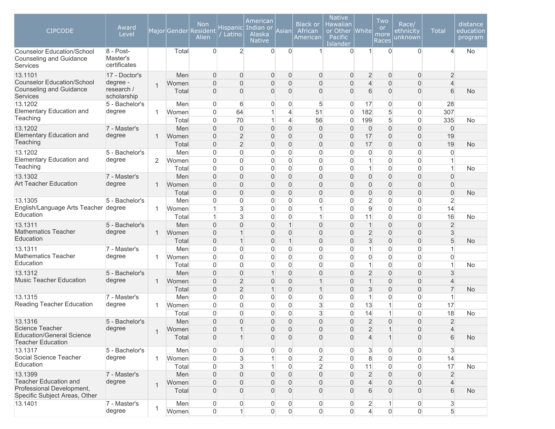| <b>CIPCODE</b>                                                                  | Award<br>Level                        |                |                | <b>Non</b><br>Major Gender Resident<br>Alien | <b>Hispanic</b><br>Latino        | American<br>Indian or<br>Alaska<br><b>Native</b> | Asian                            | <b>Black or</b><br>African<br>American  | <b>Native</b><br>Hawaiian<br>or Other<br>Pacific<br>Islander | White                            | Two<br><b>or</b><br>more<br>Races | Race/<br>ethnicity<br>unknown           | <b>Total</b>                  | distance<br>education<br>program |
|---------------------------------------------------------------------------------|---------------------------------------|----------------|----------------|----------------------------------------------|----------------------------------|--------------------------------------------------|----------------------------------|-----------------------------------------|--------------------------------------------------------------|----------------------------------|-----------------------------------|-----------------------------------------|-------------------------------|----------------------------------|
| <b>Counselor Education/School</b><br>Counseling and Guidance<br>Services        | 8 - Post-<br>Master's<br>certificates |                | Total          | $\overline{0}$                               | $\overline{2}$                   | $\overline{0}$                                   | $\overline{0}$                   | $\mathbf{1}$                            | $\Omega$                                                     | $\mathbf{1}$                     | $\Omega$                          | $\Omega$                                | 4                             | No                               |
| 13.1101                                                                         | 17 - Doctor's                         |                | Men            | $\overline{0}$                               | 0                                | $\boldsymbol{0}$                                 | $\overline{0}$                   | $\mathbf 0$                             | $\mathbf{0}$                                                 | $\overline{2}$                   | $\overline{0}$                    | $\overline{0}$                          | $\overline{c}$                |                                  |
| <b>Counselor Education/School</b>                                               | degree -                              | $\overline{1}$ | Women          | $\mathbf{0}$                                 | 0                                | 0                                                | $\overline{0}$                   | $\overline{0}$                          | 0                                                            | $\overline{4}$                   | $\overline{0}$                    | $\overline{0}$                          | $\overline{\mathcal{L}}$      |                                  |
| <b>Counseling and Guidance</b><br><b>Services</b>                               | research /<br>scholarship             |                | Total          | $\Omega$                                     | $\overline{0}$                   | 0                                                | $\mathbf 0$                      | 0                                       | $\Omega$                                                     | 6                                | $\overline{0}$                    | $\overline{0}$                          | 6                             | <b>No</b>                        |
| 13.1202                                                                         | 5 - Bachelor's                        |                | Men            | $\Omega$                                     | 6                                | 0                                                | $\overline{0}$                   | 5                                       | $\Omega$                                                     | 17                               | $\overline{0}$                    | $\overline{0}$                          | 28                            |                                  |
| <b>Elementary Education and</b>                                                 | degree                                | 1              | Women          | $\Omega$                                     | 64                               |                                                  | $\overline{4}$                   | 51                                      | $\Omega$                                                     | 182                              | 5                                 | $\overline{0}$                          | 307                           |                                  |
| Teaching                                                                        |                                       |                | Total          | $\Omega$                                     | 70                               |                                                  | $\overline{4}$                   | 56                                      | $\Omega$                                                     | 199                              | 5                                 | $\overline{0}$                          | 335                           | No                               |
| 13.1202<br><b>Elementary Education and</b>                                      | 7 - Master's                          |                | Men            | $\mathbf{0}$                                 | $\mathsf{O}\xspace$              | $\overline{0}$                                   | $\overline{0}$                   | $\mathbf 0$                             | $\mathbf{0}$                                                 | $\mathbf 0$                      | $\overline{0}$                    | $\overline{0}$                          | $\overline{0}$                |                                  |
| Teaching                                                                        | degree                                | 1              | Women          | $\mathbf{0}$                                 | $\overline{2}$                   | $\overline{0}$                                   | $\overline{0}$                   | $\mathbf 0$                             | $\overline{0}$                                               | 17                               | 0                                 | $\boldsymbol{0}$                        | 19                            |                                  |
|                                                                                 |                                       |                | Total          | $\overline{0}$                               | $\overline{2}$                   | $\overline{0}$                                   | $\overline{0}$                   | $\overline{0}$                          | $\mathbf{0}$                                                 | 17                               | $\overline{0}$                    | $\overline{0}$                          | 19                            | <b>No</b>                        |
| 13.1202<br>Elementary Education and                                             | 5 - Bachelor's<br>degree              |                | Men            | $\mathbf{0}$<br>$\overline{0}$               | $\overline{0}$<br>$\overline{0}$ | 0<br>0                                           | $\mathbf 0$<br>$\mathbf 0$       | $\overline{0}$<br>$\overline{0}$        | $\mathbf 0$                                                  | $\overline{0}$<br>$\mathbf{1}$   | $\overline{0}$<br>$\overline{0}$  | $\overline{0}$<br>$\overline{0}$        | 0                             |                                  |
| Teaching                                                                        |                                       | 2              | Women<br>Total | $\overline{0}$                               | $\overline{0}$                   | 0                                                | $\mathbf{0}$                     | $\overline{0}$                          | 0<br>0                                                       | $\mathbf{1}$                     | $\overline{0}$                    | $\overline{0}$                          | 1                             | <b>No</b>                        |
| 13.1302                                                                         | 7 - Master's                          |                | Men            | $\Omega$                                     | $\overline{0}$                   | $\overline{0}$                                   | $\overline{0}$                   | $\overline{0}$                          | 0                                                            | $\boldsymbol{0}$                 | $\overline{0}$                    | $\overline{0}$                          | $\overline{0}$                |                                  |
| <b>Art Teacher Education</b>                                                    | degree                                | 1              | Women          | $\mathbf{0}$                                 | 0                                | $\overline{0}$                                   | $\mathbf 0$                      | $\boldsymbol{0}$                        | $\overline{0}$                                               | $\boldsymbol{0}$                 | 0                                 | $\overline{0}$                          | $\overline{0}$                |                                  |
|                                                                                 |                                       |                | Total          | $\mathbf{0}$                                 | 0                                | $\overline{0}$                                   | $\overline{0}$                   | $\overline{0}$                          | $\Omega$                                                     | $\overline{0}$                   | $\overline{0}$                    | $\overline{0}$                          | $\overline{0}$                | <b>No</b>                        |
| 13.1305                                                                         | 5 - Bachelor's                        |                | Men            | $\Omega$                                     | $\overline{0}$                   | 0                                                | $\mathbf 0$                      | $\overline{0}$                          | $\Omega$                                                     | $\overline{2}$                   | $\overline{0}$                    | $\overline{0}$                          | $\overline{2}$                |                                  |
| English/Language Arts Teacher degree                                            |                                       | 1              | Women          |                                              | 3                                | 0                                                | $\mathbf 0$                      | $\mathbf{1}$                            | $\Omega$                                                     | $\overline{9}$                   | $\overline{0}$                    | $\overline{0}$                          | 14                            |                                  |
| Education                                                                       |                                       |                | Total          | $\overline{1}$                               | 3                                | 0                                                | $\mathbf 0$                      | $\mathbf{1}$                            | $\Omega$                                                     | 11                               | $\overline{0}$                    | $\overline{0}$                          | 16                            | <b>No</b>                        |
| 13.1311                                                                         | 5 - Bachelor's                        |                | Men            | $\overline{0}$                               | 0                                | $\overline{0}$                                   | $\overline{1}$                   | $\mathsf{O}\xspace$                     | $\mathbf{0}$                                                 | $\mathbf{1}$                     | $\overline{0}$                    | $\overline{0}$                          | $\overline{2}$                |                                  |
| <b>Mathematics Teacher</b>                                                      | degree                                | 1              | Women          | $\overline{0}$                               | $\mathbf{1}$                     | $\overline{0}$                                   | $\mathbf 0$                      | $\boldsymbol{0}$                        | $\overline{0}$                                               | $\overline{2}$                   | 0                                 | $\boldsymbol{0}$                        | $\mathsf 3$                   |                                  |
| Education                                                                       |                                       |                | Total          | $\overline{0}$                               | $\mathbf{1}$                     | $\overline{0}$                                   | $\overline{1}$                   | $\overline{0}$                          | $\overline{0}$                                               | 3                                | $\overline{0}$                    | $\overline{0}$                          | 5                             | No                               |
| 13.1311                                                                         | 7 - Master's                          |                | Men            | 0                                            | 0                                | 0                                                | 0                                | $\overline{0}$                          | 0                                                            | $\mathbf{1}$                     | $\overline{0}$                    | $\overline{0}$                          |                               |                                  |
| <b>Mathematics Teacher</b>                                                      | degree                                | 1              | Women          | $\Omega$                                     | $\mathbf 0$                      | 0                                                | $\mathbf 0$                      | $\mathbf 0$                             | $\Omega$                                                     | $\overline{0}$                   | $\overline{0}$                    | $\overline{0}$                          | $\overline{0}$                |                                  |
| Education                                                                       |                                       |                | Total          | $\overline{0}$                               | $\overline{0}$                   | 0                                                | $\mathbf 0$                      | $\overline{0}$                          | $\overline{0}$                                               | $\mathbf{1}$                     | $\overline{0}$                    | $\overline{0}$                          |                               | <b>No</b>                        |
| 13.1312                                                                         | 5 - Bachelor's                        |                | Men            | $\Omega$                                     | 0                                |                                                  | $\overline{0}$                   | $\overline{0}$                          | $\overline{0}$                                               | $\overline{2}$                   | $\overline{0}$                    | $\overline{0}$                          | 3                             |                                  |
| <b>Music Teacher Education</b>                                                  | degree                                | 1              | Women          | $\mathbf{0}$                                 | $\overline{2}$                   | $\overline{0}$                                   | $\overline{0}$                   | $\mathbf 1$                             | $\Omega$                                                     | $\mathbf{1}$                     | 0                                 | $\overline{0}$                          | 4                             |                                  |
|                                                                                 |                                       |                | Total          | 0                                            | $\overline{2}$                   |                                                  | $\mathbf 0$                      | 1                                       | $\Omega$                                                     | 3                                | $\overline{0}$                    | $\overline{0}$                          | $\overline{7}$                | No                               |
| 13.1315                                                                         | 7 - Master's                          |                | Men            | $\Omega$                                     | 0                                | 0                                                | $\mathbf 0$                      | $\overline{0}$                          | $\Omega$                                                     | $\mathbf{1}$                     | $\overline{0}$                    | $\overline{0}$                          |                               |                                  |
| Reading Teacher Education                                                       | degree                                | 1              | Women          | $\Omega$                                     | $\overline{0}$                   | $\Omega$                                         | $\Omega$                         | $\mathbf{3}$                            | $\Omega$                                                     | 13                               | 1                                 | $\overline{0}$                          | 17                            |                                  |
|                                                                                 |                                       |                | Total          | $\mathbf{0}$                                 | $\overline{0}$                   | $\overline{0}$                                   | $\mathbf 0$                      | 3                                       | $\overline{0}$                                               | 14                               | $\mathbf{1}$                      | $\overline{0}$                          | 18                            | No                               |
| 13.1316                                                                         | 5 - Bachelor's                        |                | Men            | 0                                            | $\overline{0}$                   | $\overline{0}$                                   | $\overline{0}$                   | $\mathsf{O}\xspace$                     | $\boldsymbol{0}$                                             | $\overline{2}$                   | 0                                 | $\boldsymbol{0}$                        | $\overline{2}$                |                                  |
| Science Teacher<br><b>Education/General Science</b><br><b>Teacher Education</b> | degree                                | $\mathbf 1$    | Women<br>Total | $\boldsymbol{0}$<br>$\overline{0}$           | $\mathbf{1}$<br>$\mathbf{1}$     | $\mathsf{O}\xspace$<br>0                         | $\overline{0}$<br>$\overline{0}$ | $\mathsf{O}\xspace$<br>$\boldsymbol{0}$ | $\boldsymbol{0}$<br>$\overline{0}$                           | $\overline{2}$<br>$\overline{4}$ | $\overline{1}$<br>$\mathbf{1}$    | $\mathsf{O}\xspace$<br>$\boldsymbol{0}$ | $\overline{\mathcal{L}}$<br>6 | <b>No</b>                        |
| 13.1317                                                                         | 5 - Bachelor's                        |                | Men            | $\overline{0}$                               | 0                                | 0                                                | $\overline{0}$                   | $\mathbf 0$                             | $\mathbf{0}$                                                 | 3                                | $\mathbf{0}$                      | 0                                       | $\mathbf{3}$                  |                                  |
| Social Science Teacher                                                          | degree                                | 1              | Women          | $\overline{0}$                               | 3                                |                                                  | $\mathbf 0$                      | $\overline{2}$                          | 0                                                            | 8                                | $\overline{0}$                    | $\boldsymbol{0}$                        | 14                            |                                  |
| Education                                                                       |                                       |                | Total          | $\overline{0}$                               | 3                                |                                                  | $\mathbf 0$                      | $\overline{2}$                          | $\overline{0}$                                               | 11                               | $\overline{0}$                    | $\boldsymbol{0}$                        | 17                            | <b>No</b>                        |
| 13.1399                                                                         | 7 - Master's                          |                | Men            | $\overline{0}$                               | 0                                | 0                                                | $\Omega$                         | $\mathsf{O}\xspace$                     | $\Omega$                                                     | $\overline{2}$                   | $\overline{0}$                    | $\overline{0}$                          | $\overline{2}$                |                                  |
| <b>Teacher Education and</b>                                                    | degree                                |                | Women          | $\Omega$                                     | 0                                | 0                                                | $\mathbf{0}$                     | $\boldsymbol{0}$                        | $\overline{0}$                                               | $\overline{4}$                   | 0                                 | $\boldsymbol{0}$                        | 4                             |                                  |
| Professional Development,<br>Specific Subject Areas, Other                      |                                       | $\mathbf{1}$   | Total          | $\overline{0}$                               | 0                                | 0                                                | $\mathbf{0}$                     | $\mathbf{0}$                            | $\Omega$                                                     | 6                                | 0                                 | $\mathbf{0}$                            | 6                             | <b>No</b>                        |
| 13.1401                                                                         | 7 - Master's                          |                | Men            | $\mathbf 0$                                  | 0                                | $\mathbf 0$                                      | $\overline{0}$                   | $\mathbf 0$                             | 0                                                            | $\overline{c}$                   | 1                                 | 0                                       | 3                             |                                  |
|                                                                                 | degree                                | $\mathbf 1$    | Women          | $\overline{0}$                               | $\mathbf{1}$                     | $\overline{0}$                                   | $\overline{0}$                   | $\mathsf{O}\xspace$                     | $\mathbf 0$                                                  | $\overline{4}$                   | $\boldsymbol{0}$                  | $\mathsf{O}\xspace$                     | $5\overline{)}$               |                                  |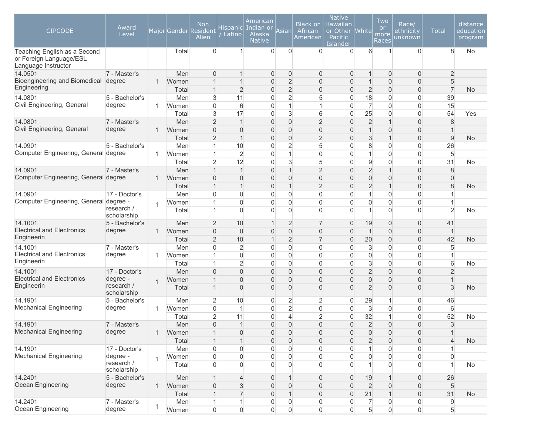| <b>CIPCODE</b>                                                                 | Award<br>Level            |                |              | <b>Non</b><br>Major Gender Resident<br>Alien | <b>Hispanic</b><br>Latino | American<br>Indian or<br>Alaska<br><b>Native</b> | Asianl                           | <b>Black or</b><br>African<br>American | <b>Native</b><br>Hawaiian<br>or Other   White<br>Pacific<br>Islander |                  | Two<br><b>or</b><br>more<br>Races | Race/<br>ethnicity<br>unknown    | <b>Total</b>             | distance<br>education<br>program |
|--------------------------------------------------------------------------------|---------------------------|----------------|--------------|----------------------------------------------|---------------------------|--------------------------------------------------|----------------------------------|----------------------------------------|----------------------------------------------------------------------|------------------|-----------------------------------|----------------------------------|--------------------------|----------------------------------|
| Teaching English as a Second<br>or Foreign Language/ESL<br>Language Instructor |                           |                | Total        | $\Omega$                                     | $\mathbf{1}$              | $\overline{0}$                                   | $\Omega$                         | $\Omega$                               | $\Omega$                                                             | 6                | $\mathbf{1}$                      | $\Omega$                         | 8                        | <b>No</b>                        |
| 14.0501                                                                        | 7 - Master's              |                | Men          | $\mathbf{0}$                                 | 1                         | $\overline{0}$                                   | $\bf 0$                          | $\mathbf 0$                            | $\overline{0}$                                                       | $\mathbf{1}$     | $\mathbf 0$                       | 0                                | $\overline{c}$           |                                  |
| Bioengineering and Biomedical                                                  | degree                    | -1             | Women        | 1                                            | $\mathbf{1}$              | $\boldsymbol{0}$                                 | $\overline{2}$                   | $\boldsymbol{0}$                       | $\overline{0}$                                                       | $\mathbf{1}$     | $\boldsymbol{0}$                  | $\overline{0}$                   | $\sqrt{5}$               |                                  |
| Engineering                                                                    |                           |                | Total        | $\mathbf 1$                                  | $\overline{c}$            | $\boldsymbol{0}$                                 | $\overline{2}$                   | 0                                      | $\mathbf{0}$                                                         | $\overline{c}$   | $\overline{0}$                    | $\boldsymbol{0}$                 | $\overline{7}$           | <b>No</b>                        |
| 14.0801                                                                        | 5 - Bachelor's            |                | Men          | 3                                            | 11                        | 0                                                | $\overline{2}$                   | 5                                      | $\mathbf 0$                                                          | 18               | $\overline{0}$                    | $\mathbf 0$                      | 39                       |                                  |
| Civil Engineering, General                                                     | degree                    | $\mathbf 1$    | Women        | $\overline{0}$                               | 6                         | $\overline{0}$                                   | $\mathbf{1}$                     | $\mathbf{1}$                           | $\mathbf 0$                                                          | $\overline{7}$   | $\overline{0}$                    | $\overline{0}$                   | 15                       |                                  |
|                                                                                |                           |                | Total        | 3                                            | 17                        | $\overline{0}$                                   | 3                                | 6                                      | $\overline{0}$                                                       | 25               | $\overline{0}$                    | $\overline{0}$                   | 54                       | Yes                              |
| 14.0801<br>Civil Engineering, General                                          | 7 - Master's<br>degree    |                | Men          | $\overline{2}$                               | $\overline{1}$            | $\overline{0}$                                   | $\bf 0$                          | $\overline{2}$                         | 0                                                                    | $\overline{2}$   | $\mathbf{1}$                      | $\mathsf{O}\xspace$              | 8                        |                                  |
|                                                                                |                           | $\mathbf 1$    | Women        | $\overline{0}$                               | $\overline{0}$            | $\overline{0}$                                   | $\bf 0$                          | 0                                      | $\Omega$                                                             | $\mathbf{1}$     | $\overline{0}$                    | $\overline{0}$                   | $\mathbf 1$              |                                  |
| 14.0901                                                                        | 5 - Bachelor's            |                | Total<br>Men | $\overline{2}$<br>1                          | $\mathbf 1$<br>10         | $\overline{0}$<br>$\overline{0}$                 | $\mathbf 0$<br>$\overline{2}$    | $\overline{2}$<br>5                    | $\Omega$<br>$\Omega$                                                 | 3<br>8           | $\mathbf{1}$<br>$\overline{0}$    | $\overline{0}$<br>$\mathbf 0$    | 9<br>26                  | <b>No</b>                        |
| Computer Engineering, General degree                                           |                           | $\mathbf 1$    | Women        | 1                                            | $\overline{c}$            | $\overline{0}$                                   | $\mathbf{1}$                     | $\mathbf 0$                            | $\Omega$                                                             | $\mathbf{1}$     | $\overline{0}$                    | $\overline{0}$                   | 5                        |                                  |
|                                                                                |                           |                | Total        | $\overline{2}$                               | 12                        | $\overline{0}$                                   | 3                                | 5                                      | $\overline{0}$                                                       | $\mathsf g$      | $\mathbf 0$                       | $\overline{0}$                   | 31                       | No                               |
| 14.0901                                                                        | 7 - Master's              |                | Men          | $\overline{1}$                               | $\overline{1}$            | $\overline{0}$                                   | $\mathbf{1}$                     | $\overline{2}$                         | $\overline{0}$                                                       | $\overline{2}$   | $\mathbf{1}$                      | $\boldsymbol{0}$                 | 8                        |                                  |
| Computer Engineering, General degree                                           |                           | 1              | Women        | $\overline{0}$                               | $\overline{0}$            | $\overline{0}$                                   | $\bf 0$                          | $\mathsf{O}\xspace$                    | $\overline{0}$                                                       | $\overline{0}$   | $\boldsymbol{0}$                  | $\overline{0}$                   | $\overline{0}$           |                                  |
|                                                                                |                           |                | Total        | 1                                            | $\mathbf{1}$              | $\boldsymbol{0}$                                 | $\overline{1}$                   | $\overline{2}$                         | $\mathbf{0}$                                                         | $\overline{2}$   | $\mathbf{1}$                      | $\mathsf{O}\xspace$              | 8                        | <b>No</b>                        |
| 14.0901                                                                        | 17 - Doctor's             |                | Men          | $\overline{0}$                               | 0                         | $\overline{0}$                                   | $\mathbf 0$                      | $\overline{0}$                         | $\Omega$                                                             | 1                | $\overline{0}$                    | $\mathbf 0$                      |                          |                                  |
| Computer Engineering, General                                                  | degree -                  | $\overline{1}$ | Women        | 1                                            | 0                         | $\overline{0}$                                   | $\mathbf 0$                      | 0                                      | $\Omega$                                                             | $\overline{0}$   | $\overline{0}$                    | $\overline{0}$                   | 1                        |                                  |
|                                                                                | research /<br>scholarship |                | Total        | 1                                            | $\overline{0}$            | $\Omega$                                         | $\mathbf 0$                      | 0                                      | $\Omega$                                                             | 1                | $\overline{0}$                    | $\overline{0}$                   | $\overline{2}$           | No                               |
| 14.1001                                                                        | 5 - Bachelor's            |                | Men          | $\overline{2}$                               | 10                        | $\mathbf{1}$                                     | $\overline{2}$                   | $\overline{7}$                         | $\overline{0}$                                                       | 19               | $\overline{0}$                    | $\overline{0}$                   | 41                       |                                  |
| <b>Electrical and Electronics</b>                                              | degree                    | -1             | Women        | $\overline{0}$                               | 0                         | 0                                                | $\mathbf 0$                      | 0                                      | $\overline{0}$                                                       | $\mathbf{1}$     | 0                                 | $\boldsymbol{0}$                 | $\overline{1}$           |                                  |
| Engineerin                                                                     |                           |                | Total        | $\overline{2}$                               | 10                        | $\mathbf{1}$                                     | $\overline{2}$                   | $\overline{7}$                         | $\mathbf{0}$                                                         | 20               | $\boldsymbol{0}$                  | $\boldsymbol{0}$                 | 42                       | <b>No</b>                        |
| 14.1001                                                                        | 7 - Master's              |                | Men          | $\Omega$                                     | 2                         | $\overline{0}$                                   | $\mathbf 0$                      | 0                                      | $\overline{0}$                                                       | 3                | $\overline{0}$                    | $\overline{0}$                   | 5                        |                                  |
| <b>Electrical and Electronics</b>                                              | degree                    | $\mathbf 1$    | Women        |                                              | 0                         | $\overline{0}$                                   | $\overline{0}$                   | $\overline{0}$                         | $\Omega$                                                             | $\boldsymbol{0}$ | $\overline{0}$                    | $\mathbf 0$                      | 1                        |                                  |
| Engineerin                                                                     |                           |                | Total        | 1                                            | $\overline{2}$            | $\overline{0}$                                   | $\overline{0}$                   | $\overline{0}$                         | $\Omega$                                                             | $\mathbf{3}$     | $\overline{0}$                    | $\mathbf 0$                      | 6                        | No                               |
| 14.1001                                                                        | 17 - Doctor's             |                | Men          | 0                                            | $\overline{0}$            | $\overline{0}$                                   | $\overline{0}$                   | $\boldsymbol{0}$                       | $\mathbf{0}$                                                         | $\overline{2}$   | $\boldsymbol{0}$                  | $\overline{0}$                   | $\overline{2}$           |                                  |
| <b>Electrical and Electronics</b><br>Engineerin                                | degree -<br>research /    | $\mathbf 1$    | Women        |                                              | $\overline{0}$            | 0                                                | $\overline{0}$                   | 0                                      | 0                                                                    | $\boldsymbol{0}$ | 0                                 | $\boldsymbol{0}$                 | $\overline{1}$           |                                  |
|                                                                                | scholarship               |                | Total        |                                              | $\overline{0}$            | 0                                                | $\overline{0}$                   | 0                                      | $\Omega$                                                             | $\overline{2}$   | $\overline{0}$                    | $\overline{0}$                   | 3                        | <b>No</b>                        |
| 14.1901<br><b>Mechanical Engineering</b>                                       | 5 - Bachelor's<br>degree  |                | Men          | $\overline{2}$                               | 10<br>1                   | 0                                                | $\overline{2}$                   | $\overline{c}$                         | $\overline{0}$                                                       | 29               | 1                                 | 0                                | 46                       |                                  |
|                                                                                |                           | -1             | Women        | 0                                            | 11                        | $\overline{0}$<br>$\overline{0}$                 | $\overline{2}$<br>$\overline{4}$ | $\mathsf{O}\xspace$<br>$\overline{2}$  | $\overline{0}$<br>$\mathbf 0$                                        | 3<br>32          | $\overline{0}$<br>$\mathbf{1}$    | $\overline{0}$<br>$\overline{0}$ | 6<br>52                  |                                  |
|                                                                                | 7 - Master's              |                | Total        | $\overline{2}$<br>$\overline{0}$             | $\overline{1}$            | 0                                                | $\mathbf{0}$                     | $\mathbf 0$                            | $\overline{0}$                                                       | $\overline{2}$   | $\overline{0}$                    | $\overline{0}$                   | 3                        | No                               |
| 14.1901<br><b>Mechanical Engineering</b>                                       | degree                    | -1             | Men<br>Women | $\mathbf 1$                                  | 0                         | $\boldsymbol{0}$                                 | $\mathsf{O}\xspace$              | 0                                      | $\overline{0}$                                                       | $\overline{0}$   | $\boldsymbol{0}$                  | $\mathsf{O}\xspace$              | $\mathbf{1}$             |                                  |
|                                                                                |                           |                | Total        | $\mathbf{1}$                                 | $\mathbf{1}$              | $\boldsymbol{0}$                                 | $\mathsf{O}\xspace$              | $\boldsymbol{0}$                       | $\boldsymbol{0}$                                                     | $\overline{2}$   | $\mathsf{O}\xspace$               | $\boldsymbol{0}$                 | $\overline{\mathcal{L}}$ | <b>No</b>                        |
| 14.1901                                                                        | 17 - Doctor's             |                | Men          | 0                                            | 0                         | $\mathsf{O}\xspace$                              | $\mathsf{O}\xspace$              | $\mathsf{O}\xspace$                    | $\overline{0}$                                                       | $\mathbf{1}$     | $\overline{0}$                    | $\boldsymbol{0}$                 |                          |                                  |
| <b>Mechanical Engineering</b>                                                  | degree -                  |                | Women        | 0                                            | 0                         | 0                                                | $\mathsf{O}\xspace$              | $\mathsf{O}\xspace$                    | $\overline{0}$                                                       | $\overline{0}$   | 0                                 | 0                                | 0                        |                                  |
|                                                                                | research /<br>scholarship | $\mathbf{1}$   | Total        | $\Omega$                                     | 0                         | $\overline{0}$                                   | $\mathbf 0$                      | $\overline{0}$                         | $\Omega$                                                             | $\mathbf{1}$     | $\mathbf 0$                       | 0                                |                          | No                               |
| 14.2401                                                                        | 5 - Bachelor's            |                | Men          | $\overline{1}$                               | $\overline{4}$            | $\overline{0}$                                   | $\mathbf{1}$                     | $\mathbf 0$                            | $\overline{0}$                                                       | 19               | $\mathbf{1}$                      | $\boldsymbol{0}$                 | 26                       |                                  |
| Ocean Engineering                                                              | degree                    | $\mathbf{1}$   | Women        | $\overline{0}$                               | 3                         | $\boldsymbol{0}$                                 | $\mathbf 0$                      | $\boldsymbol{0}$                       | $\mathbf{0}$                                                         | $\overline{2}$   | $\boldsymbol{0}$                  | $\boldsymbol{0}$                 | $\sqrt{5}$               |                                  |
|                                                                                |                           |                | Total        |                                              | $\overline{7}$            | $\overline{0}$                                   | $\mathbf{1}$                     | $\overline{0}$                         | $\overline{0}$                                                       | 21               | $\mathbf{1}$                      | $\boldsymbol{0}$                 | 31                       | <b>No</b>                        |
| 14.2401                                                                        | 7 - Master's              |                | Men          |                                              | $\mathbf{1}$              | $\boldsymbol{0}$                                 | $\mathsf{O}\xspace$              | $\mathsf{O}\xspace$                    | 0                                                                    | $\overline{7}$   | $\mathsf{O}\xspace$               | $\boldsymbol{0}$                 | $\boldsymbol{9}$         |                                  |
| Ocean Engineering                                                              | degree                    | $\mathbf 1$    | Women        | $\overline{0}$                               | $\overline{0}$            | $\overline{0}$                                   | $\boldsymbol{0}$                 | $\mathbf 0$                            | $\Omega$                                                             | 5                | $\overline{0}$                    | $\mathsf{O}\xspace$              | 5                        |                                  |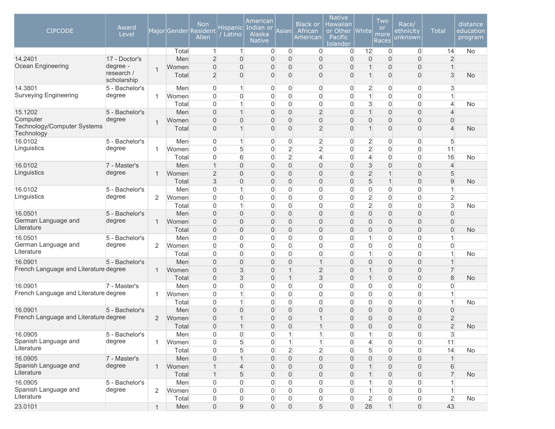| Total<br>$\overline{0}$<br>$\overline{0}$<br>12<br>$\mathbf 0$<br>$\overline{0}$<br>14<br><b>No</b><br>$\mathbf{1}$<br>$\overline{0}$<br>$\overline{0}$<br>1                                                                                                            |  |
|-------------------------------------------------------------------------------------------------------------------------------------------------------------------------------------------------------------------------------------------------------------------------|--|
|                                                                                                                                                                                                                                                                         |  |
| $\overline{2}$<br>$\mathbf 0$<br>$\overline{2}$<br>14.2401<br>17 - Doctor's<br>$\overline{0}$<br>$\overline{0}$<br>$\mathbf 0$<br>$\overline{0}$<br>$\overline{0}$<br>Men<br>0<br>$\overline{0}$                                                                        |  |
| Ocean Engineering<br>degree -<br>$\overline{0}$<br>$\boldsymbol{0}$<br>$\overline{0}$<br>$\overline{0}$<br>$\mathbf{0}$<br>0<br>$\overline{0}$<br>$\overline{0}$<br>Women<br>1<br>$\overline{1}$<br>research /                                                          |  |
| 3<br>$\overline{2}$<br>$\overline{0}$<br>$\boldsymbol{0}$<br>Total<br>$\overline{0}$<br>$\overline{0}$<br>$\mathbf 0$<br>$\overline{0}$<br>$\overline{0}$<br><b>No</b><br>scholarship                                                                                   |  |
| 14.3801<br>$\overline{c}$<br>3<br>5 - Bachelor's<br>Men<br>0<br>0<br>0<br>$\mathbf 0$<br>$\overline{0}$<br>$\overline{0}$<br>0<br>1                                                                                                                                     |  |
| <b>Surveying Engineering</b><br>degree<br>$\mathsf{O}\xspace$<br>$\overline{0}$<br>$\overline{0}$<br>$\overline{0}$<br>0<br>$\mathbf 0$<br>$\overline{0}$<br>1<br>0<br>Women<br>1<br>1                                                                                  |  |
| $\overline{0}$<br>$\mathbf 0$<br>$\Omega$<br>3<br>$\overline{0}$<br>$\overline{0}$<br>Total<br>0<br>$\Omega$<br>$\overline{\mathcal{L}}$<br>No                                                                                                                          |  |
| $\overline{0}$<br>$\overline{2}$<br>$\overline{0}$<br>$\overline{0}$<br>15.1202<br>5 - Bachelor's<br>Men<br>$\overline{0}$<br>0<br>$\overline{0}$<br>$\overline{1}$<br>$\overline{\mathcal{A}}$                                                                         |  |
| Computer<br>degree<br>$\overline{0}$<br>$\overline{0}$<br>$\boldsymbol{0}$<br>$\overline{0}$<br>$\overline{0}$<br>$\overline{0}$<br>$\Omega$<br>$\Omega$<br>0<br>$\Omega$<br>Women<br>$\mathbf{1}$<br>Technology/Computer Systems                                       |  |
| $\overline{2}$<br>$\overline{0}$<br>$\overline{0}$<br>$\overline{0}$<br>$\overline{0}$<br>$\Omega$<br>$\Omega$<br>$\overline{4}$<br><b>No</b><br>Total<br>Technology                                                                                                    |  |
| $\overline{2}$<br>16.0102<br>5 - Bachelor's<br>$\mathbf 0$<br>$\overline{c}$<br>$\overline{0}$<br>5<br>Men<br>$\Omega$<br>0<br>$\Omega$<br>$\overline{0}$                                                                                                               |  |
| Linguistics<br>$\overline{2}$<br>degree<br>5<br>$\overline{2}$<br>$\overline{2}$<br>$\mathbf 0$<br>$\overline{0}$<br>$\Omega$<br>$\Omega$<br>$\overline{0}$<br>11<br>Women<br>1                                                                                         |  |
| $\overline{2}$<br>$\overline{4}$<br>6<br>$\mathbf 0$<br>16<br>$\mathbf 0$<br>0<br>$\overline{4}$<br>$\overline{0}$<br>Total<br>0<br>No                                                                                                                                  |  |
| $\mathbf 0$<br>3<br>$\mathsf{O}\xspace$<br>$\mathbf{1}$<br>$\overline{0}$<br>$\overline{0}$<br>$\mathbf 0$<br>$\overline{0}$<br>$\boldsymbol{0}$<br>$\overline{4}$<br>16.0102<br>7 - Master's<br>Men                                                                    |  |
| Linguistics<br>degree<br>$\overline{2}$<br>$\overline{2}$<br>$\overline{0}$<br>$\overline{0}$<br>$\overline{0}$<br>$\mathbf 0$<br>$\overline{0}$<br>1<br>$\boldsymbol{0}$<br>5<br>Women<br>$\mathbf{1}$                                                                 |  |
| $\mathsf 3$<br>$\mathbf 0$<br>5<br>$\mathsf{O}\xspace$<br>$\overline{0}$<br>$\boldsymbol{0}$<br>$\mathbf{1}$<br>$9\,$<br>Total<br>$\overline{0}$<br>$\overline{0}$<br><b>No</b>                                                                                         |  |
| $\mathbf 0$<br>16.0102<br>5 - Bachelor's<br>$\overline{0}$<br>0<br>$\mathbf 0$<br>$\mathbf 0$<br>0<br>$\overline{0}$<br>Men<br>1<br>$\Omega$<br>Linguistics                                                                                                             |  |
| degree<br>$\overline{c}$<br>$\overline{2}$<br>2<br>$\overline{0}$<br>$\overline{0}$<br>0<br>$\mathbf 0$<br>$\mathbf 0$<br>$\overline{0}$<br>$\overline{0}$<br>$\overline{0}$<br>Women                                                                                   |  |
| $\overline{2}$<br>3<br>$\overline{0}$<br>0<br>$\mathbf 0$<br>$\mathbf{0}$<br>0<br>0<br><b>No</b><br>Total<br>0                                                                                                                                                          |  |
| $\overline{0}$<br>$\overline{0}$<br>$\mathbf 0$<br>$\overline{0}$<br>$\overline{0}$<br>$\overline{0}$<br>$\overline{0}$<br>16.0501<br>5 - Bachelor's<br>Men<br>$\overline{0}$<br>$\overline{0}$<br>$\overline{0}$<br>German Language and                                |  |
| degree<br>$\overline{0}$<br>$\overline{0}$<br>$\mathbf 0$<br>$\boldsymbol{0}$<br>$\overline{0}$<br>$\overline{0}$<br>0<br>$\overline{0}$<br>0<br>$\overline{0}$<br>1<br>Women<br>Literature<br>$\overline{0}$                                                           |  |
| $\mathbf 0$<br>$\overline{0}$<br>$\overline{0}$<br>$\overline{0}$<br>$\mathbf 0$<br>$\overline{0}$<br>$\overline{0}$<br>Total<br>0<br>$\Omega$<br><b>No</b><br>16.0501<br>5 - Bachelor's<br>$\overline{0}$<br>$\overline{0}$<br>$\overline{0}$<br>$\mathbf{0}$<br>1     |  |
| $\mathbf 0$<br>$\overline{0}$<br>$\overline{0}$<br>Men<br>$\Omega$<br>German Language and<br>degree<br>$\overline{2}$<br>$\mathbf 0$<br>$\overline{0}$<br>$\overline{0}$<br>$\overline{0}$<br>0<br>$\overline{0}$<br>$\overline{0}$<br>$\overline{0}$<br>$\overline{0}$ |  |
| $\mathbf 0$<br>Women<br>Literature<br>$\boldsymbol{0}$<br>$\mathsf{O}\xspace$<br>$\overline{0}$<br>$\overline{0}$<br>$\overline{0}$<br>$\overline{0}$<br>$\overline{0}$<br>$\mathbf{1}$                                                                                 |  |
| $\mathbf 0$<br>Total<br>No<br>$\mathsf{O}\xspace$<br>$\overline{0}$<br>$\overline{0}$<br>$\Omega$<br>$\overline{0}$<br>$\mathbf{1}$<br>$\overline{0}$<br>$\boldsymbol{0}$<br>16.0901<br>5 - Bachelor's<br>Men<br>$\Omega$                                               |  |
| French Language and Literature degree<br>$\overline{2}$<br>$\overline{0}$<br>3<br>$\mathbf{1}$<br>$\boldsymbol{0}$<br>$\mathsf{O}\xspace$<br>$\overline{7}$<br>Women<br>0<br>$\overline{0}$<br>$\mathbf{1}$                                                             |  |
| 3<br>$\mathbf{3}$<br>$\mathsf{O}\xspace$<br>$\overline{0}$<br>$\mathbf{1}$<br>$\overline{0}$<br>8<br>Total<br>$\overline{0}$<br>$\overline{0}$<br><b>No</b><br>1                                                                                                        |  |
| $\mathsf{O}\xspace$<br>$\mathbf 0$<br>16.0901<br>7 - Master's<br>$\mathbf 0$<br>$\overline{0}$<br>$\mathbf 0$<br>0<br>$\overline{0}$<br>Men<br>$\mathbf{0}$<br>$\Omega$<br>0                                                                                            |  |
| French Language and Literature degree<br>$\overline{0}$<br>$\mathbf{0}$<br>$\mathbf 0$<br>0<br>$\overline{0}$<br>$\overline{0}$<br>Women<br>0<br>1<br>$\overline{0}$<br>1                                                                                               |  |
| 0<br>0<br>$\mathbf 0$<br>0<br>0<br>0<br><b>No</b><br>Total<br>0<br>1<br>$\Omega$<br>1                                                                                                                                                                                   |  |
| 16.0901<br>$\overline{0}$<br>$\boldsymbol{0}$<br>$\overline{0}$<br>$\overline{0}$<br>5 - Bachelor's<br>Men<br>$\Omega$<br>$\Omega$<br>$\Omega$<br>$\Omega$<br>0<br>$\overline{0}$                                                                                       |  |
| French Language and Literature degree<br>$\overline{0}$<br>$\overline{0}$<br>0<br>$\overline{0}$<br>2<br>2<br>$\Omega$<br>1<br>$\Omega$<br>0<br>Women                                                                                                                   |  |
| $\Omega$<br>$\mathcal{P}$<br>$\Omega$<br>$\Omega$<br>$\Omega$<br>1<br>$\Omega$<br>$\Omega$<br>$\Omega$<br><b>No</b><br>Total                                                                                                                                            |  |
| 3<br>16.0905<br>Men<br>$\boldsymbol{0}$<br>0<br>$\boldsymbol{0}$<br>0<br>5 - Bachelor's<br>0<br>1<br>$\mathbf 1$<br>0<br>$\mathbf 1$                                                                                                                                    |  |
| Spanish Language and<br>degree<br>5<br>$\mathsf{O}\xspace$<br>$\mathbf{1}$<br>$\vert$<br>$\overline{\mathcal{L}}$<br>$\boldsymbol{0}$<br>11<br>$\boldsymbol{0}$<br>0<br>0<br>$\mathbf{1}$<br>Women                                                                      |  |
| Literature<br>$\overline{2}$<br>$\overline{2}$<br>5<br>5<br>$\overline{0}$<br>$\boldsymbol{0}$<br>$\boldsymbol{0}$<br>14<br>Total<br>$\boldsymbol{0}$<br>No<br>$\overline{0}$                                                                                           |  |
| $\mathsf{O}\xspace$<br>$\mathsf{O}\xspace$<br>16.0905<br>$\overline{0}$<br>$\overline{0}$<br>$\overline{0}$<br>$\boldsymbol{0}$<br>$\boldsymbol{0}$<br>7 - Master's<br>Men<br>$\overline{0}$                                                                            |  |
| Spanish Language and<br>degree<br>$\mathbf 0$<br>$\mathsf{O}\xspace$<br>$\mathsf{O}\xspace$<br>$\boldsymbol{0}$<br>6<br>$\mathbf{1}$<br>Women<br>$\overline{4}$<br>0<br>$\overline{0}$                                                                                  |  |
| Literature<br>5<br>$\mathsf{O}\xspace$<br>$\mathsf{O}\xspace$<br>$\mathsf{O}\xspace$<br>$\overline{7}$<br>Total<br>$\overline{1}$<br>0<br>$\mathbf 0$<br>$\overline{0}$<br><b>No</b>                                                                                    |  |
| 16.0905<br>$\mathsf{O}\xspace$<br>5 - Bachelor's<br>$\mathbf 0$<br>$\overline{0}$<br>0<br>0<br>$\mathsf{O}\xspace$<br>$\overline{0}$<br>0<br>Men                                                                                                                        |  |
| Spanish Language and<br>degree<br>$\mathsf{O}\xspace$<br>$\overline{2}$<br>$\overline{0}$<br>$\boldsymbol{0}$<br>0<br>0<br>$\overline{0}$<br>1<br>0<br>0<br>Women                                                                                                       |  |
| Literature<br>$\overline{2}$<br>$\overline{2}$<br>Total<br>$\boldsymbol{0}$<br>$\boldsymbol{0}$<br>0<br>0<br>$\boldsymbol{0}$<br>$\Omega$<br>0<br>0<br>No                                                                                                               |  |
| 23.0101<br>$\mathsf{O}\xspace$<br>$5\overline{)}$<br>$\mathsf{O}\xspace$<br>28<br>$\mathbf{1}$<br>43<br>$\boldsymbol{0}$<br>9<br>$\overline{0}$<br>$\mathsf{O}\xspace$<br>$\mathbf{1}$<br>Men                                                                           |  |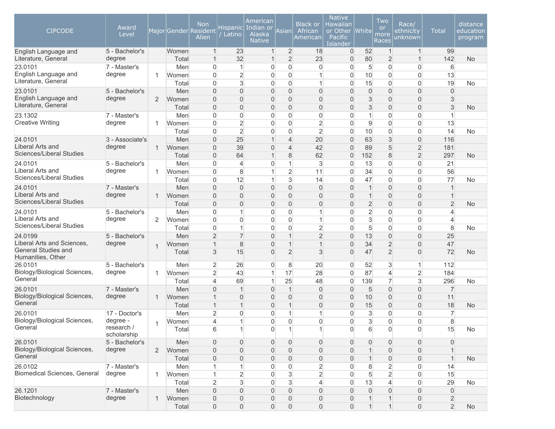| <b>CIPCODE</b>                                  | Award<br>Level            |                |                | <b>Non</b><br>Major Gender Resident<br>Alien | Hispanic <br>Latino | American<br>Indian or<br><u>Alaska</u><br><b>Native</b> | Asian                          | <b>Black or</b><br>African<br>American     | <b>Native</b><br><b>Hawaiian</b><br>or Other<br>Pacific<br>Islander | <b>White</b>        | Two<br><sub>or</sub><br>more<br>Races | Race/<br>ethnicity<br>unknown    | <b>Total</b>                     | distance<br>education<br>program |
|-------------------------------------------------|---------------------------|----------------|----------------|----------------------------------------------|---------------------|---------------------------------------------------------|--------------------------------|--------------------------------------------|---------------------------------------------------------------------|---------------------|---------------------------------------|----------------------------------|----------------------------------|----------------------------------|
| English Language and                            | 5 - Bachelor's            |                | Women          | $\mathbf{1}$                                 | 23                  | $\mathbf{1}$                                            | $\overline{2}$                 | 18                                         | $\overline{0}$                                                      | 52                  | $\mathbf{1}$                          | $\mathbf{1}$                     | 99                               |                                  |
| Literature, General                             | degree                    |                | Total          | $\mathbf{1}$                                 | 32                  |                                                         | $\overline{2}$                 | 23                                         | $\overline{0}$                                                      | 80                  | $\overline{2}$                        | $\mathbf{1}$                     | 142                              | <b>No</b>                        |
| 23.0101                                         | 7 - Master's              |                | Men            | $\mathbf{0}$                                 | $\mathbf 1$         | $\overline{0}$                                          | $\mathbf 0$                    | $\overline{0}$                             | $\Omega$                                                            | 5                   | $\overline{0}$                        | $\overline{0}$                   | 6                                |                                  |
| English Language and<br>Literature, General     | degree                    | 1              | Women          | $\Omega$                                     | $\overline{2}$      | $\overline{0}$                                          | $\overline{0}$                 | $\mathbf{1}$                               | $\Omega$                                                            | 10                  | $\overline{0}$                        | $\overline{0}$                   | 13                               |                                  |
|                                                 |                           |                | Total          | $\Omega$                                     | 3                   | 0                                                       | $\overline{0}$                 | $\mathbf{1}$                               | $\Omega$                                                            | 15                  | $\overline{0}$                        | $\overline{0}$                   | 19                               | <b>No</b>                        |
| 23.0101<br>English Language and                 | 5 - Bachelor's<br>degree  |                | Men            | $\Omega$                                     | $\overline{0}$      | $\mathbf{0}$                                            | $\overline{0}$                 | $\overline{0}$                             | $\Omega$                                                            | $\overline{0}$      | $\overline{0}$                        | $\overline{0}$                   | $\Omega$                         |                                  |
| Literature, General                             |                           | 2              | Women<br>Total | $\Omega$<br>$\Omega$                         | 0<br>0              | $\mathbf{0}$<br>$\mathbf{0}$                            | $\overline{0}$<br>$\mathbf{0}$ | $\mathbf{0}$<br>$\overline{0}$             | $\Omega$<br>$\Omega$                                                | 3<br>3              | $\overline{0}$<br>$\Omega$            | $\overline{0}$<br>$\overline{0}$ | 3<br>3                           | No                               |
| 23.1302                                         | 7 - Master's              |                | Men            | $\overline{0}$                               | $\overline{0}$      | $\overline{0}$                                          | $\mathbf 0$                    | $\boldsymbol{0}$                           | $\Omega$                                                            | 1                   | $\overline{0}$                        | $\overline{0}$                   | $\overline{1}$                   |                                  |
| <b>Creative Writing</b>                         | degree                    | 1              | Women          | $\overline{0}$                               | $\overline{2}$      | $\overline{0}$                                          | $\overline{0}$                 | $\overline{2}$                             | $\overline{0}$                                                      | 9                   | $\overline{0}$                        | $\overline{0}$                   | 13                               |                                  |
|                                                 |                           |                | Total          | $\overline{0}$                               | $\overline{2}$      | $\Omega$                                                | $\overline{0}$                 | $\overline{2}$                             | $\overline{0}$                                                      | 10                  | $\overline{0}$                        | $\overline{0}$                   | 14                               | <b>No</b>                        |
| 24.0101                                         | 3 - Associate's           |                | Men            | $\mathbf{0}$                                 | 25                  |                                                         | $\overline{4}$                 | 20                                         | $\overline{0}$                                                      | 63                  | 3                                     | $\mathsf{O}\xspace$              | 116                              |                                  |
| Liberal Arts and                                | degree                    | $\mathbf{1}$   | Women          | $\mathbf{0}$                                 | 39                  | $\overline{0}$                                          | $\overline{4}$                 | 42                                         | $\Omega$                                                            | 89                  | 5                                     | $\overline{2}$                   | 181                              |                                  |
| Sciences/Liberal Studies                        |                           |                | Total          | $\Omega$                                     | 64                  | $\mathbf{1}$                                            | 8                              | 62                                         | $\overline{0}$                                                      | 152                 | 8                                     | $\overline{2}$                   | 297                              | <b>No</b>                        |
| 24.0101                                         | 5 - Bachelor's            |                | Men            | $\Omega$                                     | 4                   | $\overline{0}$                                          | 1                              | 3                                          | $\Omega$                                                            | 13                  | $\overline{0}$                        | $\overline{0}$                   | 21                               |                                  |
| Liberal Arts and                                | degree                    | 1              | Women          | $\mathbf{0}$                                 | 8                   |                                                         | $\overline{2}$                 | 11                                         | $\Omega$                                                            | 34                  | $\overline{0}$                        | $\overline{0}$                   | 56                               |                                  |
| Sciences/Liberal Studies                        |                           |                | Total          | $\Omega$                                     | 12                  | 1                                                       | 3                              | 14                                         | $\Omega$                                                            | 47                  | $\overline{0}$                        | $\overline{0}$                   | 77                               | <b>No</b>                        |
| 24.0101                                         | 7 - Master's              |                | Men            | $\Omega$                                     | $\Omega$            | $\mathbf{0}$                                            | $\mathbf{0}$                   | $\overline{0}$                             | $\Omega$                                                            | $\mathbf 1$         | $\Omega$                              | $\overline{0}$                   | 1                                |                                  |
| Liberal Arts and                                | degree                    | $\mathbf{1}$   | Women          | $\Omega$                                     | $\overline{0}$      | $\Omega$                                                | $\mathbf{0}$                   | $\mathbf{0}$                               | $\Omega$                                                            | $\mathbf 1$         | $\Omega$                              | $\overline{0}$                   | 1                                |                                  |
| Sciences/Liberal Studies                        |                           |                | Total          | $\Omega$                                     | 0                   | $\Omega$                                                | $\mathbf{0}$                   | $\overline{0}$                             | $\Omega$                                                            | $\overline{c}$      | $\Omega$                              | $\overline{0}$                   | $\overline{2}$                   | <b>No</b>                        |
| 24.0101                                         | 5 - Bachelor's            |                | Men            | $\overline{0}$                               | $\mathbf{1}$        | $\overline{0}$                                          | $\overline{0}$                 | $\mathbf{1}$                               | $\overline{0}$                                                      | $\overline{2}$      | $\overline{0}$                        | $\overline{0}$                   | 4                                |                                  |
| Liberal Arts and                                | degree                    | 2              | Women          | $\overline{0}$                               | $\overline{0}$      | $\overline{0}$                                          | $\overline{0}$                 | $\mathbf{1}$                               | $\Omega$                                                            | 3                   | $\overline{0}$                        | $\overline{0}$                   | 4                                |                                  |
| Sciences/Liberal Studies                        |                           |                | Total          | $\overline{0}$                               | $\mathbf{1}$        | $\overline{0}$                                          | $\mathbf 0$                    | $\overline{2}$                             | $\overline{0}$                                                      | 5                   | $\overline{0}$                        | $\overline{0}$                   | $\,8\,$                          | <b>No</b>                        |
| 24.0199                                         | 5 - Bachelor's            |                | Men            | $\overline{2}$                               | 7                   | $\mathbf{0}$                                            | $\overline{1}$                 | $\overline{2}$                             | $\overline{0}$                                                      | 13                  | $\overline{0}$                        | $\overline{0}$                   | 25                               |                                  |
| Liberal Arts and Sciences.                      | degree                    | $\overline{1}$ | Women          | $\overline{1}$                               | 8                   | $\Omega$                                                | $\overline{1}$                 | $\mathbf{1}$                               | $\Omega$                                                            | 34                  | $\overline{2}$                        | $\overline{0}$                   | 47                               |                                  |
| <b>General Studies and</b><br>Humanities, Other |                           |                | Total          | 3                                            | 15                  | $\mathbf{0}$                                            | $\overline{2}$                 | 3                                          | $\Omega$                                                            | 47                  | $\overline{2}$                        | $\overline{0}$                   | 72                               | No                               |
| 26.0101                                         | 5 - Bachelor's            |                | Men            | $\overline{2}$                               | 26                  | $\Omega$                                                | 8                              | 20                                         | $\Omega$                                                            | 52                  | 3                                     | $\mathbf{1}$                     | 112                              |                                  |
| Biology/Biological Sciences,                    | degree                    | 1              | Women          | $\overline{2}$                               | 43                  | 1                                                       | 17                             | 28                                         | $\mathbf{0}$                                                        | 87                  | $\overline{4}$                        | $\overline{2}$                   | 184                              |                                  |
| General                                         |                           |                | Total          | $\overline{\mathcal{L}}$                     | 69                  |                                                         | 25                             | 48                                         | $\Omega$                                                            | 139                 | $\overline{7}$                        | 3                                | 296                              | No                               |
| 26.0101                                         | 7 - Master's              |                | Men            | $\Omega$                                     | 1                   | $\mathbf{0}$                                            | $\mathbf{1}$                   | $\overline{0}$                             | $\Omega$                                                            | 5                   | $\overline{0}$                        | $\overline{0}$                   | $\overline{7}$                   |                                  |
| Biology/Biological Sciences,<br>General         | degree                    | $\mathbf{1}$   | Women          | $\overline{1}$                               | $\overline{0}$      | $\mathbf{0}$                                            | $\mathbf{0}$                   | $\mathbf{0}$                               | $\Omega$                                                            | 10                  | $\overline{0}$                        | $\overline{0}$                   | 11                               |                                  |
|                                                 |                           |                | Total          | $\overline{1}$                               | $\overline{1}$      | $\mathbf{0}$                                            | 1                              | $\mathbf{0}$                               | $\Omega$                                                            | 15                  | $\overline{0}$                        | $\overline{0}$                   | 18                               | <b>No</b>                        |
| 26.0101                                         | 17 - Doctor's             |                | Men            | $\overline{2}$                               | $\overline{0}$      | $\Omega$                                                | 1                              | 1                                          | $\Omega$                                                            | 3                   | $\overline{0}$                        | $\overline{0}$                   | $\overline{7}$                   |                                  |
| Biology/Biological Sciences,<br>General         | degree -                  | $\mathbf 1$    | Women          | 4                                            | 1                   | $\Omega$                                                | $\mathbf 0$                    | $\overline{0}$                             | $\Omega$                                                            | 3                   | $\overline{0}$                        | $\overline{0}$                   | 8                                |                                  |
|                                                 | research /<br>scholarship |                | Total          | 6                                            | $\overline{A}$      | 0                                                       |                                | 1                                          | $\overline{0}$                                                      | 6                   | 0                                     | $\mathsf{O}\xspace$              | 15                               | <b>No</b>                        |
| 26.0101                                         | 5 - Bachelor's            |                | Men            | $\mathbf{0}$                                 | 0                   | $\overline{0}$                                          | $\overline{0}$                 | $\overline{0}$                             | $\overline{0}$                                                      | 0                   | $\overline{0}$                        | $\overline{0}$                   | $\mathbf 0$                      |                                  |
| Biology/Biological Sciences,<br>General         | degree                    | $\overline{2}$ | Women          | $\mathsf{O}\xspace$                          | 0                   | $\mathbf{0}$                                            | $\mathbf 0$                    | $\overline{0}$                             | $\overline{0}$                                                      |                     | $\boldsymbol{0}$                      | $\boldsymbol{0}$                 |                                  |                                  |
|                                                 |                           |                | Total          | $\mathsf{O}\xspace$                          | 0                   | $\mathbf{0}$                                            | $\boldsymbol{0}$               | 0                                          | $\overline{0}$                                                      |                     | $\boldsymbol{0}$                      | $\boldsymbol{0}$                 |                                  | <b>No</b>                        |
| 26.0102<br>Biomedical Sciences, General         | 7 - Master's              |                | Men            |                                              | 1                   | 0                                                       | $\mathsf{O}\xspace$            | $\overline{c}$                             | $\Omega$                                                            | 8                   | $\overline{2}$                        | 0                                | 14                               |                                  |
|                                                 | degree                    | $\mathbf{1}$   | Women          | $\mathbf{1}$                                 | $\overline{2}$      | $\overline{0}$                                          | $\sqrt{3}$                     | $\overline{2}$                             | $\Omega$                                                            | 5                   | $\overline{2}$                        | 0                                | 15                               |                                  |
|                                                 |                           |                | Total          | $\overline{2}$                               | 3                   | $\Omega$                                                | $\mathbf{3}$                   | $\overline{4}$                             | $\Omega$                                                            | 13                  | $\overline{4}$                        | 0                                | 29                               | No                               |
| 26.1201<br>Biotechnology                        | 7 - Master's<br>degree    |                | Men            | $\overline{0}$                               | $\mathsf{O}\xspace$ | $\mathbf{0}$                                            | $\mathbf 0$                    | $\boldsymbol{0}$                           | $\overline{0}$                                                      | $\mathsf{O}\xspace$ | $\boldsymbol{0}$<br>1                 | 0                                | $\mathbf 0$                      |                                  |
|                                                 |                           | 1              | Women<br>Total | $\mathsf{O}\xspace$                          | 0                   | $\mathbf{0}$                                            | $\overline{0}$                 | $\mathsf{O}\xspace$<br>$\mathsf{O}\xspace$ | $\overline{0}$<br>$\overline{0}$                                    | $\mathbf{1}$        | $\mathbf{1}$                          | $\overline{0}$                   | $\overline{2}$<br>$\overline{2}$ |                                  |
|                                                 |                           |                |                | $\overline{0}$                               | $\boldsymbol{0}$    | $\overline{0}$                                          | $\boldsymbol{0}$               |                                            |                                                                     |                     |                                       | $\overline{0}$                   |                                  | <b>No</b>                        |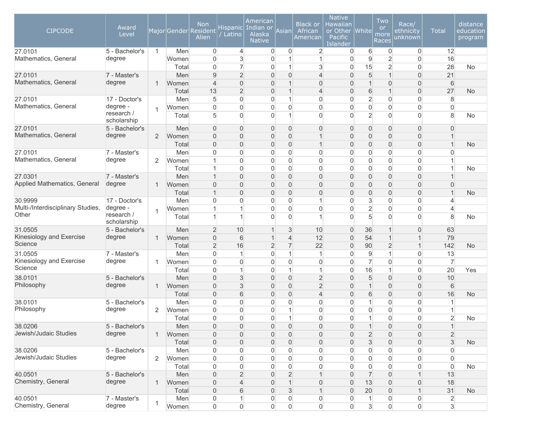| <b>CIPCODE</b>                      | Award<br>Level                        |                |                | Non<br>Major Gender Resident<br>Alien   | Hispanic <br>Latino              | American<br>Indian or<br>Alaska<br><b>Native</b> | Asian                            | <b>Black or</b><br>African<br>American | <b>Native</b><br><b>Hawaiian</b><br>or Other<br>Pacific<br><b>Islander</b> | <b>White</b>                          | Two<br><b>or</b><br>more<br>Races | Race/<br>ethnicity<br>unknown       | <b>Total</b>        | distance<br>education<br>program |
|-------------------------------------|---------------------------------------|----------------|----------------|-----------------------------------------|----------------------------------|--------------------------------------------------|----------------------------------|----------------------------------------|----------------------------------------------------------------------------|---------------------------------------|-----------------------------------|-------------------------------------|---------------------|----------------------------------|
| 27.0101                             | 5 - Bachelor's                        | $\mathbf{1}$   | Men            | $\overline{0}$                          | $\overline{4}$                   | $\overline{0}$                                   | $\overline{0}$                   | $\overline{2}$                         | $\overline{0}$                                                             | 6                                     | $\mathbf 0$                       | 0                                   | 12                  |                                  |
| Mathematics, General                | degree                                |                | Women          | $\overline{0}$                          | 3                                | 0                                                | $\overline{1}$                   | $\mathbf{1}$                           | 0                                                                          | $\mathsf g$                           | $\overline{2}$                    | $\overline{0}$                      | 16                  |                                  |
|                                     |                                       |                | Total          | $\overline{0}$                          | $\overline{7}$                   | 0                                                | $\mathbf{1}$                     | 3                                      | 0                                                                          | 15                                    | $\overline{2}$                    | $\overline{0}$                      | 28                  | No                               |
| 27.0101<br>Mathematics, General     | 7 - Master's                          |                | Men            | 9                                       | $\overline{2}$                   | $\overline{0}$                                   | $\boldsymbol{0}$                 | $\overline{4}$                         | $\overline{0}$                                                             | 5                                     | $\overline{1}$                    | $\overline{0}$                      | 21                  |                                  |
|                                     | degree                                | 1              | Women          | $\overline{4}$                          | $\overline{0}$                   | 0                                                | $\overline{1}$                   | $\mathbf 0$                            | 0                                                                          | 1                                     | $\boldsymbol{0}$                  | $\overline{0}$                      | $6\phantom{1}$      |                                  |
|                                     |                                       |                | Total          | 13                                      | $\overline{2}$                   | 0                                                | $\overline{1}$                   | $\overline{4}$                         | 0                                                                          | 6                                     | $\overline{1}$                    | $\overline{0}$                      | 27                  | No                               |
| 27.0101<br>Mathematics, General     | 17 - Doctor's                         |                | Men            | 5                                       | $\mathbf 0$                      | $\overline{0}$                                   | $\overline{1}$                   | $\overline{0}$                         | $\overline{0}$                                                             | $\overline{c}$                        | $\overline{0}$                    | $\mathbf 0$                         | 8                   |                                  |
|                                     | degree -<br>research /<br>scholarship | $\mathbf{1}$   | Women<br>Total | $\mathbf 0$<br>5                        | $\overline{0}$<br>$\overline{0}$ | 0<br>$\overline{0}$                              | $\overline{0}$<br>$\mathbf{1}$   | $\mathbf 0$<br>$\overline{0}$          | 0<br>$\Omega$                                                              | $\mathbf 0$<br>$\overline{2}$         | $\overline{0}$<br>$\overline{0}$  | $\overline{0}$<br>$\overline{0}$    | $\overline{0}$<br>8 | No                               |
| 27.0101                             | 5 - Bachelor's                        |                | Men            | $\mathbf{0}$                            | 0                                | 0                                                | $\overline{0}$                   | $\mathbf 0$                            | 0                                                                          | 0                                     | $\mathbf{0}$                      | $\overline{0}$                      | $\Omega$            |                                  |
| Mathematics, General                | degree                                | $\overline{2}$ | Women          | $\mathbf 0$                             | $\boldsymbol{0}$                 | 0                                                | $\mathsf{O}\xspace$              | $\mathbf{1}$                           | 0                                                                          | $\overline{0}$                        | $\boldsymbol{0}$                  | 0                                   | $\mathbf 1$         |                                  |
|                                     |                                       |                | Total          | $\mathsf{O}\xspace$                     | $\overline{0}$                   | $\overline{0}$                                   | $\mathsf{O}\xspace$              | $\mathbf{1}$                           | 0                                                                          | 0                                     | $\overline{0}$                    | $\overline{0}$                      | $\mathbf 1$         | <b>No</b>                        |
| 27.0101                             | 7 - Master's                          |                | Men            | 0                                       | $\overline{0}$                   | 0                                                | 0                                | $\mathbf 0$                            | 0                                                                          | 0                                     | $\overline{0}$                    | $\overline{0}$                      | 0                   |                                  |
| Mathematics, General                | degree                                | $\overline{2}$ | Women          |                                         | $\overline{0}$                   | 0                                                | $\overline{0}$                   | $\overline{0}$                         | 0                                                                          | 0                                     | $\overline{0}$                    | $\overline{0}$                      |                     |                                  |
|                                     |                                       |                | Total          | $\overline{1}$                          | $\overline{0}$                   | $\overline{0}$                                   | $\overline{0}$                   | $\overline{0}$                         | $\overline{0}$                                                             | 0                                     | $\overline{0}$                    | $\overline{0}$                      | 1                   | No                               |
| 27.0301                             | 7 - Master's                          |                | Men            | $\mathbf 1$                             | $\overline{0}$                   | 0                                                | $\overline{0}$                   | $\mathbf 0$                            | 0                                                                          | 0                                     | $\overline{0}$                    | $\overline{0}$                      |                     |                                  |
| Applied Mathematics, General        | degree                                | 1              | Women          | $\overline{0}$                          | $\boldsymbol{0}$                 | 0                                                | $\mathsf{O}\xspace$              | $\boldsymbol{0}$                       | 0                                                                          | 0                                     | $\boldsymbol{0}$                  | $\overline{0}$                      | 0                   |                                  |
|                                     |                                       |                | Total          | $\overline{1}$                          | $\overline{0}$                   | $\overline{0}$                                   | $\mathsf{O}\xspace$              | $\mathbf 0$                            | $\overline{0}$                                                             | $\overline{0}$                        | $\overline{0}$                    | $\overline{0}$                      | $\mathbf 1$         | <b>No</b>                        |
| 30.9999                             | 17 - Doctor's                         |                | Men            | $\mathbf 0$                             | 0                                | 0                                                | $\overline{0}$                   | $\mathbf{1}$                           | $\Omega$                                                                   | 3                                     | $\overline{0}$                    | $\overline{0}$                      | 4                   |                                  |
| Multi-/Interdisciplinary Studies,   | degree -                              | 1              | Women          |                                         | 1                                | 0                                                | $\overline{0}$                   | $\overline{0}$                         | $\overline{0}$                                                             | $\overline{2}$                        | $\overline{0}$                    | $\mathbf 0$                         | 4                   |                                  |
| Other                               | research /<br>scholarship             |                | Total          |                                         | 1                                | $\overline{0}$                                   | $\mathbf{0}$                     | $\mathbf{1}$                           | $\overline{0}$                                                             | 5                                     | $\overline{0}$                    | $\Omega$                            | 8                   | No                               |
| 31.0505                             | 5 - Bachelor's                        |                | Men            | $\overline{2}$                          | 10                               |                                                  | 3                                | 10                                     | 0                                                                          | 36                                    |                                   | $\overline{0}$                      | 63                  |                                  |
| Kinesiology and Exercise<br>Science | degree                                | $\mathbf{1}$   | Women          | $\overline{0}$                          | 6                                |                                                  | $\overline{4}$                   | 12                                     | 0                                                                          | 54                                    |                                   | $\mathbf{1}$                        | 79                  |                                  |
|                                     |                                       |                | Total          | $\overline{2}$                          | 16                               | $\overline{2}$                                   | $\overline{7}$                   | 22                                     | 0                                                                          | 90                                    | $\overline{2}$                    | $\mathbf{1}$                        | 142                 | No                               |
| 31.0505                             | 7 - Master's                          |                | Men            | $\mathbf 0$                             | $\mathbf{1}$                     | $\overline{0}$                                   | $\mathbf{1}$                     | $\vert$                                | $\overline{0}$                                                             | 9                                     | 1                                 | 0                                   | 13                  |                                  |
| Kinesiology and Exercise<br>Science | degree                                | 1              | Women          | $\mathbf 0$                             | 0                                | 0                                                | 0                                | $\mathbf 0$                            | 0                                                                          | $\overline{7}$                        | $\overline{0}$                    | $\overline{0}$                      | $\overline{7}$      |                                  |
|                                     |                                       |                | Total          | $\mathbf 0$                             | $\mathbf{1}$                     | 0                                                | $\mathbf{1}$                     | $\mathbf{1}$                           | 0                                                                          | 16                                    | 1                                 | $\mathsf{O}\xspace$                 | 20                  | Yes                              |
| 38.0101                             | 5 - Bachelor's                        |                | Men            | $\overline{0}$                          | $\mathfrak{S}$                   | $\Omega$                                         | $\overline{0}$                   | $\overline{2}$                         | $\Omega$                                                                   | 5                                     | $\overline{0}$                    | $\overline{0}$                      | 10                  |                                  |
| Philosophy                          | degree                                | 1              | Women          | $\overline{0}$                          | 3                                | 0                                                | $\overline{0}$                   | $\overline{2}$                         | 0                                                                          | 1                                     | $\overline{0}$                    | $\overline{0}$                      | 6                   |                                  |
|                                     |                                       |                | Total          | $\mathsf{O}\xspace$                     | 6                                | 0                                                | $\mathsf{O}\xspace$              | $\overline{4}$                         | 0                                                                          | 6                                     | $\boldsymbol{0}$                  | 0                                   | 16                  | No                               |
| 38.0101                             | 5 - Bachelor's                        |                | Men            | $\overline{0}$                          | 0                                | 0                                                | $\overline{0}$                   | $\mathbf 0$                            | $\Omega$                                                                   | 1                                     | $\boldsymbol{0}$                  | 0                                   | 1                   |                                  |
| Philosophy                          | degree                                | 2              | Women          | $\mathbf{0}$                            | $\overline{0}$                   | 0                                                | 1                                | $\overline{0}$                         | $\Omega$                                                                   | 0                                     | $\overline{0}$                    | $\overline{0}$                      |                     |                                  |
|                                     |                                       |                | Total          | $\mathbf 0$                             | $\overline{0}$                   | $\overline{0}$                                   | 1                                | $\overline{0}$                         | $\Omega$                                                                   |                                       | $\overline{0}$                    | $\mathbf 0$                         | $\overline{2}$      | No                               |
| 38.0206<br>Jewish/Judaic Studies    | 5 - Bachelor's<br>degree              |                | Men            | $\Omega$                                | $\Omega$                         | $\Omega$                                         | $\Omega$                         | $\Omega$                               | $\Omega$                                                                   |                                       | $\Omega$                          | $\Omega$                            |                     |                                  |
|                                     |                                       | 1              | Women          | $\mathsf{O}\xspace$                     | $\mathsf{O}\xspace$              | 0                                                | $\mathsf{O}\xspace$              | $\theta$                               | 0                                                                          | $\overline{c}$                        | $\mathsf{O}\xspace$               | 0                                   | $\overline{c}$      |                                  |
|                                     |                                       |                | Total          | $\boldsymbol{0}$                        | $\mathsf{O}\xspace$              | $\overline{0}$                                   | $\mathsf{O}\xspace$              | $\mathbf 0$                            | 0                                                                          | $\mathbf{3}$                          | $\mathsf{O}\xspace$               | 0                                   | $\mathsf 3$         | <b>No</b>                        |
| 38.0206<br>Jewish/Judaic Studies    | 5 - Bachelor's<br>degree              |                | Men            | $\boldsymbol{0}$                        | $\mathsf{O}\xspace$              | 0                                                | $\mathsf{O}\xspace$              | $\boldsymbol{0}$                       | 0                                                                          | $\overline{0}$                        | $\boldsymbol{0}$                  | 0                                   | 0                   |                                  |
|                                     |                                       | 2              | Women          | $\mathsf{O}\xspace$                     | $\mathsf{O}\xspace$              | 0                                                | $\mathsf 0$                      | $\mathsf{O}\xspace$                    | 0                                                                          | $\boldsymbol{0}$                      | $\mathsf{O}\xspace$               | $\mathsf{O}\xspace$                 | $\boldsymbol{0}$    |                                  |
| 40.0501                             | 5 - Bachelor's                        |                | Total          | $\mathsf{O}\xspace$                     | $\mathsf{O}\xspace$              | 0<br>$\overline{0}$                              | $\mathsf 0$                      | $\mathsf{O}\xspace$<br>$\mathbf{1}$    | 0                                                                          | $\mathsf{O}\xspace$<br>$\overline{7}$ | $\mathsf{O}\xspace$               | $\mathsf{O}\xspace$<br>$\mathbf{1}$ | $\mathsf{O}\xspace$ | No                               |
| Chemistry, General                  | degree                                |                | Men<br>Women   | $\mathsf{O}\xspace$                     | $\overline{2}$<br>$\overline{4}$ |                                                  | $\overline{2}$<br>$\overline{1}$ |                                        | 0                                                                          | 13                                    | $\boldsymbol{0}$                  |                                     | 13<br>18            |                                  |
|                                     |                                       | $\mathbf{1}$   | Total          | $\mathsf{O}\xspace$                     |                                  | 0                                                | $\mathsf 3$                      | $\mathsf{O}$<br>$\mathbf{1}$           | 0                                                                          | 20                                    | $\boldsymbol{0}$                  | 0<br>$\mathbf{1}$                   | 31                  |                                  |
| 40.0501                             | 7 - Master's                          |                | Men            | $\mathsf{O}\xspace$<br>$\boldsymbol{0}$ | 6<br>$\mathbf{1}$                | 0<br>0                                           | 0                                | $\boldsymbol{0}$                       | 0<br>0                                                                     | $\mathbf{1}$                          | $\boldsymbol{0}$<br>0             | $\boldsymbol{0}$                    | $\overline{2}$      | No                               |
| Chemistry, General                  | degree                                | 1              | Women          | $\boldsymbol{0}$                        | $\boldsymbol{0}$                 | $\boldsymbol{0}$                                 | $\mathsf{O}\xspace$              | $\boldsymbol{0}$                       | $\overline{0}$                                                             | $\mathbf{3}$                          | $\mathsf{O}\xspace$               | $\mathsf{O}\xspace$                 | $\mathbf{3}$        |                                  |
|                                     |                                       |                |                |                                         |                                  |                                                  |                                  |                                        |                                                                            |                                       |                                   |                                     |                     |                                  |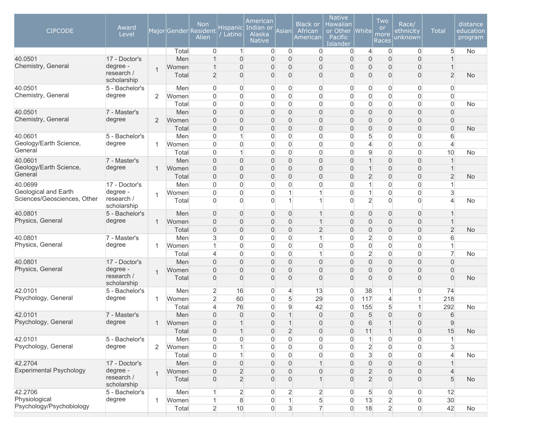| <b>CIPCODE</b>                 | Award<br>Level            |                |       | <b>Non</b><br>Major Gender Resident<br>Alien | Hispanic<br>Latino | American<br>Indian or<br><b>Alaska</b><br><b>Native</b> | Asian               | <b>Black or</b><br>African<br>American | <b>Native</b><br>Hawaiian<br>or Other White<br>Pacific<br>Islander |                     | Two<br><b>or</b><br>more<br>Races | Race/<br>ethnicity<br>unknown | <b>Total</b>   | distance<br>education<br>program |
|--------------------------------|---------------------------|----------------|-------|----------------------------------------------|--------------------|---------------------------------------------------------|---------------------|----------------------------------------|--------------------------------------------------------------------|---------------------|-----------------------------------|-------------------------------|----------------|----------------------------------|
|                                |                           |                | Total | $\overline{0}$                               | $\mathbf{1}$       | $\overline{0}$                                          | $\overline{0}$      | $\overline{0}$                         | $\overline{0}$                                                     | $\overline{4}$      | $\mathbf 0$                       | 0                             | 5              | No                               |
| 40.0501                        | 17 - Doctor's             |                | Men   | $\mathbf 1$                                  | $\overline{0}$     | 0                                                       | $\overline{0}$      | $\overline{0}$                         | $\overline{0}$                                                     | $\overline{0}$      | $\overline{0}$                    | $\mathbf 0$                   |                |                                  |
| Chemistry, General             | degree -                  | 1              | Women | $\overline{1}$                               | $\overline{0}$     | 0                                                       | $\overline{0}$      | $\boldsymbol{0}$                       | $\Omega$                                                           | 0                   | $\overline{0}$                    | $\overline{0}$                |                |                                  |
|                                | research /<br>scholarship |                | Total | $\overline{2}$                               | $\overline{0}$     | 0                                                       | $\overline{0}$      | $\boldsymbol{0}$                       | $\overline{0}$                                                     | 0                   | $\overline{0}$                    | $\overline{0}$                | $\overline{2}$ | <b>No</b>                        |
| 40.0501                        | 5 - Bachelor's            |                | Men   | $\overline{0}$                               | $\overline{0}$     | 0                                                       | 0                   | $\mathbf 0$                            | $\overline{0}$                                                     | 0                   | $\overline{0}$                    | $\overline{0}$                | $\overline{0}$ |                                  |
| Chemistry, General             | degree                    | $\overline{2}$ | Women | $\mathbf 0$                                  | $\overline{0}$     | 0                                                       | $\overline{0}$      | $\mathbf 0$                            | $\overline{0}$                                                     | 0                   | 0                                 | $\overline{0}$                | $\overline{0}$ |                                  |
|                                |                           |                | Total | $\overline{0}$                               | 0                  | 0                                                       | $\mathbf 0$         | $\mathbf 0$                            | $\Omega$                                                           | 0                   | 0                                 | 0                             | $\overline{0}$ | <b>No</b>                        |
| 40.0501                        | 7 - Master's              |                | Men   | $\mathbf{0}$                                 | $\overline{0}$     | 0                                                       | $\overline{0}$      | $\overline{0}$                         | $\overline{0}$                                                     | 0                   | $\overline{0}$                    | $\overline{0}$                | $\overline{0}$ |                                  |
| Chemistry, General             | degree                    | 2              | Women | $\overline{0}$                               | $\overline{0}$     | 0                                                       | $\mathsf{O}\xspace$ | $\boldsymbol{0}$                       | $\Omega$                                                           | 0                   | $\boldsymbol{0}$                  | $\mathsf{O}\xspace$           | $\overline{0}$ |                                  |
|                                |                           |                | Total | $\overline{0}$                               | $\Omega$           | $\Omega$                                                | $\overline{0}$      | $\overline{0}$                         | $\Omega$                                                           | $\overline{0}$      | $\overline{0}$                    | $\overline{0}$                | $\overline{0}$ | <b>No</b>                        |
| 40.0601                        | 5 - Bachelor's            |                | Men   | $\mathbf 0$                                  | 1                  | $\overline{0}$                                          | $\overline{0}$      | $\overline{0}$                         | $\mathbf{0}$                                                       | 5                   | $\overline{0}$                    | $\overline{0}$                | 6              |                                  |
| Geology/Earth Science,         | degree                    | 1              | Women | $\overline{0}$                               | 0                  | 0                                                       | 0                   | $\mathbf 0$                            | $\overline{0}$                                                     | $\overline{4}$      | $\mathbf 0$                       | 0                             | $\overline{4}$ |                                  |
| General                        |                           |                | Total | $\overline{0}$                               | $\mathbf{1}$       | $\overline{0}$                                          | $\overline{0}$      | $\overline{0}$                         | $\Omega$                                                           | 9                   | $\mathsf{O}\xspace$               | 0                             | 10             | <b>No</b>                        |
| 40.0601                        | 7 - Master's              |                | Men   | $\mathbf 0$                                  | $\overline{0}$     | $\overline{0}$                                          | $\mathsf{O}\xspace$ | $\mathbf 0$                            | $\overline{0}$                                                     | 1                   | $\boldsymbol{0}$                  | $\overline{0}$                |                |                                  |
| Geology/Earth Science,         | degree                    | 1              | Women | $\mathbf 0$                                  | $\boldsymbol{0}$   | 0                                                       | $\overline{0}$      | $\boldsymbol{0}$                       | $\overline{0}$                                                     | 1                   | $\boldsymbol{0}$                  | $\mathsf{O}\xspace$           |                |                                  |
| General                        |                           |                | Total | $\mathbf 0$                                  | $\overline{0}$     | 0                                                       | $\overline{0}$      | $\boldsymbol{0}$                       | $\Omega$                                                           | $\overline{c}$      | $\overline{0}$                    | $\mathbf 0$                   | $\overline{2}$ | <b>No</b>                        |
| 40.0699                        | 17 - Doctor's             |                | Men   | $\mathbf 0$                                  | $\overline{0}$     | 0                                                       | 0                   | $\boldsymbol{0}$                       | $\Omega$                                                           | 1                   | 0                                 | $\overline{0}$                |                |                                  |
| Geological and Earth           | degree -                  | 1              | Women | $\overline{0}$                               | 0                  | 0                                                       | $\overline{1}$      | $\mathbf 1$                            | $\overline{0}$                                                     | 1                   | 0                                 | 0                             | 3              |                                  |
| Sciences/Geosciences, Other    | research /<br>scholarship |                | Total | $\Omega$                                     | $\overline{0}$     | $\overline{0}$                                          | 1                   | 1                                      | $\Omega$                                                           | $\overline{2}$      | $\overline{0}$                    | $\overline{0}$                | 4              | No                               |
| 40.0801                        | 5 - Bachelor's            |                | Men   | $\mathbf{0}$                                 | $\overline{0}$     | 0                                                       | 0                   | $\mathbf 1$                            | $\overline{0}$                                                     | 0                   | $\mathbf 0$                       | 0                             |                |                                  |
| Physics, General               | degree                    | 1              | Women | $\mathsf{O}\xspace$                          | $\boldsymbol{0}$   | 0                                                       | $\mathsf{O}\xspace$ | $\mathbf{1}$                           | $\overline{0}$                                                     | 0                   | $\boldsymbol{0}$                  | $\boldsymbol{0}$              |                |                                  |
|                                |                           |                | Total | $\mathbf{0}$                                 | $\overline{0}$     | 0                                                       | $\mathsf{O}\xspace$ | $\overline{2}$                         | $\Omega$                                                           | 0                   | $\overline{0}$                    | $\overline{0}$                | $\overline{2}$ | <b>No</b>                        |
| 40.0801                        | 7 - Master's              |                | Men   | 3                                            | $\overline{0}$     | $\Omega$                                                | $\overline{0}$      | $\mathbf{1}$                           | $\Omega$                                                           | $\overline{2}$      | $\overline{0}$                    | $\mathbf 0$                   | 6              |                                  |
| Physics, General               | degree                    | 1              | Women | $\overline{1}$                               | $\overline{0}$     | 0                                                       | $\overline{0}$      | $\overline{0}$                         | $\Omega$                                                           | 0                   | $\overline{0}$                    | $\overline{0}$                | 1              |                                  |
|                                |                           |                | Total | $\overline{4}$                               | $\overline{0}$     | 0                                                       | $\mathbf 0$         | $\mathbf{1}$                           | $\overline{0}$                                                     | $\overline{2}$      | $\overline{0}$                    | $\overline{0}$                | $\overline{7}$ | No                               |
| 40.0801                        | 17 - Doctor's             |                | Men   | $\mathbf 0$                                  | $\boldsymbol{0}$   | $\overline{0}$                                          | $\mathsf{O}\xspace$ | $\mathbf 0$                            | $\overline{0}$                                                     | $\overline{0}$      | $\boldsymbol{0}$                  | $\boldsymbol{0}$              | $\overline{0}$ |                                  |
| Physics, General               | degree -                  | $\mathbf{1}$   | Women | $\overline{0}$                               | $\overline{0}$     | $\overline{0}$                                          | $\overline{0}$      | $\boldsymbol{0}$                       | $\overline{0}$                                                     | $\overline{0}$      | $\boldsymbol{0}$                  | $\overline{0}$                | $\overline{0}$ |                                  |
|                                | research /<br>scholarship |                | Total | $\overline{0}$                               | $\overline{0}$     | 0                                                       | $\overline{0}$      | $\overline{0}$                         | $\Omega$                                                           | $\overline{0}$      | $\overline{0}$                    | $\overline{0}$                | $\overline{0}$ | <b>No</b>                        |
| 42.0101                        | 5 - Bachelor's            |                | Men   | $\overline{2}$                               | 16                 | $\overline{0}$                                          | 4                   | 13                                     | $\overline{0}$                                                     | 38                  | $\mathbf{1}$                      | 0                             | 74             |                                  |
| Psychology, General            | degree                    | 1              | Women | $\overline{2}$                               | 60                 | 0                                                       | 5                   | 29                                     | $\overline{0}$                                                     | 117                 | $\overline{4}$                    | 1                             | 218            |                                  |
|                                |                           |                | Total | $\overline{4}$                               | 76                 | $\overline{0}$                                          | 9                   | 42                                     | $\overline{0}$                                                     | 155                 | 5                                 | $\mathbf{1}$                  | 292            | <b>No</b>                        |
| 42.0101                        | 7 - Master's              |                | Men   | $\overline{0}$                               | $\overline{0}$     | $\Omega$                                                | $\overline{1}$      | $\mathbf 0$                            | $\Omega$                                                           | 5                   | $\overline{0}$                    | $\overline{0}$                | 6              |                                  |
| Psychology, General            | degree                    | 1              | Women | $\overline{0}$                               | $\mathbf 1$        | 0                                                       | $\overline{1}$      | $\overline{0}$                         | $\Omega$                                                           | 6                   | 1                                 | $\overline{0}$                | 9              |                                  |
|                                |                           |                | Total | $\boldsymbol{0}$                             | $\mathbf{1}$       | $\overline{0}$                                          | $\overline{2}$      | $\overline{0}$                         | $\overline{0}$                                                     | 11                  | $\mathbf{1}$                      | 0                             | 15             | <b>No</b>                        |
| 42.0101                        | 5 - Bachelor's            |                | Men   | $\overline{0}$                               | $\overline{0}$     | 0                                                       | 0                   | $\mathbf 0$                            | $\overline{0}$                                                     | $\mathbf{1}$        | $\mathbf 0$                       | $\overline{0}$                | 1              |                                  |
| Psychology, General            | degree                    | 2              | Women | $\mathbf 0$                                  |                    | 0                                                       | 0                   | $\mathbf 0$                            | $\overline{0}$                                                     | $\overline{2}$      | $\mathsf{O}\xspace$               | 0                             | 3              |                                  |
|                                |                           |                | Total | $\mathbf 0$                                  | $\mathbf{1}$       | 0                                                       | $\overline{0}$      | $\mathsf{O}\xspace$                    | $\Omega$                                                           | $\overline{3}$      | $\mathsf{O}\xspace$               | $\mathsf{O}\xspace$           | $\overline{4}$ | No                               |
| 42.2704                        | 17 - Doctor's             |                | Men   | $\overline{0}$                               | $\boldsymbol{0}$   | 0                                                       | $\boldsymbol{0}$    | $\mathbf{1}$                           | $\overline{0}$                                                     | $\mathsf{O}\xspace$ | $\boldsymbol{0}$                  | $\boldsymbol{0}$              |                |                                  |
| <b>Experimental Psychology</b> | degree -                  | $\mathbf{1}$   | Women | $\mathsf{O}\xspace$                          | $\overline{2}$     | 0                                                       | $\mathsf{O}\xspace$ | $\boldsymbol{0}$                       | $\overline{0}$                                                     | $\overline{2}$      | $\mathsf{O}\xspace$               | $\boldsymbol{0}$              | 4              |                                  |
|                                | research /                |                | Total | $\overline{0}$                               | $\overline{2}$     | $\overline{0}$                                          | $\boldsymbol{0}$    | $\mathbf{1}$                           | $\overline{0}$                                                     | $\overline{2}$      | $\mathsf{O}\xspace$               | $\boldsymbol{0}$              | 5              | <b>No</b>                        |
|                                | scholarship               |                |       |                                              |                    |                                                         |                     |                                        |                                                                    |                     |                                   |                               |                |                                  |
| 42.2706                        | 5 - Bachelor's            |                | Men   |                                              | $\overline{c}$     | 0                                                       | $\overline{2}$      | $\overline{2}$                         | 0                                                                  | 5                   | $\mathbf 0$                       | $\boldsymbol{0}$              | 12             |                                  |
| Physiological                  | degree                    | 1              | Women |                                              | 8                  | 0                                                       | $\mathbf{1}$        | 5                                      | $\overline{0}$                                                     | 13                  | $\overline{c}$                    | $\boldsymbol{0}$              | 30             |                                  |
| Psychology/Psychobiology       |                           |                | Total | $\overline{2}$                               | 10                 | 0                                                       | 3                   | $\overline{7}$                         | $\overline{0}$                                                     | 18                  | $\overline{2}$                    | $\boldsymbol{0}$              | 42             | No                               |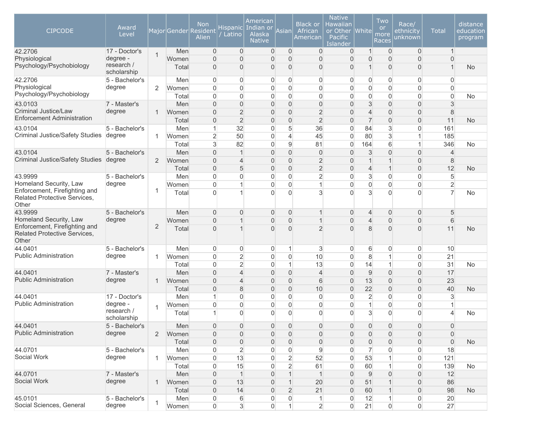| <b>CIPCODE</b>                                                         | Award<br>Level                        |                |                | <b>Non</b><br>Major Gender Resident<br>Alien | <b>Hispanic</b><br>Latino        | American<br>Indian or<br>Alaska<br><b>Native</b> | Asian                          | <b>Black or</b><br>African<br>American | <b>Native</b><br>Hawaiian<br>or Other<br>Pacific<br>Islander | <b>White</b>                  | Two<br><b>or</b><br>more<br>Races | Race/<br>ethnicity<br>unknown    | <b>Total</b>        | distance<br>education<br>program |
|------------------------------------------------------------------------|---------------------------------------|----------------|----------------|----------------------------------------------|----------------------------------|--------------------------------------------------|--------------------------------|----------------------------------------|--------------------------------------------------------------|-------------------------------|-----------------------------------|----------------------------------|---------------------|----------------------------------|
| 42.2706                                                                | 17 - Doctor's                         | $\mathbf{1}$   | Men            | $\overline{0}$                               | $\overline{0}$                   | $\mathbf 0$                                      | $\overline{0}$                 | $\mathbf 0$                            | $\overline{0}$                                               | 1                             | $\overline{0}$                    | $\mathbf{0}$                     | $\mathbf{1}$        |                                  |
| Physiological<br>Psychology/Psychobiology                              | degree -<br>research /<br>scholarship |                | Women<br>Total | $\Omega$<br>$\mathbf{0}$                     | 0<br>0                           | $\overline{0}$<br>0                              | $\overline{0}$<br>$\mathbf{0}$ | $\overline{0}$<br>0                    | $\overline{0}$<br>0                                          | $\overline{0}$<br>$\mathbf 1$ | $\overline{0}$<br>$\overline{0}$  | $\overline{0}$<br>$\overline{0}$ | $\overline{0}$      | <b>No</b>                        |
| 42.2706                                                                | 5 - Bachelor's                        |                | Men            | $\mathbf{0}$                                 | 0                                | $\mathbf 0$                                      | $\mathbf{0}$                   | 0                                      | $\overline{0}$                                               | 0                             | $\overline{0}$                    | $\overline{0}$                   | $\overline{0}$      |                                  |
| Physiological                                                          | degree                                | 2              | Women          | $\overline{0}$                               | 0                                | 0                                                | $\mathbf 0$                    | 0                                      | $\overline{0}$                                               | $\overline{0}$                | $\boldsymbol{0}$                  | $\overline{0}$                   | $\overline{0}$      |                                  |
| Psychology/Psychobiology                                               |                                       |                | Total          | $\overline{0}$                               | 0                                | 0                                                | $\mathbf 0$                    | 0                                      | $\Omega$                                                     | $\overline{0}$                | $\overline{0}$                    | $\overline{0}$                   | $\overline{0}$      | No                               |
| 43.0103                                                                | 7 - Master's                          |                | Men            | $\Omega$                                     | $\overline{0}$                   | 0                                                | $\overline{0}$                 | $\boldsymbol{0}$                       | $\Omega$                                                     | 3                             | $\overline{0}$                    | $\overline{0}$                   | 3                   |                                  |
| Criminal Justice/Law<br><b>Enforcement Administration</b>              | degree                                | 1              | Women          | $\Omega$                                     | $\overline{2}$                   | $\overline{0}$                                   | $\overline{0}$                 | $\overline{2}$                         | $\Omega$                                                     | $\overline{4}$                | $\overline{0}$                    | $\overline{0}$                   | 8                   |                                  |
| 43.0104                                                                | 5 - Bachelor's                        |                | Total<br>Men   | $\Omega$<br>1                                | $\overline{2}$<br>32             | $\overline{0}$<br>0                              | $\overline{0}$<br>5            | $\overline{2}$<br>36                   | $\Omega$<br>$\overline{0}$                                   | $\overline{7}$<br>84          | $\overline{0}$<br>3               | $\overline{0}$<br>$\overline{0}$ | 11<br>161           | <b>No</b>                        |
| Criminal Justice/Safety Studies                                        | degree                                | 1              | Women          | $\overline{2}$                               | 50                               | 0                                                | $\overline{4}$                 | 45                                     | $\overline{0}$                                               | 80                            | 3                                 | $\mathbf{1}$                     | 185                 |                                  |
|                                                                        |                                       |                | Total          | 3                                            | 82                               | 0                                                | $\overline{9}$                 | 81                                     | $\overline{0}$                                               | 164                           | 6                                 | $\mathbf{1}$                     | 346                 | <b>No</b>                        |
| 43.0104                                                                | 5 - Bachelor's                        |                | Men            | $\overline{0}$                               | $\mathbf{1}$                     | $\overline{0}$                                   | $\mathbf 0$                    | $\mathbf 0$                            | $\mathbf{0}$                                                 | 3                             | $\mathbf 0$                       | $\boldsymbol{0}$                 | $\overline{4}$      |                                  |
| <b>Criminal Justice/Safety Studies</b>                                 | degree                                | 2              | Women          | $\overline{0}$                               | $\overline{4}$                   | 0                                                | $\mathbf 0$                    | $\overline{2}$                         | 0                                                            | $\mathbf{1}$                  | $\mathbf 1$                       | $\mathbf 0$                      | 8                   |                                  |
|                                                                        |                                       |                | Total          | $\overline{0}$                               | 5                                | $\overline{0}$                                   | $\overline{0}$                 | $\overline{2}$                         | $\Omega$                                                     | $\overline{4}$                | $\mathbf 1$                       | $\overline{0}$                   | 12                  | <b>No</b>                        |
| 43.9999                                                                | 5 - Bachelor's                        |                | Men            | $\overline{0}$                               | 0                                | 0                                                | $\mathbf 0$                    | $\overline{c}$                         | 0                                                            | 3                             | $\boldsymbol{0}$                  | $\overline{0}$                   | 5                   |                                  |
| Homeland Security, Law                                                 | degree                                |                | Women          | $\overline{0}$                               | $\mathbf{1}$                     | 0                                                | $\overline{0}$                 | $\mathbf{1}$                           | $\overline{0}$                                               | $\overline{0}$                | $\boldsymbol{0}$                  | $\boldsymbol{0}$                 | $\overline{2}$      |                                  |
| Enforcement, Firefighting and<br>Related Protective Services,<br>Other |                                       | 1              | Total          | $\Omega$                                     | 1                                | $\overline{0}$                                   | $\Omega$                       | 3                                      | $\Omega$                                                     | 3                             | $\overline{0}$                    | $\Omega$                         | $\overline{7}$      | <b>No</b>                        |
| 43.9999                                                                | 5 - Bachelor's                        |                | Men            | $\overline{0}$                               | 0                                | $\overline{0}$                                   | $\overline{0}$                 | $\overline{1}$                         | $\mathbf{0}$                                                 | $\overline{4}$                | $\boldsymbol{0}$                  | $\overline{0}$                   | 5                   |                                  |
| Homeland Security, Law                                                 | degree                                |                | Women          | $\mathbf{0}$                                 | $\mathbf{1}$                     | 0                                                | $\mathbf 0$                    | $\overline{1}$                         | 0                                                            | $\overline{4}$                | 0                                 | $\overline{0}$                   | 6                   |                                  |
| Enforcement, Firefighting and<br>Related Protective Services,<br>Other |                                       | $\overline{2}$ | Total          | $\overline{0}$                               | $\mathbf{1}$                     | $\Omega$                                         | $\Omega$                       | $\overline{2}$                         | $\Omega$                                                     | 8                             | 0                                 | $\Omega$                         | 11                  | <b>No</b>                        |
| 44.0401                                                                | 5 - Bachelor's                        |                | Men            | $\overline{0}$                               | 0                                | $\boldsymbol{0}$                                 | $\mathbf{1}$                   | $\mathbf{3}$                           | $\overline{0}$                                               | 6                             | $\overline{0}$                    | $\boldsymbol{0}$                 | 10                  |                                  |
| <b>Public Administration</b>                                           | degree                                | 1              | Women          | $\overline{0}$                               | $\overline{c}$                   | 0                                                | $\mathbf 0$                    | 10                                     | $\mathbf 0$                                                  | 8                             | $\mathbf 1$                       | $\overline{0}$                   | 21                  |                                  |
|                                                                        |                                       |                | Total          | $\overline{0}$                               | $\overline{2}$                   | 0                                                | $\mathbf{1}$                   | 13                                     | $\mathbf 0$                                                  | 14                            | $\mathbf{1}$                      | $\mathbf 0$                      | 31                  | No                               |
| 44.0401                                                                | 7 - Master's                          |                | Men            | $\overline{0}$                               | $\overline{\mathcal{L}}$         | $\overline{0}$                                   | $\overline{0}$                 | $\overline{4}$                         | $\Omega$                                                     | $9\,$                         | $\overline{0}$                    | $\boldsymbol{0}$                 | 17                  |                                  |
| <b>Public Administration</b>                                           | degree                                | 1              | Women          | $\overline{0}$                               | 4                                | $\overline{0}$                                   | $\mathbf 0$                    | 6                                      | $\Omega$                                                     | 13                            | 0                                 | $\overline{0}$                   | 23                  |                                  |
|                                                                        |                                       |                | Total          | $\Omega$                                     | 8                                | $\overline{0}$                                   | $\overline{0}$                 | 10                                     | $\overline{0}$                                               | 22                            | $\overline{0}$                    | $\mathbf 0$                      | 40                  | <b>No</b>                        |
| 44.0401                                                                | 17 - Doctor's                         |                | Men            | 1                                            | $\overline{0}$                   | $\overline{0}$                                   | $\Omega$                       | $\mathbf 0$                            | $\Omega$                                                     | $\overline{2}$                | $\overline{0}$                    | $\overline{0}$                   | 3                   |                                  |
| Public Administration                                                  | degree -<br>research /<br>scholarship | 1              | Women<br>Total | $\overline{0}$                               | $\overline{0}$<br>$\overline{0}$ | 0<br>$\Omega$                                    | $\mathbf 0$<br>$\Omega$        | $\overline{0}$<br>$\Omega$             | $\overline{0}$<br>$\Omega$                                   | $\mathbf{1}$<br>3             | $\overline{0}$<br>$\overline{0}$  | $\overline{0}$<br>$\Omega$       | 1<br>Δ              | No                               |
| 44.0401                                                                | 5 - Bachelor's                        |                | Men            | $\Omega$                                     | $\Omega$                         | $\Omega$                                         | $\Omega$                       | $\overline{0}$                         | $\Omega$                                                     | $\Omega$                      | $\Omega$                          | $\Omega$                         | $\Omega$            |                                  |
| <b>Public Administration</b>                                           | degree                                | $\overline{2}$ | Women          | $\boldsymbol{0}$                             | 0                                | $\boldsymbol{0}$                                 | $\mathsf{O}\xspace$            | 0                                      | $\overline{0}$                                               | $\boldsymbol{0}$              | $\mathsf{O}\xspace$               | $\mathbf 0$                      | 0                   |                                  |
|                                                                        |                                       |                | Total          | $\boldsymbol{0}$                             | $\mathsf{O}\xspace$              | $\boldsymbol{0}$                                 | $\mathsf{O}\xspace$            | 0                                      | $\boldsymbol{0}$                                             | $\boldsymbol{0}$              | $\mathsf{O}\xspace$               | $\mathsf{O}\xspace$              | $\mathsf{O}\xspace$ | <b>No</b>                        |
| 44.0701                                                                | 5 - Bachelor's                        |                | Men            | $\boldsymbol{0}$                             | $\overline{2}$                   | 0                                                | $\boldsymbol{0}$               | 9                                      | $\overline{0}$                                               | $\overline{7}$                | $\boldsymbol{0}$                  | $\boldsymbol{0}$                 | 18                  |                                  |
| Social Work                                                            | degree                                | 1              | Women          | $\mathbf 0$                                  | 13                               | $\mathsf{O}\xspace$                              | $\overline{2}$                 | 52                                     | $\overline{0}$                                               | 53                            | 1                                 | $\mathsf{O}\xspace$              | 121                 |                                  |
|                                                                        |                                       |                | Total          | 0                                            | 15                               | 0                                                | $\overline{2}$                 | 61                                     | $\overline{0}$                                               | 60                            | 1                                 | $\boldsymbol{0}$                 | 139                 | No                               |
| 44.0701                                                                | 7 - Master's                          |                | Men            | $\mathbf 0$                                  | $\mathbf{1}$                     | $\boldsymbol{0}$                                 | $\overline{1}$                 | $\mathbf{1}$                           | $\mathbf{0}$                                                 | $9\,$                         | 0                                 | $\overline{0}$                   | 12                  |                                  |
| Social Work                                                            | degree                                | 1              | Women          | $\mathbf 0$                                  | 13                               | 0                                                | $\mathbf{1}$                   | 20                                     | $\overline{0}$                                               | 51                            | $\overline{1}$                    | $\boldsymbol{0}$                 | 86                  |                                  |
|                                                                        |                                       |                | Total          | $\overline{0}$                               | 14                               | 0                                                | $\overline{2}$                 | 21                                     | $\mathbf{0}$                                                 | 60                            | 1                                 | $\mathsf{O}\xspace$              | 98                  | <b>No</b>                        |
| 45.0101                                                                | 5 - Bachelor's                        | 1              | Men            | 0                                            | 6                                | 0                                                | $\boldsymbol{0}$               | $\mathbf{1}$                           | $\overline{0}$                                               | 12                            | $\mathbf{1}$                      | $\boldsymbol{0}$                 | $20\,$              |                                  |
| Social Sciences, General                                               | degree                                |                | Women          | $\overline{0}$                               | $\mathbf{3}$                     | $\overline{0}$                                   | $\mathbf{1}$                   | $\overline{2}$                         | $\overline{0}$                                               | 21                            | $\boldsymbol{0}$                  | $\mathsf{O}\xspace$              | 27                  |                                  |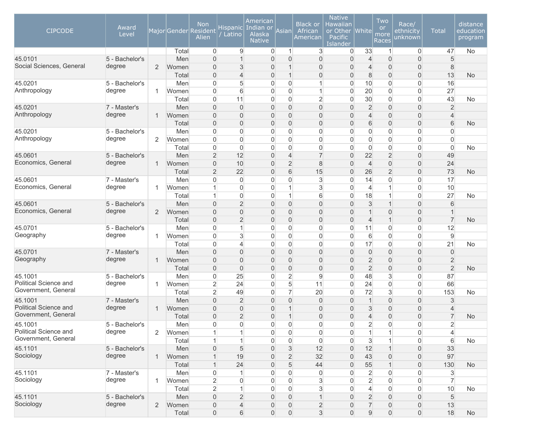| <b>CIPCODE</b>                   | Award<br>Level           |                |                | <b>Non</b><br>Major Gender Resident<br>Alien | Hispanic<br>Latino            | American<br>Indian or<br>Alaska<br><b>Native</b> | Asian                                   | <b>Black or</b><br>African<br>American | <b>Native</b><br>Hawaiian<br>or Other<br>Pacific<br><b>Islander</b> | White               | Two<br><b>or</b><br>more<br>Races | Race/<br>ethnicity<br>unknown   | <b>Total</b>            | distance<br>education<br>program |
|----------------------------------|--------------------------|----------------|----------------|----------------------------------------------|-------------------------------|--------------------------------------------------|-----------------------------------------|----------------------------------------|---------------------------------------------------------------------|---------------------|-----------------------------------|---------------------------------|-------------------------|----------------------------------|
|                                  |                          |                | Total          | $\overline{0}$                               | 9                             | $\overline{0}$                                   | $\mathbf{1}$                            | 3                                      | $\overline{0}$                                                      | 33                  | $\mathbf{1}$                      | $\overline{0}$                  | 47                      | No                               |
| 45.0101                          | 5 - Bachelor's           |                | Men            | $\overline{0}$                               |                               | $\overline{0}$                                   | $\overline{0}$                          | $\boldsymbol{0}$                       | 0                                                                   | $\overline{4}$      | $\overline{0}$                    | $\overline{0}$                  | 5                       |                                  |
| Social Sciences, General         | degree                   | 2              | Women          | $\overline{0}$                               | 3                             | 0                                                | $\mathbf{1}$                            | $\boldsymbol{0}$                       | $\Omega$                                                            | $\overline{4}$      | $\overline{0}$                    | $\overline{0}$                  | 8                       |                                  |
|                                  |                          |                | Total          | $\overline{0}$                               | $\overline{4}$                | $\mathbf{0}$                                     | $\mathbf{1}$                            | $\boldsymbol{0}$                       | $\mathbf{0}$                                                        | 8                   | $\boldsymbol{0}$                  | $\overline{0}$                  | 13                      | No                               |
| 45.0201                          | 5 - Bachelor's           |                | Men            | $\overline{0}$                               | 5                             | 0                                                | $\boldsymbol{0}$                        | $\mathbf{1}$                           | $\Omega$                                                            | 10                  | $\overline{0}$                    | 0                               | 16                      |                                  |
| Anthropology                     | degree                   | 1              | Women          | 0                                            | 6                             | $\overline{0}$                                   | $\mathbf{0}$                            | $\mathbf{1}$                           | $\Omega$                                                            | 20                  | $\overline{0}$                    | $\overline{0}$                  | 27                      |                                  |
|                                  |                          |                | Total          | $\mathbf 0$                                  | 11                            | $\overline{0}$                                   | $\mathbf{0}$                            | $\overline{2}$                         | $\overline{0}$                                                      | 30                  | $\overline{0}$                    | $\mathbf 0$                     | 43                      | No                               |
| 45.0201                          | 7 - Master's             |                | Men            | $\overline{0}$                               | $\mathbf{0}$                  | $\overline{0}$                                   | $\overline{0}$                          | $\boldsymbol{0}$                       | 0                                                                   | $\overline{2}$      | $\overline{0}$                    | $\overline{0}$                  | $\overline{2}$          |                                  |
| Anthropology                     | degree                   | $\mathbf{1}$   | Women          | $\overline{0}$                               | $\overline{0}$                | 0                                                | $\overline{0}$                          | $\boldsymbol{0}$                       | 0                                                                   | $\overline{4}$      | $\overline{0}$                    | $\overline{0}$                  | $\overline{4}$          |                                  |
|                                  |                          |                | Total          | $\overline{0}$                               | $\mathbf{0}$                  | 0                                                | $\overline{0}$                          | $\boldsymbol{0}$                       | 0                                                                   | 6                   | $\overline{0}$                    | $\mathsf{O}\xspace$             | 6                       | <b>No</b>                        |
| 45.0201                          | 5 - Bachelor's           |                | Men            | $\boldsymbol{0}$                             | $\overline{0}$                | $\overline{0}$                                   | $\boldsymbol{0}$                        | $\boldsymbol{0}$                       | 0                                                                   | $\overline{0}$      | $\overline{0}$                    | 0                               | $\overline{0}$          |                                  |
| Anthropology                     | degree                   | 2              | Women          | $\overline{0}$                               | $\overline{0}$                | $\overline{0}$                                   | $\mathbf 0$                             | $\overline{0}$                         | $\overline{0}$                                                      | $\overline{0}$      | $\overline{0}$                    | $\overline{0}$                  | $\mathbf 0$             |                                  |
|                                  |                          |                | Total          | $\mathbf 0$                                  | $\overline{0}$                | 0                                                | $\mathbf 0$                             | $\boldsymbol{0}$                       | 0                                                                   | $\overline{0}$      | $\mathbf 0$                       | $\mathbf 0$                     | $\mathbf 0$             | No                               |
| 45.0601                          | 5 - Bachelor's           |                | Men            | $\overline{2}$                               | 12                            | 0                                                | $\overline{4}$                          | $\overline{7}$                         | 0                                                                   | 22                  | $\sqrt{2}$                        | $\overline{0}$                  | 49                      |                                  |
| Economics, General               | degree                   | $\mathbf{1}$   | Women          | $\overline{0}$                               | 10                            | 0                                                | $\overline{2}$                          | 8                                      | $\Omega$                                                            | $\overline{4}$      | $\overline{0}$                    | $\overline{0}$                  | 24                      |                                  |
|                                  |                          |                | Total          | $\overline{2}$                               | 22                            | $\mathbf{0}$                                     | 6                                       | 15                                     | $\mathbf{0}$                                                        | 26                  | $\overline{2}$                    | $\mathsf{O}\xspace$             | 73                      | No                               |
| 45.0601<br>Economics, General    | 7 - Master's             |                | Men            | $\overline{0}$                               | $\overline{0}$                | $\Omega$                                         | $\mathbf 0$                             | 3                                      | $\Omega$                                                            | 14                  | 0                                 | 0                               | 17                      |                                  |
|                                  | degree                   | 1              | Women          | 1                                            | 0                             | $\overline{0}$                                   | $\mathbf 1$                             | 3                                      | $\Omega$                                                            | $\overline{4}$      | 1                                 | $\overline{0}$                  | 10                      |                                  |
|                                  |                          |                | Total          | $\mathbf 1$                                  | $\overline{0}$                | $\overline{0}$                                   | $\mathbf{1}$                            | 6                                      | $\Omega$                                                            | 18                  |                                   | $\mathbf 0$                     | 27                      | No                               |
| 45.0601                          | 5 - Bachelor's           |                | Men            | $\overline{0}$                               | $\overline{2}$                | 0                                                | $\overline{0}$                          | $\overline{0}$                         | $\Omega$                                                            | 3                   |                                   | $\overline{0}$                  | 6                       |                                  |
| Economics, General               | degree                   | 2              | Women          | $\overline{0}$                               | $\overline{0}$                | 0                                                | $\overline{0}$                          | $\boldsymbol{0}$                       | 0                                                                   | $\mathbf{1}$        | $\overline{0}$                    | $\overline{0}$                  | $\mathbf 1$             |                                  |
|                                  |                          |                | Total          | $\overline{0}$                               | $\overline{2}$                | 0                                                | $\mathbf 0$                             | $\boldsymbol{0}$                       | 0                                                                   | $\overline{4}$      | 1                                 | $\mathsf{O}\xspace$             | $\overline{7}$          | No                               |
| 45.0701                          | 5 - Bachelor's           |                | Men            | $\overline{0}$                               | 1                             | $\overline{0}$                                   | $\boldsymbol{0}$                        | $\boldsymbol{0}$                       | $\overline{0}$                                                      | 11                  | $\overline{0}$                    | 0                               | 12                      |                                  |
| Geography                        | degree                   | 1              | Women          | $\overline{0}$                               | 3                             | $\overline{0}$                                   | 0                                       | $\boldsymbol{0}$                       | 0                                                                   | 6                   | $\mathbf 0$                       | $\overline{0}$                  | $\boldsymbol{9}$        |                                  |
|                                  |                          |                | Total          | $\overline{0}$                               | $\overline{4}$                | $\overline{0}$                                   | $\mathbf 0$                             | $\boldsymbol{0}$                       | 0                                                                   | 17                  | $\mathbf 0$                       | $\mathsf{O}\xspace$             | 21                      | No                               |
| 45.0701<br>Geography             | 7 - Master's             |                | Men            | $\overline{0}$                               | $\overline{0}$                | $\Omega$                                         | $\overline{0}$                          | $\overline{0}$                         | $\Omega$                                                            | $\overline{0}$      | $\overline{0}$                    | $\overline{0}$                  | $\overline{0}$          |                                  |
|                                  | degree                   | 1              | Women          | $\overline{0}$                               | $\mathbf{0}$                  | 0                                                | $\overline{0}$                          | $\boldsymbol{0}$                       | 0                                                                   | $\overline{2}$      | $\overline{0}$                    | $\overline{0}$                  | $\overline{2}$          |                                  |
| 45.1001                          |                          |                | Total          | $\boldsymbol{0}$                             | $\overline{0}$                | $\mathbf{0}$                                     | $\mathbf 0$                             | $\boldsymbol{0}$                       | $\Omega$                                                            | $\overline{2}$      | $\boldsymbol{0}$                  | 0                               | $\overline{2}$          | No                               |
| Political Science and            | 5 - Bachelor's<br>degree |                | Men            | 0                                            | 25                            | $\Omega$                                         | $\overline{2}$                          | 9                                      | $\Omega$                                                            | 48                  | 3                                 | $\overline{0}$                  | 87                      |                                  |
| Government, General              |                          | 1              | Women          | $\overline{2}$                               | 24                            | $\overline{0}$                                   | 5                                       | 11                                     | $\Omega$                                                            | 24                  | $\overline{0}$                    | $\overline{0}$                  | 66                      |                                  |
|                                  |                          |                | Total          | $\overline{2}$                               | 49                            | $\overline{0}$                                   | $\overline{7}$                          | 20                                     | $\overline{0}$                                                      | 72                  | 3                                 | $\overline{0}$                  | 153                     | No                               |
| 45.1001<br>Political Science and | 7 - Master's<br>degree   |                | Men            | $\overline{0}$<br>$\overline{0}$             | $\overline{2}$                | $\overline{0}$                                   | $\overline{0}$<br>$\overline{1}$        | $\boldsymbol{0}$                       | 0                                                                   | $\mathbf{1}$        | $\overline{0}$                    | $\overline{0}$                  | 3                       |                                  |
| Government, General              |                          | $\mathbf{1}$   | Women          |                                              | $\mathbf 0$<br>$\overline{2}$ | 0<br>$\overline{0}$                              | $\mathbf{1}$                            | $\overline{0}$                         | 0<br>0                                                              | 3<br>$\overline{4}$ | $\mathbf{0}$                      | 0                               | 4<br>$\overline{7}$     |                                  |
| 45.1001                          | 5 - Bachelor's           |                | Total          | $\mathbf 0$<br>$\Omega$                      | $\Omega$                      | $\Omega$                                         | $\mathbf{0}$                            | $\mathsf{O}\xspace$<br>$\overline{0}$  | $\overline{0}$                                                      | $\overline{2}$      | $\boldsymbol{0}$<br>$\Omega$      | $\mathsf{O}\xspace$<br>$\Omega$ | $\overline{2}$          | No                               |
| Political Science and            | degree                   |                | Men            |                                              |                               |                                                  |                                         |                                        |                                                                     |                     |                                   |                                 |                         |                                  |
| Government, General              |                          | $\overline{2}$ | Women<br>Total | $\mathbf{1}$<br>$\mathbf{1}$                 | 1<br>$\mathbf{1}$             | 0<br>0                                           | $\boldsymbol{0}$<br>$\mathsf{O}\xspace$ | 0<br>$\overline{0}$                    | $\mathbf 0$<br>$\overline{0}$                                       | $\mathbf{1}$<br>3   | $\mathbf{1}$<br>$\overline{1}$    | 0<br>$\mathsf{O}\xspace$        | $\overline{4}$<br>$\,6$ | No                               |
| 45.1101                          | 5 - Bachelor's           |                | Men            |                                              | $\sqrt{5}$                    |                                                  | $\mathsf 3$                             | 12                                     | $\overline{0}$                                                      | 12                  | $\mathbf 1$                       |                                 | 33                      |                                  |
| Sociology                        | degree                   | $\mathbf{1}$   | Women          | $\boldsymbol{0}$<br>$\overline{1}$           | 19                            | $\boldsymbol{0}$                                 | $\overline{2}$                          | 32                                     | $\overline{0}$                                                      | 43                  |                                   | 0                               | 97                      |                                  |
|                                  |                          |                | Total          | $\mathbf{1}$                                 | 24                            | 0                                                | 5                                       | 44                                     | $\overline{0}$                                                      | 55                  | 0<br>$\mathbf 1$                  | 0                               | 130                     | <b>No</b>                        |
| 45.1101                          | 7 - Master's             |                | Men            | $\boldsymbol{0}$                             |                               | $\boldsymbol{0}$<br>$\overline{0}$               | 0                                       | $\boldsymbol{0}$                       | 0                                                                   | $\overline{2}$      | $\boldsymbol{0}$                  | $\boldsymbol{0}$<br>0           | 3                       |                                  |
| Sociology                        | degree                   | $\mathbf{1}$   | Women          | $\overline{2}$                               | $\overline{0}$                | 0                                                | $\mathsf{O}\xspace$                     | 3                                      | 0                                                                   | $\overline{2}$      | $\mathsf{O}\xspace$               | $\boldsymbol{0}$                | $\overline{7}$          |                                  |
|                                  |                          |                | Total          | $\overline{2}$                               | 1                             | $\overline{0}$                                   | $\mathsf{O}\xspace$                     | $\mathbf{3}$                           | 0                                                                   | $\overline{4}$      | $\overline{0}$                    | $\boldsymbol{0}$                | 10                      | No                               |
| 45.1101                          | 5 - Bachelor's           |                | Men            | $\mathsf{O}\xspace$                          | $\overline{c}$                | $\overline{0}$                                   | $\mathbf 0$                             | $\mathbf{1}$                           | 0                                                                   | $\overline{2}$      | $\overline{0}$                    | 0                               | $\sqrt{5}$              |                                  |
| Sociology                        | degree                   | $\overline{2}$ | Women          | $\boldsymbol{0}$                             | $\overline{4}$                | 0                                                | $\mathbf 0$                             | $\overline{2}$                         | 0                                                                   | $\overline{7}$      | $\mathsf{O}\xspace$               | $\boldsymbol{0}$                | 13                      |                                  |
|                                  |                          |                | Total          | $\mathsf{O}\xspace$                          | 6                             | $\overline{0}$                                   | $\mathsf{O}\xspace$                     | $\sqrt{3}$                             | $\boldsymbol{0}$                                                    | $\boldsymbol{9}$    | $\mathsf{O}\xspace$               | $\boldsymbol{0}$                | 18                      | No                               |
|                                  |                          |                |                |                                              |                               |                                                  |                                         |                                        |                                                                     |                     |                                   |                                 |                         |                                  |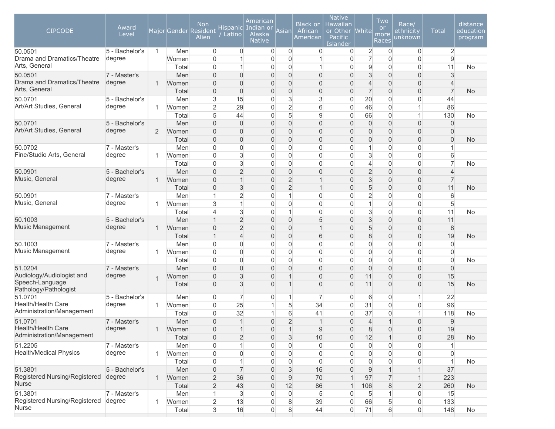| <b>CIPCODE</b>                           | Award<br>Level           |              |              | Non<br>Major Gender Resident<br>Alien | <b>Hispanic</b><br>Latino        | American<br>Indian or<br><b>Alaska</b><br><b>Native</b> | Asian                         | <b>Black or</b><br>African<br>American | <b>Native</b><br>Hawaiian<br>or Other<br>Pacific<br>Islander | <b>White</b>     | Two<br><sub>or</sub><br>more<br>Races | Race/<br><u>et</u> hnicity<br>unknown | <b>Total</b>     | distance<br>education<br>program |
|------------------------------------------|--------------------------|--------------|--------------|---------------------------------------|----------------------------------|---------------------------------------------------------|-------------------------------|----------------------------------------|--------------------------------------------------------------|------------------|---------------------------------------|---------------------------------------|------------------|----------------------------------|
| 50.0501                                  | 5 - Bachelor's           | $\mathbf{1}$ | Men          | $\overline{0}$                        | $\overline{0}$                   | $\mathbf 0$                                             | $\overline{0}$                | 0                                      | $\overline{0}$                                               | $\overline{c}$   | 0                                     | $\mathbf 0$                           | $\overline{2}$   |                                  |
| Drama and Dramatics/Theatre              | degree                   |              | Women        | $\overline{0}$                        |                                  | $\overline{0}$                                          | $\mathbf{0}$                  | $\mathbf{1}$                           | 0                                                            | $\overline{7}$   | $\Omega$                              | $\overline{0}$                        | $\overline{9}$   |                                  |
| Arts, General                            |                          |              | Total        | $\overline{0}$                        | 1                                | $\overline{0}$                                          | 0                             | $\mathbf{1}$                           | $\Omega$                                                     | 9                | $\mathbf 0$                           | $\overline{0}$                        | 11               | No                               |
| 50.0501<br>Drama and Dramatics/Theatre   | 7 - Master's             |              | Men          | $\overline{0}$                        | 0                                | $\overline{0}$                                          | $\overline{0}$                | $\mathbf 0$                            | 0                                                            | 3                | $\overline{0}$                        | $\overline{0}$                        | $\mathbf{3}$     |                                  |
| Arts, General                            | degree                   | $\mathbf{1}$ | Women        | $\overline{0}$                        | $\overline{0}$                   | $\overline{0}$                                          | $\overline{0}$                | $\mathbf 0$                            | $\Omega$                                                     | $\overline{4}$   | $\Omega$                              | $\overline{0}$                        | $\overline{4}$   |                                  |
|                                          |                          |              | Total        | $\overline{0}$                        | $\overline{0}$                   | $\overline{0}$                                          | $\overline{0}$                | $\mathbf 0$                            | $\Omega$                                                     | $\overline{7}$   | $\mathbf{0}$                          | $\overline{0}$                        | $\overline{7}$   | <b>No</b>                        |
| 50.0701<br>Art/Art Studies, General      | 5 - Bachelor's           |              | Men          | 3                                     | 15                               | $\overline{0}$                                          | 3                             | 3                                      | 0                                                            | 20               | $\mathbf 0$                           | 0                                     | 44               |                                  |
|                                          | degree                   | 1            | Women        | $\overline{2}$                        | 29                               | $\Omega$                                                | $\overline{2}$                | $6\,$                                  | 0                                                            | 46               | $\Omega$                              | $\mathbf{1}$                          | 86               |                                  |
|                                          |                          |              | Total        | 5                                     | 44                               | $\overline{0}$                                          | 5                             | $9\,$                                  | 0                                                            | 66               | $\overline{0}$                        | $\mathbf{1}$                          | 130              | No                               |
| 50.0701<br>Art/Art Studies, General      | 5 - Bachelor's<br>degree |              | Men          | $\overline{0}$                        | $\overline{0}$                   | $\overline{0}$                                          | $\mathbf 0$                   | $\mathbf 0$                            | 0                                                            | $\boldsymbol{0}$ | $\overline{0}$                        | $\overline{0}$                        | $\overline{0}$   |                                  |
|                                          |                          | 2            | Women        | $\overline{0}$                        | $\overline{0}$                   | $\overline{0}$                                          | $\overline{0}$                | $\mathbf 0$                            | 0                                                            | 0                | $\overline{0}$                        | $\boldsymbol{0}$                      | $\overline{0}$   |                                  |
| 50.0702                                  | 7 - Master's             |              | Total<br>Men | $\overline{0}$<br>$\overline{0}$      | $\overline{0}$<br>$\overline{0}$ | $\overline{0}$<br>$\overline{0}$                        | $\mathbf 0$<br>$\overline{0}$ | $\mathbf 0$<br>$\mathbf 0$             | 0<br>$\overline{0}$                                          | 0<br>1           | $\overline{0}$<br>$\Omega$            | $\boldsymbol{0}$<br>$\boldsymbol{0}$  | $\mathbf 0$<br>1 | <b>No</b>                        |
| Fine/Studio Arts, General                | degree                   | 1            | Women        | $\Omega$                              | $\mathbf{3}$                     | $\Omega$                                                | $\overline{0}$                | $\overline{0}$                         | $\overline{0}$                                               | 3                | $\mathbf{0}$                          | $\overline{0}$                        | 6                |                                  |
|                                          |                          |              | Total        | $\overline{0}$                        | 3                                | $\overline{0}$                                          | 0                             | $\overline{0}$                         | 0                                                            | $\overline{4}$   | $\Omega$                              | $\overline{0}$                        | $\overline{7}$   | No                               |
| 50.0901                                  | 5 - Bachelor's           |              | Men          | $\overline{0}$                        | $\overline{2}$                   | $\overline{0}$                                          | $\overline{0}$                | $\boldsymbol{0}$                       | $\Omega$                                                     | $\overline{2}$   | $\overline{0}$                        | $\overline{0}$                        | $\overline{4}$   |                                  |
| Music, General                           | degree                   | 1            | Women        | $\mathbf{0}$                          | 1                                | $\overline{0}$                                          | $\overline{2}$                | $\mathbf{1}$                           | $\Omega$                                                     | 3                | $\mathbf{0}$                          | $\overline{0}$                        | $\overline{7}$   |                                  |
|                                          |                          |              | Total        | $\overline{0}$                        | 3                                | $\overline{0}$                                          | $\overline{2}$                | $\mathbf{1}$                           | $\Omega$                                                     | 5                | $\mathbf{0}$                          | $\overline{0}$                        | 11               | <b>No</b>                        |
| 50.0901                                  | 7 - Master's             |              | Men          | $\mathbf 1$                           | $\overline{2}$                   | $\Omega$                                                | $\overline{1}$                | $\overline{0}$                         | $\overline{0}$                                               | $\overline{2}$   | $\Omega$                              | $\overline{0}$                        | 6                |                                  |
| Music, General                           | degree                   | 1            | Women        | 3                                     | $\mathbf{1}$                     | $\overline{0}$                                          | $\overline{0}$                | $\overline{0}$                         | $\overline{0}$                                               | $\mathbf{1}$     | $\Omega$                              | $\overline{0}$                        | 5                |                                  |
|                                          |                          |              | Total        | $\overline{4}$                        | 3                                | $\overline{0}$                                          | $\mathbf{1}$                  | $\mathbf 0$                            | 0                                                            | 3                | $\overline{0}$                        | $\boldsymbol{0}$                      | 11               | No                               |
| 50.1003                                  | 5 - Bachelor's           |              | Men          | $\overline{1}$                        | $\overline{2}$                   | $\overline{0}$                                          | $\overline{0}$                | $\sqrt{5}$                             | 0                                                            | 3                | $\overline{0}$                        | $\overline{0}$                        | 11               |                                  |
| Music Management                         | degree                   | 1            | Women        | $\overline{0}$                        | $\overline{2}$                   | $\overline{0}$                                          | $\overline{0}$                | $\mathbf{1}$                           | 0                                                            | 5                | $\overline{0}$                        | $\boldsymbol{0}$                      | 8                |                                  |
|                                          |                          |              | Total        | $\overline{1}$                        | $\overline{4}$                   | $\overline{0}$                                          | $\overline{0}$                | 6                                      | 0                                                            | 8                | $\overline{0}$                        | $\boldsymbol{0}$                      | 19               | No                               |
| 50.1003                                  | 7 - Master's             |              | Men          | $\overline{0}$                        | $\overline{0}$                   | $\Omega$                                                | $\overline{0}$                | $\mathbf 0$                            | 0                                                            | 0                | $\mathbf 0$                           | $\overline{0}$                        | $\overline{0}$   |                                  |
| Music Management                         | degree                   | 1            | Women        | $\overline{0}$                        | $\overline{0}$                   | $\overline{0}$                                          | 0                             | $\mathbf 0$                            | 0                                                            | $\overline{0}$   | $\mathbf 0$                           | $\overline{0}$                        | $\overline{0}$   |                                  |
|                                          |                          |              | Total        | $\overline{0}$                        | $\overline{0}$                   | $\overline{0}$                                          | $\overline{0}$                | $\overline{0}$                         | $\Omega$                                                     | $\overline{0}$   | $\mathbf 0$                           | $\overline{0}$                        | $\overline{0}$   | No                               |
| 51.0204                                  | 7 - Master's             |              | Men          | $\overline{0}$                        | $\overline{0}$                   | $\overline{0}$                                          | $\overline{0}$                | $\mathbf 0$                            | $\Omega$                                                     | $\overline{0}$   | $\overline{0}$                        | 0                                     | $\overline{0}$   |                                  |
| Audiology/Audiologist and                | degree                   | $\mathbf{1}$ | Women        | $\mathbf{0}$                          | 3                                | $\overline{0}$                                          | $\overline{1}$                | $\boldsymbol{0}$                       | 0                                                            | 11               | $\mathbf{0}$                          | $\overline{0}$                        | 15               |                                  |
| Speech-Language<br>Pathology/Pathologist |                          |              | Total        | $\Omega$                              | 3                                | $\Omega$                                                | $\overline{1}$                | $\mathbf{0}$                           | 0                                                            | 11               | $\Omega$                              | 0                                     | 15               | No                               |
| 51.0701                                  | 5 - Bachelor's           |              | Men          | $\overline{0}$                        | 7                                | $\Omega$                                                | 1                             | 7                                      | $\Omega$                                                     | 6                | 0                                     | 1                                     | 22               |                                  |
| Health/Health Care                       | degree                   | 1            | Women        | $\Omega$                              | 25                               |                                                         | 5                             | 34                                     | $\overline{0}$                                               | 31               | $\mathbf{0}$                          | $\boldsymbol{0}$                      | 96               |                                  |
| Administration/Management                |                          |              | Total        | $\overline{0}$                        | 32                               | 1                                                       | 6                             | 41                                     | $\overline{0}$                                               | 37               | $\Omega$                              | $\mathbf{1}$                          | 118              | No                               |
| 51.0701                                  | 7 - Master's             |              | Men          | $\mathbf{0}$                          | $\mathbf{1}$                     | $\overline{0}$                                          | $\overline{2}$                | $\mathbf{1}$                           | 0                                                            | $\overline{4}$   | 1                                     | $\overline{0}$                        | 9                |                                  |
| Health/Health Care                       | degree                   | 1            | Women        | $\mathbf 0$                           | $\mathbf{1}$                     | $\boldsymbol{0}$                                        |                               | $\boldsymbol{9}$                       | 0                                                            | 8                | $\mathsf{O}\xspace$                   | $\boldsymbol{0}$                      | 19               |                                  |
| Administration/Management                |                          |              | Total        | $\mathbf 0$                           | $\overline{c}$                   | $\overline{0}$                                          | $\ensuremath{\mathsf{3}}$     | 10                                     | 0                                                            | 12               | 1                                     | 0                                     | 28               | <b>No</b>                        |
| 51.2205                                  | 7 - Master's             |              | Men          | $\boldsymbol{0}$                      | 1                                | 0                                                       | 0                             | $\mathbf 0$                            | 0                                                            | $\overline{0}$   | $\overline{0}$                        | $\boldsymbol{0}$                      | $\mathbf{1}$     |                                  |
| <b>Health/Medical Physics</b>            | degree                   | 1            | Women        | $\mathbf 0$                           | $\overline{0}$                   | 0                                                       | 0                             | $\mathbf 0$                            | 0                                                            | $\overline{0}$   | 0                                     | $\boldsymbol{0}$                      | $\overline{0}$   |                                  |
|                                          |                          |              | Total        | $\mathbf 0$                           | 1                                | $\overline{0}$                                          | 0                             | $\overline{0}$                         | $\overline{0}$                                               | $\overline{0}$   | $\Omega$                              | $\overline{0}$                        | $\overline{1}$   | No                               |
| 51.3801                                  | 5 - Bachelor's           |              | Men          | $\mathbf 0$                           | $\overline{7}$                   | $\overline{0}$                                          | 3                             | 16                                     | 0                                                            | $9$              |                                       | $\mathbf{1}$                          | 37               |                                  |
| Registered Nursing/Registered            | degree                   | 1            | Women        | $\overline{2}$                        | 36                               | $\overline{0}$                                          | $\boldsymbol{9}$              | 70                                     |                                                              | 97               | $\overline{7}$                        | $\mathbf{1}$                          | 223              |                                  |
| <b>Nurse</b>                             |                          |              | Total        | $\overline{2}$                        | 43                               | $\overline{0}$                                          | 12                            | 86                                     | 1                                                            | 106              | $\,8\,$                               | $\overline{2}$                        | 260              | <b>No</b>                        |
| 51.3801                                  | 7 - Master's             |              | Men          | $\mathbf{1}$                          | 3                                | $\overline{0}$                                          | $\overline{0}$                | 5                                      | 0                                                            | 5                |                                       | $\boldsymbol{0}$                      | 15               |                                  |
| Registered Nursing/Registered            | degree                   | 1            | Women        | $\overline{2}$                        | 13                               | 0                                                       | 8                             | 39                                     | 0                                                            | 66               | 5                                     | $\mathsf{O}\xspace$                   | 133              |                                  |
| <b>Nurse</b>                             |                          |              | Total        | $\mathbf{3}$                          | 16                               | $\overline{0}$                                          | 8                             | 44                                     | $\overline{0}$                                               | 71               | 6                                     | $\mathsf{O}\xspace$                   | 148              | No                               |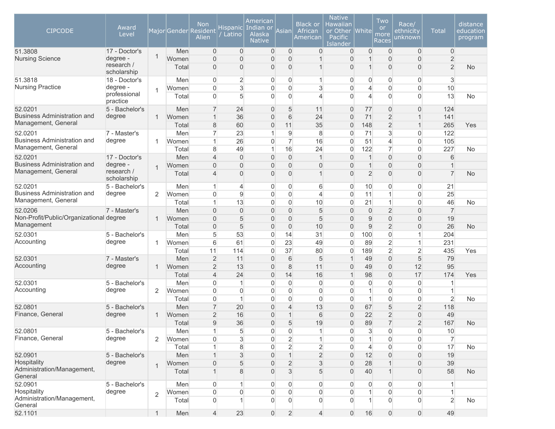| <b>CIPCODE</b>                          | Award<br>Level            |                |       | Non<br>Major Gender Resident<br>Alien | Hispanicl<br>Latino | American<br>Indian or<br>Alaska<br><b>Native</b> | Asian            | <b>Black or</b><br>African<br>American | <b>Native</b><br>Hawaiian<br>or Other<br>Pacific<br>Islander | <b>White</b>   | Two<br><b>or</b><br>more<br>Races | Race/<br>ethnicity<br>unknown | <b>Total</b>   | distance<br>education<br>program |
|-----------------------------------------|---------------------------|----------------|-------|---------------------------------------|---------------------|--------------------------------------------------|------------------|----------------------------------------|--------------------------------------------------------------|----------------|-----------------------------------|-------------------------------|----------------|----------------------------------|
| 51.3808                                 | 17 - Doctor's             | 1              | Men   | $\overline{0}$                        | $\overline{0}$      | $\overline{0}$                                   | $\overline{0}$   | $\overline{0}$                         | $\overline{0}$                                               | $\overline{0}$ | $\overline{0}$                    | $\mathbf 0$                   | $\overline{0}$ |                                  |
| <b>Nursing Science</b>                  | degree -                  |                | Women | $\overline{0}$                        | $\overline{0}$      | $\Omega$                                         | $\Omega$         | 1                                      | $\Omega$                                                     | $\mathbf 1$    | $\overline{0}$                    | $\overline{0}$                | $\overline{c}$ |                                  |
|                                         | research /<br>scholarship |                | Total | $\overline{0}$                        | 0                   | $\overline{0}$                                   | $\mathbf 0$      | 1                                      | $\mathbf{0}$                                                 | $\mathbf 1$    | $\overline{0}$                    | $\overline{0}$                | $\overline{2}$ | <b>No</b>                        |
| 51.3818                                 | 18 - Doctor's             |                | Men   | $\overline{0}$                        | $\overline{2}$      | $\overline{0}$                                   | 0                | 1                                      | $\Omega$                                                     | 0              | $\overline{0}$                    | $\overline{0}$                | 3              |                                  |
| <b>Nursing Practice</b>                 | degree -                  | 1              | Women | $\overline{0}$                        | 3                   | $\overline{0}$                                   | $\mathbf 0$      | 3                                      | $\Omega$                                                     | 4              | $\overline{0}$                    | $\overline{0}$                | 10             |                                  |
|                                         | professional<br>practice  |                | Total | $\Omega$                              | 5                   | $\Omega$                                         | $\mathbf 0$      | $\overline{\mathcal{L}}$               | $\Omega$                                                     | 4              | $\overline{0}$                    | $\overline{0}$                | 13             | <b>No</b>                        |
| 52.0201                                 | 5 - Bachelor's            |                | Men   | $\overline{7}$                        | 24                  | $\overline{0}$                                   | 5                | 11                                     | $\overline{0}$                                               | 77             | $\mathbf{0}$                      | $\overline{0}$                | 124            |                                  |
| <b>Business Administration and</b>      | degree                    | 1              | Women | $\overline{1}$                        | 36                  | $\overline{0}$                                   | 6                | 24                                     | $\overline{0}$                                               | 71             | $\overline{2}$                    | $\mathbf{1}$                  | 141            |                                  |
| Management, General                     |                           |                | Total | $\,8\,$                               | 60                  | $\overline{0}$                                   | 11               | 35                                     | $\Omega$                                                     | 148            | $\overline{2}$                    | $\mathbf{1}$                  | 265            | Yes                              |
| 52.0201                                 | 7 - Master's              |                | Men   | $\overline{7}$                        | 23                  | 1                                                | $\overline{9}$   | 8                                      | $\Omega$                                                     | 71             | 3                                 | $\boldsymbol{0}$              | 122            |                                  |
| <b>Business Administration and</b>      | degree                    | 1              | Women | $\mathbf{1}$                          | 26                  | $\Omega$                                         | $\overline{7}$   | 16                                     | $\Omega$                                                     | 51             | $\overline{4}$                    | $\overline{0}$                | 105            |                                  |
| Management, General                     |                           |                | Total | 8                                     | 49                  | 1                                                | 16               | 24                                     | $\overline{0}$                                               | 122            | $\overline{7}$                    | $\overline{0}$                | 227            | <b>No</b>                        |
| 52.0201                                 | 17 - Doctor's             |                | Men   | $\overline{4}$                        | $\boldsymbol{0}$    | $\overline{0}$                                   | $\mathbf 0$      | $\mathbf{1}$                           | $\mathbf{0}$                                                 | $\mathbf{1}$   | $\overline{0}$                    | $\boldsymbol{0}$              | 6              |                                  |
| <b>Business Administration and</b>      | degree -                  | $\mathbf{1}$   | Women | $\boldsymbol{0}$                      | $\boldsymbol{0}$    | $\overline{0}$                                   | $\overline{0}$   | $\boldsymbol{0}$                       | $\overline{0}$                                               | $\mathbf 1$    | 0                                 | $\boldsymbol{0}$              |                |                                  |
| Management, General                     | research /<br>scholarship |                | Total | $\overline{4}$                        | $\overline{0}$      | $\Omega$                                         | $\overline{0}$   | $\mathbf{1}$                           | $\Omega$                                                     | $\overline{2}$ | $\overline{0}$                    | $\overline{0}$                | $\overline{7}$ | No                               |
| 52.0201                                 | 5 - Bachelor's            |                | Men   | $\mathbf{1}$                          | $\overline{4}$      | $\overline{0}$                                   | $\boldsymbol{0}$ | 6                                      | 0                                                            | 10             | 0                                 | $\mathbf 0$                   | 21             |                                  |
| <b>Business Administration and</b>      | degree                    | 2              | Women | $\overline{0}$                        | 9                   | $\overline{0}$                                   | $\mathbf 0$      | $\overline{4}$                         | $\overline{0}$                                               | 11             | $\mathbf{1}$                      | $\overline{0}$                | 25             |                                  |
| Management, General                     |                           |                | Total | $\mathbf{1}$                          | 13                  | $\overline{0}$                                   | $\mathbf 0$      | 10                                     | $\overline{0}$                                               | 21             | $\mathbf{1}$                      | $\overline{0}$                | 46             | <b>No</b>                        |
| 52.0206                                 | 7 - Master's              |                | Men   | $\overline{0}$                        | $\overline{0}$      | $\Omega$                                         | $\mathbf{0}$     | 5                                      | $\Omega$                                                     | $\overline{0}$ | $\overline{2}$                    | $\overline{0}$                | $\overline{7}$ |                                  |
| Non-Profit/Public/Organizational degree |                           | 1              | Women | $\overline{0}$                        | 5                   | $\Omega$                                         | $\mathbf 0$      | 5                                      | $\Omega$                                                     | 9              | $\overline{0}$                    | $\overline{0}$                | 19             |                                  |
| Management                              |                           |                | Total | $\overline{0}$                        | 5                   | $\overline{0}$                                   | $\mathbf 0$      | 10                                     | $\overline{0}$                                               | $9\,$          | $\overline{2}$                    | $\mathbf 0$                   | 26             | <b>No</b>                        |
| 52.0301                                 | 5 - Bachelor's            |                | Men   | 5                                     | 53                  | $\overline{0}$                                   | 14               | 31                                     | $\Omega$                                                     | 100            | 0                                 | $\mathbf{1}$                  | 204            |                                  |
| Accounting                              | degree                    | 1              | Women | 6                                     | 61                  | $\overline{0}$                                   | 23               | 49                                     | $\Omega$                                                     | 89             | $\overline{2}$                    | $\mathbf{1}$                  | 231            |                                  |
|                                         |                           |                | Total | 11                                    | 114                 | $\overline{0}$                                   | 37               | 80                                     | $\mathbf{0}$                                                 | 189            | $\overline{2}$                    | $\overline{2}$                | 435            | Yes                              |
| 52.0301                                 | 7 - Master's              |                | Men   | $\overline{2}$                        | 11                  | $\Omega$                                         | 6                | 5                                      | $\mathbf{1}$                                                 | 49             | $\overline{0}$                    | $\sqrt{5}$                    | 79             |                                  |
| Accounting                              | degree                    | 1              | Women | $\overline{2}$                        | 13                  | $\overline{0}$                                   | 8                | 11                                     | $\overline{0}$                                               | 49             | $\overline{0}$                    | 12                            | 95             |                                  |
|                                         |                           |                | Total | $\overline{4}$                        | 24                  | $\boldsymbol{0}$                                 | 14               | 16                                     | $\mathbf{1}$                                                 | 98             | $\boldsymbol{0}$                  | 17                            | 174            | Yes                              |
| 52.0301                                 | 5 - Bachelor's            |                | Men   | $\boldsymbol{0}$                      | 1                   | $\overline{0}$                                   | $\mathbf 0$      | $\mathbf 0$                            | 0                                                            | $\overline{0}$ | 0                                 | $\boldsymbol{0}$              | 1              |                                  |
| Accounting                              | degree                    | 2              | Women | $\overline{0}$                        | $\overline{0}$      | $\overline{0}$                                   | $\mathbf 0$      | $\overline{0}$                         | $\overline{0}$                                               | $\mathbf{1}$   | $\overline{0}$                    | $\overline{0}$                | 1              |                                  |
|                                         |                           |                | Total | $\overline{0}$                        | 1                   | $\overline{0}$                                   | $\mathbf 0$      | $\overline{0}$                         | $\mathbf{0}$                                                 | 1              | $\overline{0}$                    | $\mathbf 0$                   | $\overline{2}$ | <b>No</b>                        |
| 52.0801                                 | 5 - Bachelor's            |                | Men   | $\overline{7}$                        | 20                  | $\Omega$                                         | $\overline{4}$   | 13                                     | $\Omega$                                                     | 67             | 5                                 | $\overline{2}$                | 118            |                                  |
| Finance, General                        | degree                    | 1              | Women | $\overline{2}$                        | 16                  | $\overline{0}$                                   | $\overline{1}$   | $6\,$                                  | $\Omega$                                                     | 22             | $\overline{2}$                    | $\overline{0}$                | 49             |                                  |
|                                         |                           |                | Total | 9                                     | 36                  | $\overline{0}$                                   | 5                | 19                                     | $\Omega$                                                     | 89             | $\overline{7}$                    | $\overline{2}$                | 167            | <b>No</b>                        |
| 52.0801                                 | 5 - Bachelor's            |                | Men   | $\mathbf{1}$                          | 5                   | $\overline{0}$                                   | $\boldsymbol{0}$ | 1                                      | 0                                                            | 3              | $\boldsymbol{0}$                  | $\boldsymbol{0}$              | $10$           |                                  |
| Finance, General                        | degree                    | 2              | Women | $\Omega$                              | 3                   | $\overline{0}$                                   | $\overline{2}$   | $\mathbf{1}$                           | $\Omega$                                                     | $\mathbf{1}$   | $\overline{0}$                    | $\overline{0}$                | $\overline{7}$ |                                  |
|                                         |                           |                | Total |                                       | $\,8\,$             | $\overline{0}$                                   | $\overline{2}$   | $\overline{2}$                         | $\Omega$                                                     | $\overline{4}$ | $\overline{0}$                    | $\overline{0}$                | 17             | <b>No</b>                        |
| 52.0901                                 | 5 - Bachelor's            |                | Men   |                                       | $\mathfrak{S}$      | $\overline{0}$                                   | $\mathbf{1}$     | $\overline{2}$                         | $\Omega$                                                     | 12             | $\overline{0}$                    | $\overline{0}$                | 19             |                                  |
| Hospitality                             | degree                    | $\mathbf{1}$   | Women | $\overline{0}$                        | 5                   | $\overline{0}$                                   | $\overline{2}$   | 3                                      | $\overline{0}$                                               | 28             |                                   | $\boldsymbol{0}$              | 39             |                                  |
| Administration/Management,<br>General   |                           |                | Total |                                       | 8                   | $\Omega$                                         | $\mathfrak{S}$   | 5                                      | $\Omega$                                                     | 40             |                                   | $\boldsymbol{0}$              | 58             | <b>No</b>                        |
| 52.0901                                 | 5 - Bachelor's            |                | Men   | $\overline{0}$                        | 1                   | $\overline{0}$                                   | $\boldsymbol{0}$ | $\overline{0}$                         | 0                                                            | $\overline{0}$ | $\overline{0}$                    | $\boldsymbol{0}$              |                |                                  |
| Hospitality                             | degree                    | $\overline{2}$ | Women | $\boldsymbol{0}$                      | $\boldsymbol{0}$    | $\overline{0}$                                   | $\overline{0}$   | $\boldsymbol{0}$                       | $\overline{0}$                                               |                | $\boldsymbol{0}$                  | $\boldsymbol{0}$              |                |                                  |
| Administration/Management,<br>General   |                           |                | Total | $\overline{0}$                        | 1                   | $\overline{0}$                                   | $\Omega$         | $\overline{0}$                         | $\Omega$                                                     |                | $\mathbf 0$                       | $\overline{0}$                | $\overline{2}$ | <b>No</b>                        |
| 52.1101                                 |                           | $\mathbf{1}$   | Men   | $\overline{4}$                        | 23                  | $\boldsymbol{0}$                                 | $\overline{2}$   | $\overline{4}$                         | $\overline{0}$                                               | 16             | $\overline{0}$                    | $\mathsf{O}\xspace$           | 49             |                                  |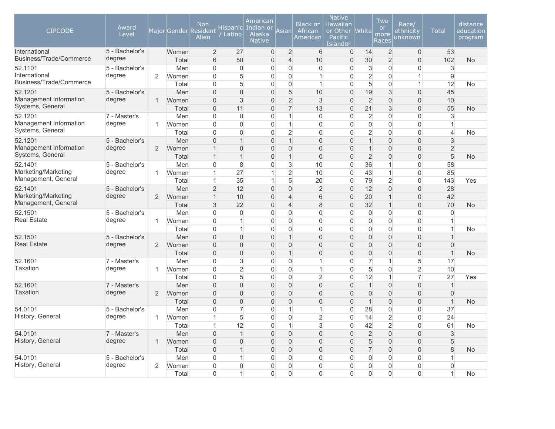| <b>CIPCODE</b>                                       | Award<br>Level           |                |              | <b>Non</b><br>Major Gender Resident<br>Alien | Hispanicl<br>Latino       | American<br>Indian or<br><b>Alaska</b><br><b>Native</b> | Asian                            | <b>Black or</b><br>African<br>American | <b>Native</b><br>Hawaiian<br>or Other<br>Pacific<br>Islander | <b>White</b>         | Two<br><b>or</b><br>more<br>Races | Race/<br>ethnicity<br>unknown | <b>Total</b>         | distance<br>education<br>program |
|------------------------------------------------------|--------------------------|----------------|--------------|----------------------------------------------|---------------------------|---------------------------------------------------------|----------------------------------|----------------------------------------|--------------------------------------------------------------|----------------------|-----------------------------------|-------------------------------|----------------------|----------------------------------|
| International<br>Business/Trade/Commerce             | 5 - Bachelor's<br>degree |                | Women        | $\overline{2}$                               | 27                        | $\boldsymbol{0}$                                        | $\overline{2}$                   | $6\phantom{.}6$                        | $\overline{0}$                                               | 14                   | $\overline{2}$                    | $\boldsymbol{0}$              | 53                   |                                  |
|                                                      |                          |                | Total        | $6\phantom{1}$                               | 50                        | $\overline{0}$                                          | $\overline{\mathcal{L}}$         | 10                                     | $\overline{0}$                                               | 30                   | $\overline{2}$                    | $\mathbf 0$                   | 102                  | <b>No</b>                        |
| 52.1101<br>International                             | 5 - Bachelor's<br>degree |                | Men          | $\overline{0}$                               | $\mathsf{O}\xspace$       | $\overline{0}$                                          | $\overline{0}$                   | $\mathsf{O}\xspace$                    | $\overline{0}$                                               | 3                    | $\mathsf{O}\xspace$               | $\mathsf{O}\xspace$           | 3                    |                                  |
| Business/Trade/Commerce                              |                          | 2              | Women        | $\mathbf 0$<br>$\mathbf 0$                   | 5<br>5                    | $\overline{0}$<br>$\overline{0}$                        | $\overline{0}$<br>$\overline{0}$ | $\vert$<br>$\mathbf{1}$                | $\Omega$<br>$\Omega$                                         | $\overline{2}$<br>5  | $\overline{0}$<br>$\mathbf 0$     | $\mathbf{1}$<br>$\mathbf{1}$  | $\overline{9}$<br>12 |                                  |
| 52.1201                                              | 5 - Bachelor's           |                | Total<br>Men | $\overline{0}$                               | $\boldsymbol{8}$          | $\overline{0}$                                          | 5                                | 10                                     | $\overline{0}$                                               | 19                   | 3                                 | $\overline{0}$                | 45                   | <b>No</b>                        |
| Management Information                               | degree                   | $\mathbf{1}$   |              | $\Omega$                                     | 3                         | $\overline{0}$                                          | $\overline{2}$                   | 3                                      | $\Omega$                                                     | $\overline{2}$       | $\overline{0}$                    | $\Omega$                      | 10                   |                                  |
| Systems, General                                     |                          |                | Women        | $\Omega$                                     |                           | $\overline{0}$                                          | $\overline{7}$                   | 13                                     | $\Omega$                                                     |                      | 3                                 | $\overline{0}$                |                      |                                  |
|                                                      |                          |                | Total        |                                              | 11<br>$\mathsf{O}\xspace$ | $\overline{0}$                                          | $\mathbf{1}$                     |                                        | $\overline{0}$                                               | 21<br>$\overline{2}$ | $\mathsf{O}\xspace$               | $\mathsf{O}\xspace$           | 55<br>3              | No                               |
| 52.1201<br>Management Information                    | 7 - Master's<br>degree   | 1              | Men<br>Women | $\mathbf 0$<br>$\mathbf 0$                   | $\mathbf 0$               | $\overline{0}$                                          | $\mathbf{1}$                     | $\mathbf 0$<br>$\mathbf 0$             | $\overline{0}$                                               | $\overline{0}$       | $\overline{0}$                    | $\overline{0}$                | 1                    |                                  |
| Systems, General                                     |                          |                | Total        | $\mathbf 0$                                  | $\mathbf 0$               | 0                                                       | $\overline{2}$                   | $\mathbf 0$                            | $\overline{0}$                                               | $\overline{2}$       | $\mathbf 0$                       | $\mathbf 0$                   | $\overline{4}$       | No                               |
| 52.1201                                              | 5 - Bachelor's           |                | Men          | $\mathbf 0$                                  | $\mathbf{1}$              | 0                                                       | $\mathbf{1}$                     | $\mathbf 0$                            | $\Omega$                                                     | $\mathbf{1}$         | $\mathbf 0$                       | $\mathbf 0$                   | 3                    |                                  |
| Management Information<br>degree<br>Systems, General |                          | $\overline{2}$ | Women        | $\overline{1}$                               | $\mathbf 0$               | $\mathbf 0$                                             | $\mathbf 0$                      | $\mathbf 0$                            | $\overline{0}$                                               | $\mathbf{1}$         | $\mathbf 0$                       | $\mathbf 0$                   | $\overline{2}$       |                                  |
|                                                      |                          |                | Total        | $\mathbf 1$                                  | $\mathbf{1}$              | $\overline{0}$                                          | $\mathbf{1}$                     | $\Omega$                               | $\Omega$                                                     | $\overline{2}$       | $\overline{0}$                    | $\overline{0}$                | 5                    | <b>No</b>                        |
| 52.1401                                              | 5 - Bachelor's           |                | Men          | $\mathbf 0$                                  | $\,8\,$                   | $\overline{0}$                                          | $\ensuremath{\mathsf{3}}$        | 10                                     | $\Omega$                                                     | 36                   | $\mathbf{1}$                      | 0                             | 58                   |                                  |
| Marketing/Marketing<br>degree<br>Management, General |                          | 1              | Women        | $\mathbf 1$                                  | 27                        | $\mathbf{1}$                                            | $\overline{2}$                   | 10                                     | $\overline{0}$                                               | 43                   | $\mathbf{1}$                      | $\mathsf{O}\xspace$           | 85                   |                                  |
|                                                      |                          | Total          | $\mathbf 1$  | 35                                           | $\mathbf{1}$              | 5                                                       | 20                               | $\Omega$                               | 79                                                           | $\overline{2}$       | $\mathbf 0$                       | 143                           | Yes                  |                                  |
| 52.1401                                              | 5 - Bachelor's           |                | Men          | $\overline{2}$                               | 12                        | $\mathbf 0$                                             | $\mathbf 0$                      | $\overline{2}$                         | $\overline{0}$                                               | 12                   | $\overline{0}$                    | $\mathsf{O}\xspace$           | 28                   |                                  |
| Marketing/Marketing                                  | degree                   | $\overline{2}$ | Women        | $\mathbf{1}$                                 | 10                        | $\mathbf 0$                                             | $\overline{4}$                   | $6\,$                                  | $\mathbf 0$                                                  | 20                   | $\mathbf{1}$                      | $\mathsf{O}\xspace$           | 42                   |                                  |
| Management, General                                  |                          |                | Total        | 3                                            | 22                        | $\Omega$                                                | $\overline{4}$                   | 8                                      | $\Omega$                                                     | 32                   | $\mathbf{1}$                      | $\overline{0}$                | 70                   | <b>No</b>                        |
| 52.1501                                              | 5 - Bachelor's           |                | Men          | $\mathbf 0$                                  | $\mathbf 0$               | 0                                                       | $\overline{0}$                   | $\mathbf 0$                            | $\overline{0}$                                               | $\mathbf 0$          | $\mathbf 0$                       | $\overline{0}$                | $\mathbf 0$          |                                  |
| <b>Real Estate</b>                                   | degree                   | $\mathbf{1}$   | Women        | $\overline{0}$                               | $\mathbf{1}$              | $\overline{0}$                                          | $\overline{0}$                   | $\overline{0}$                         | $\Omega$                                                     | $\Omega$             | $\overline{0}$                    | $\overline{0}$                | $\mathbf{1}$         |                                  |
|                                                      |                          |                | Total        | $\Omega$                                     | 1                         | $\overline{0}$                                          | $\overline{0}$                   | $\Omega$                               | $\Omega$                                                     | $\overline{0}$       | $\Omega$                          | $\overline{0}$                | $\mathbf{1}$         | <b>No</b>                        |
| 52.1501                                              | 5 - Bachelor's           |                | Men          | $\mathsf{O}\xspace$                          | $\mathsf{O}\xspace$       | $\overline{0}$                                          | $\mathbf{1}$                     | $\mathsf{O}\xspace$                    | $\Omega$                                                     | $\overline{0}$       | $\mathsf{O}\xspace$               | $\overline{0}$                | 1                    |                                  |
| <b>Real Estate</b>                                   | degree                   | $\overline{2}$ | Women        | $\mathsf{O}\xspace$                          | $\overline{0}$            | $\overline{0}$                                          | $\mathsf{O}\xspace$              | $\mathsf{O}\xspace$                    | $\overline{0}$                                               | $\overline{0}$       | $\mathsf{O}\xspace$               | $\overline{0}$                | $\mathbf 0$          |                                  |
|                                                      |                          |                | Total        | $\mathbf 0$                                  | $\mathbf 0$               | $\overline{0}$                                          | $\mathbf{1}$                     | $\mathsf{O}\xspace$                    | $\overline{0}$                                               | $\overline{0}$       | $\mathsf{O}\xspace$               | $\mathbf 0$                   | $\mathbf{1}$         | No                               |
| 52.1601                                              | 7 - Master's             |                | Men          | $\mathbf 0$                                  | 3                         | 0                                                       | $\overline{0}$                   | $\vert$                                | $\overline{0}$                                               | $\overline{7}$       | $\mathbf{1}$                      | $5\overline{)}$               | 17                   |                                  |
| <b>Taxation</b>                                      | degree                   | $\mathbf{1}$   | Women        | $\mathbf 0$                                  | $\overline{2}$            | $\overline{0}$                                          | $\mathbf 0$                      | $\vert$                                | $\overline{0}$                                               | 5                    | $\overline{0}$                    | $\overline{2}$                | 10                   |                                  |
|                                                      |                          |                | Total        | $\overline{0}$                               | 5                         | $\overline{0}$                                          | $\overline{0}$                   | $\overline{2}$                         | $\Omega$                                                     | 12                   | $\mathbf{1}$                      | $\overline{7}$                | 27                   | Yes                              |
| 52.1601                                              | 7 - Master's             |                | Men          | $\Omega$                                     | $\Omega$                  | $\overline{0}$                                          | $\overline{0}$                   | $\mathbf 0$                            | $\Omega$                                                     | $\mathbf{1}$         | $\mathbf 0$                       | $\Omega$                      | $\mathbf{1}$         |                                  |
| <b>Taxation</b>                                      | degree                   | $\overline{2}$ | Women        | $\mathsf{O}\xspace$                          | $\Omega$                  | $\Omega$                                                | $\mathsf{O}\xspace$              | $\mathbf 0$                            | $\Omega$                                                     | $\overline{0}$       | $\boldsymbol{0}$                  | $\Omega$                      | $\Omega$             |                                  |
|                                                      |                          |                | Total        | $\mathsf{O}\xspace$                          | $\mathsf{O}\xspace$       | $\overline{0}$                                          | $\mathsf{O}\xspace$              | $\mathsf{O}\xspace$                    | $\Omega$                                                     | 1                    | $\mathsf{O}\xspace$               | $\mathsf{O}\xspace$           | $\mathbf{1}$         | No                               |
| 54.0101                                              | 5 - Bachelor's           |                | Men          | $\mathbf 0$                                  | $\overline{7}$            | 0                                                       | $\mathbf 1$                      | $\vert$                                | $\Omega$                                                     | 28                   | $\overline{0}$                    | $\mathbf 0$                   | 37                   |                                  |
| History, General                                     | degree                   | $\mathbf{1}$   | Women        | $\overline{1}$                               | 5                         | 0                                                       | $\mathsf{O}\xspace$              | $\overline{2}$                         | $\mathbf 0$                                                  | 14                   | $\overline{2}$                    | $\mathbf 0$                   | 24                   |                                  |
|                                                      |                          |                | Total        | $\mathbf{1}$                                 | 12                        | $\overline{0}$                                          | $\mathbf{1}$                     | $\sqrt{3}$                             | $\overline{0}$                                               | 42                   | $\overline{2}$                    | $\mathsf{O}\xspace$           | 61                   | <b>No</b>                        |
| 54.0101                                              | 7 - Master's             |                | Men          | $\Omega$                                     | $\mathbf{1}$              | $\overline{0}$                                          | $\overline{0}$                   | $\overline{0}$                         | $\Omega$                                                     | $\overline{2}$       | $\overline{0}$                    | $\overline{0}$                | 3                    |                                  |
| History, General                                     | degree                   | $\mathbf{1}$   | Women        | $\overline{0}$                               | $\overline{0}$            | $\overline{0}$                                          | $\overline{0}$                   | $\mathbf 0$                            | $\Omega$                                                     | 5                    | $\mathbf 0$                       | $\overline{0}$                | 5                    |                                  |
|                                                      |                          |                | Total        | $\overline{0}$                               | $\mathbf{1}$              | $\overline{0}$                                          | $\overline{0}$                   | $\overline{0}$                         | $\Omega$                                                     | $\overline{7}$       | $\overline{0}$                    | $\mathbf 0$                   | 8                    | <b>No</b>                        |
| 54.0101                                              | 5 - Bachelor's           |                | Men          | $\Omega$                                     | $\mathbf{1}$              | $\overline{0}$                                          | $\Omega$                         | $\mathbf 0$                            | $\Omega$                                                     | $\overline{0}$       | $\Omega$                          | $\overline{0}$                | 1                    |                                  |
| History, General                                     | degree                   | $\overline{2}$ | Women        | $\overline{0}$                               | $\mathbf 0$               | $\Omega$                                                | $\overline{0}$                   | $\overline{0}$                         | $\Omega$                                                     | 0                    | $\mathbf 0$                       | $\mathbf 0$                   | $\Omega$             |                                  |
|                                                      |                          |                | Total        | $\Omega$                                     | $\mathbf{1}$              | $\overline{0}$                                          | $\overline{0}$                   | $\Omega$                               | $\Omega$                                                     | $\overline{0}$       | $\Omega$                          | $\overline{0}$                | $\mathbf{1}$         | <b>No</b>                        |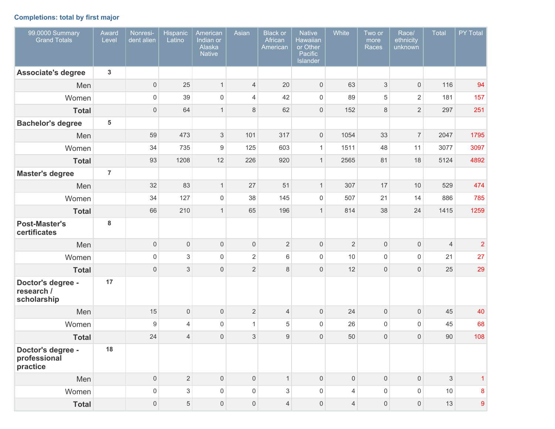# **Completions: total by first major**

| 99.0000 Summary<br><b>Grand Totals</b>         | Award<br>Level | Nonresi-<br>dent alien | <b>Hispanic</b><br>Latino | American<br>Indian or<br>Alaska<br><b>Native</b> | Asian               | <b>Black or</b><br>African<br>American | <b>Native</b><br><b>Hawaiian</b><br>or Other<br>Pacific<br>Islander | White               | Two or<br>more<br>Races | Race/<br>ethnicity<br>unknown | <b>Total</b>   | PY Total       |
|------------------------------------------------|----------------|------------------------|---------------------------|--------------------------------------------------|---------------------|----------------------------------------|---------------------------------------------------------------------|---------------------|-------------------------|-------------------------------|----------------|----------------|
| <b>Associate's degree</b>                      | $\mathbf{3}$   |                        |                           |                                                  |                     |                                        |                                                                     |                     |                         |                               |                |                |
| Men                                            |                | $\overline{0}$         | 25                        | $\mathbf{1}$                                     | $\overline{4}$      | 20                                     | $\mathsf{O}\xspace$                                                 | 63                  | $\sqrt{3}$              | $\mathsf{O}\xspace$           | 116            | 94             |
| Women                                          |                | $\mathsf{O}\xspace$    | 39                        | $\mathsf 0$                                      | 4                   | 42                                     | $\mathsf 0$                                                         | 89                  | 5                       | $\overline{2}$                | 181            | 157            |
| <b>Total</b>                                   |                | $\mathsf{O}\xspace$    | 64                        | $\mathbf{1}$                                     | 8                   | 62                                     | $\mathsf{O}\xspace$                                                 | 152                 | 8                       | $\overline{2}$                | 297            | 251            |
| <b>Bachelor's degree</b>                       | 5              |                        |                           |                                                  |                     |                                        |                                                                     |                     |                         |                               |                |                |
| Men                                            |                | 59                     | 473                       | $\ensuremath{\mathsf{3}}$                        | 101                 | 317                                    | $\mathsf{O}\xspace$                                                 | 1054                | 33                      | $\overline{7}$                | 2047           | 1795           |
| Women                                          |                | 34                     | 735                       | $9\,$                                            | 125                 | 603                                    | $\mathbf{1}$                                                        | 1511                | 48                      | 11                            | 3077           | 3097           |
| <b>Total</b>                                   |                | 93                     | 1208                      | 12                                               | 226                 | 920                                    | $\mathbf{1}$                                                        | 2565                | 81                      | 18                            | 5124           | 4892           |
| <b>Master's degree</b>                         | $\overline{7}$ |                        |                           |                                                  |                     |                                        |                                                                     |                     |                         |                               |                |                |
| Men                                            |                | 32                     | 83                        | $\mathbf{1}$                                     | 27                  | 51                                     | $\mathbf{1}$                                                        | 307                 | 17                      | 10                            | 529            | 474            |
| Women                                          |                | 34                     | 127                       | $\mathbf 0$                                      | 38                  | 145                                    | $\mathsf{O}\xspace$                                                 | 507                 | 21                      | 14                            | 886            | 785            |
| <b>Total</b>                                   |                | 66                     | 210                       | $\mathbf{1}$                                     | 65                  | 196                                    | $\mathbf{1}$                                                        | 814                 | 38                      | 24                            | 1415           | 1259           |
| <b>Post-Master's</b><br>certificates           | $\bf 8$        |                        |                           |                                                  |                     |                                        |                                                                     |                     |                         |                               |                |                |
| Men                                            |                | $\mathsf{O}\xspace$    | $\mathsf{O}\xspace$       | $\mathsf 0$                                      | $\mathsf{O}\xspace$ | $\overline{2}$                         | $\mathsf{O}\xspace$                                                 | $\overline{2}$      | $\mathbf 0$             | 0                             | $\overline{4}$ | $\overline{c}$ |
| Women                                          |                | $\mathsf{O}\xspace$    | $\,$ 3 $\,$               | $\mathsf 0$                                      | $\overline{2}$      | $\,6$                                  | $\mathsf{O}\xspace$                                                 | 10                  | $\mathbf 0$             | $\mathsf{O}\xspace$           | 21             | 27             |
| <b>Total</b>                                   |                | $\mathsf{O}\xspace$    | $\ensuremath{\mathsf{3}}$ | $\mathsf 0$                                      | $\overline{2}$      | $\,8\,$                                | $\mathsf{O}\xspace$                                                 | 12                  | $\mathbf 0$             | 0                             | 25             | 29             |
| Doctor's degree -<br>research /<br>scholarship | 17             |                        |                           |                                                  |                     |                                        |                                                                     |                     |                         |                               |                |                |
| Men                                            |                | 15                     | $\mathsf{O}\xspace$       | $\mathsf{O}\xspace$                              | $\overline{2}$      | $\overline{4}$                         | $\mathsf{O}\xspace$                                                 | 24                  | $\mathbf 0$             | 0                             | 45             | 40             |
| Women                                          |                | $\boldsymbol{9}$       | $\overline{4}$            | $\mathsf 0$                                      | $\mathbf{1}$        | 5                                      | $\mathsf{O}\xspace$                                                 | 26                  | $\mathbf 0$             | $\mathsf 0$                   | 45             | 68             |
| <b>Total</b>                                   |                | 24                     | $\overline{4}$            | $\mathsf 0$                                      | 3                   | $\hbox{9}$                             | $\mathsf{O}\xspace$                                                 | 50                  | $\mathbf 0$             | 0                             | 90             | 108            |
| Doctor's degree -<br>professional<br>practice  | 18             |                        |                           |                                                  |                     |                                        |                                                                     |                     |                         |                               |                |                |
| Men                                            |                | $\overline{0}$         | $\overline{2}$            | $\mathbf 0$                                      | $\mathsf{O}\xspace$ | $\mathbf{1}$                           | $\mathsf{O}\xspace$                                                 | $\mathsf{O}\xspace$ | $\mathbf 0$             | $\mathsf{O}\xspace$           | $\mathfrak{S}$ | $\mathbf{1}$   |
| Women                                          |                | $\mathsf{O}\xspace$    | $\mathfrak{S}$            | $\mathsf{O}\xspace$                              | $\mathsf{O}\xspace$ | 3                                      | $\mathsf{O}\xspace$                                                 | $\overline{4}$      | $\mathsf 0$             | $\mathsf 0$                   | $10$           | 8              |
| <b>Total</b>                                   |                | $\mathsf{O}\xspace$    | $\sqrt{5}$                | $\mathsf{O}\xspace$                              | $\mathsf{O}\xspace$ | $\overline{4}$                         | $\mathsf{O}\xspace$                                                 | $\overline{4}$      | $\mathbf 0$             | $\mathsf{O}\xspace$           | 13             | 9              |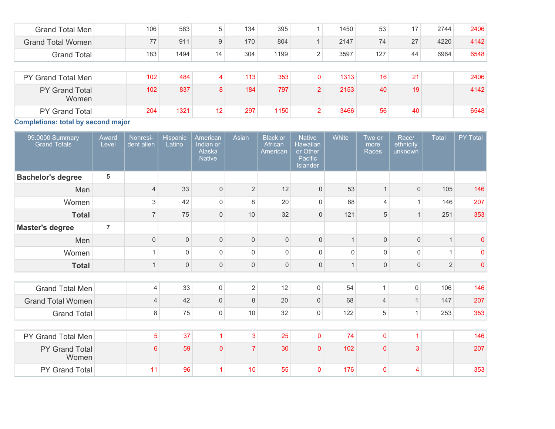| Grand Total Men                | 106 | 583  | 5  | 134 | 395  |                | 1450 | 53  | 17 | 2744 | 2406 |
|--------------------------------|-----|------|----|-----|------|----------------|------|-----|----|------|------|
| <b>Grand Total Women</b>       | 77  | 911  | 9  | 170 | 804  |                | 2147 | 74  | 27 | 4220 | 4142 |
| <b>Grand Total</b>             | 183 | 1494 | 14 | 304 | 1199 | ົ              | 3597 | 127 | 44 | 6964 | 6548 |
|                                |     |      |    |     |      |                |      |     |    |      |      |
| PY Grand Total Men             | 102 | 484  | 4  | 113 | 353  | 0              | 1313 | 16  | 21 |      | 2406 |
| <b>PY Grand Total</b><br>Women | 102 | 837  | 8  | 184 | 797  | $\overline{2}$ | 2153 | 40  | 19 |      | 4142 |
| PY Grand Total                 | 204 | 1321 | 12 | 297 | 1150 | $\overline{2}$ | 3466 | 56  | 40 |      | 6548 |

**Completions: total by second major**

| 99.0000 Summary<br><b>Grand Totals</b> | Award<br>Level | Nonresi-<br>dent alien | Hispanic<br>Latino  | American<br>Indian or<br>Alaska<br><b>Native</b> | Asian          | <b>Black or</b><br>African<br>American | <b>Native</b><br>Hawaiian<br>or Other<br>Pacific<br>Islander | White        | Two or<br>more<br>Races | Race/<br>ethnicity<br>unknown | <b>Total</b>   | PY Total    |
|----------------------------------------|----------------|------------------------|---------------------|--------------------------------------------------|----------------|----------------------------------------|--------------------------------------------------------------|--------------|-------------------------|-------------------------------|----------------|-------------|
| <b>Bachelor's degree</b>               | 5              |                        |                     |                                                  |                |                                        |                                                              |              |                         |                               |                |             |
| Men                                    |                | $\overline{4}$         | 33                  | $\mathsf{O}\xspace$                              | $\overline{2}$ | 12                                     | $\overline{0}$                                               | 53           | $\overline{1}$          | $\mathbf{0}$                  | 105            | 146         |
| Women                                  |                | 3                      | 42                  | $\mathbf 0$                                      | 8              | 20                                     | $\mathbf 0$                                                  | 68           | $\overline{4}$          | 1                             | 146            | 207         |
| <b>Total</b>                           |                | $\overline{7}$         | 75                  | $\mathbf 0$                                      | 10             | 32                                     | $\mathbf{0}$                                                 | 121          | 5                       | $\overline{1}$                | 251            | 353         |
| <b>Master's degree</b>                 | $\overline{7}$ |                        |                     |                                                  |                |                                        |                                                              |              |                         |                               |                |             |
| Men                                    |                | $\mathsf{O}\xspace$    | $\mathsf{O}\xspace$ | $\mathbf 0$                                      | $\Omega$       | $\mathsf{O}\xspace$                    | $\mathsf{O}\xspace$                                          | $\mathbf{1}$ | $\mathbf 0$             | $\mathbf{0}$                  |                | $\pmb{0}$   |
| Women                                  |                | $\mathbf{1}$           | $\Omega$            | $\Omega$                                         | $\Omega$       | 0                                      | $\mathsf{O}$                                                 | $\Omega$     | $\mathsf 0$             | $\Omega$                      | $\overline{1}$ | $\mathbf 0$ |
| <b>Total</b>                           |                | $\mathbf{1}$           | $\mathsf{O}\xspace$ | $\mathsf{0}$                                     | $\mathbf{0}$   | 0                                      | $\mathbf 0$                                                  | $\mathbf{1}$ | $\mathsf{O}\xspace$     | $\mathbf{0}$                  | $\overline{2}$ | $\mathbf 0$ |
|                                        |                |                        |                     |                                                  |                |                                        |                                                              |              |                         |                               |                |             |
| <b>Grand Total Men</b>                 |                | 4                      | 33                  | $\mathsf{O}\xspace$                              | $\overline{2}$ | 12                                     | 0                                                            | 54           | $\mathbf{1}$            | $\mathbf 0$                   | 106            | 146         |
| <b>Grand Total Women</b>               |                | $\overline{4}$         | 42                  | $\boldsymbol{0}$                                 | 8              | 20                                     | 0                                                            | 68           | $\overline{4}$          | $\mathbf{1}$                  | 147            | 207         |
| <b>Grand Total</b>                     |                | 8                      | 75                  | 0                                                | 10             | 32                                     | 0                                                            | 122          | 5                       | $\mathbf{1}$                  | 253            | 353         |
|                                        |                |                        |                     |                                                  |                |                                        |                                                              |              |                         |                               |                |             |
| PY Grand Total Men                     |                | $\overline{5}$         | 37                  | 1                                                | 3              | 25                                     | 0                                                            | 74           | $\pmb{0}$               | 1                             |                | 146         |
| PY Grand Total<br>Women                |                | $6\phantom{1}$         | 59                  | $\Omega$                                         | $\overline{7}$ | 30                                     | $\mathbf{0}$                                                 | 102          | $\mathbf{0}$            | 3                             |                | 207         |
| PY Grand Total                         |                | 11                     | 96                  | -1                                               | 10             | 55                                     | $\mathbf{0}$                                                 | 176          | $\mathbf 0$             | 4                             |                | 353         |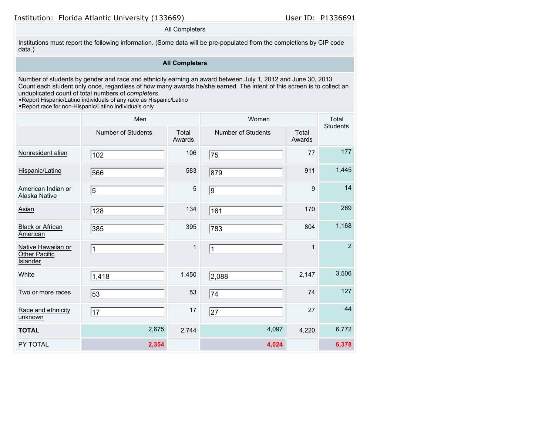#### All Completers

Institutions must report the following information. (Some data will be pre-populated from the completions by CIP code data.)

### **All Completers**

Number of students by gender and race and ethnicity earning an award between July 1, 2012 and June 30, 2013. Count each student only once, regardless of how many awards he/she earned. The intent of this screen is to collect an unduplicated count of total numbers of *completers*.

•Report Hispanic/Latino individuals of any race as Hispanic/Latino

|                                                        | Men                |                 | Women              | Total<br><b>Students</b> |                |
|--------------------------------------------------------|--------------------|-----------------|--------------------|--------------------------|----------------|
|                                                        | Number of Students | Total<br>Awards | Number of Students | Total<br>Awards          |                |
| Nonresident alien                                      | 102                | 106             | 75                 | 77                       | 177            |
| Hispanic/Latino                                        | 566                | 583             | 879                | 911                      | 1,445          |
| American Indian or<br>Alaska Native                    | 5                  | $\overline{5}$  | 9                  | 9                        | 14             |
| Asian                                                  | 128                | 134             | 161                | 170                      | 289            |
| <b>Black or African</b><br>American                    | 385                | 395             | 783                | 804                      | 1,168          |
| Native Hawaiian or<br>Other Pacific<br><b>Islander</b> | $\mathbf{1}$       | $\mathbf{1}$    | $\vert$ 1          | $\mathbf{1}$             | $\overline{2}$ |
| White                                                  | 1,418              | 1,450           | 2,088              | 2,147                    | 3,506          |
| Two or more races                                      | 53                 | 53              | 74                 | 74                       | 127            |
| Race and ethnicity<br>unknown                          | 17                 | 17              | 27                 | 27                       | 44             |
| <b>TOTAL</b>                                           | 2,675              | 2,744           | 4,097              | 4,220                    | 6,772          |
| PY TOTAL                                               | 2,354              |                 | 4,024              |                          | 6,378          |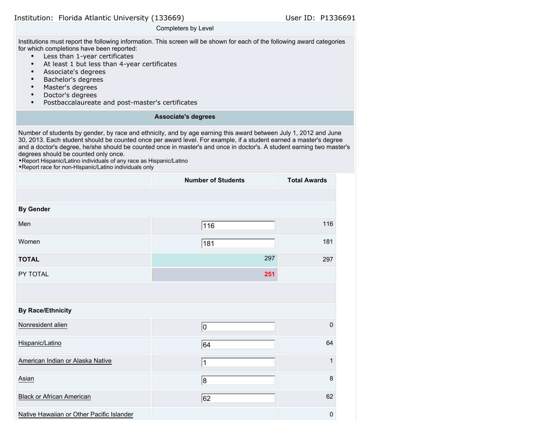| Institution: Florida Atlantic University (133669) |  |  |  |  |  |
|---------------------------------------------------|--|--|--|--|--|
|---------------------------------------------------|--|--|--|--|--|

#### User ID: P1336691

#### Completers by Level

Institutions must report the following information. This screen will be shown for each of the following award categories for which completions have been reported:

- Less than 1-year certificates
- At least 1 but less than 4-year certificates
- Associate's degrees
- Bachelor's degrees
- Master's degrees
- Doctor's degrees
- Postbaccalaureate and post-master's certificates

#### **Associate's degrees**

Number of students by gender, by race and ethnicity, and by age earning this award between July 1, 2012 and June 30, 2013. Each student should be counted once per award level. For example, if a student earned a master's degree and a doctor's degree, he/she should be counted once in master's and once in doctor's. A student earning two master's degrees should be counted only once.

•Report Hispanic/Latino individuals of any race as Hispanic/Latino

|                                           | <b>Number of Students</b> | <b>Total Awards</b> |
|-------------------------------------------|---------------------------|---------------------|
|                                           |                           |                     |
| <b>By Gender</b>                          |                           |                     |
| Men                                       | 116                       | 116                 |
| Women                                     | 181                       | 181                 |
| <b>TOTAL</b>                              | 297                       | 297                 |
| PY TOTAL                                  | 251                       |                     |
|                                           |                           |                     |
| <b>By Race/Ethnicity</b>                  |                           |                     |
| Nonresident alien                         | 10                        | 0                   |
| Hispanic/Latino                           | 64                        | 64                  |
| American Indian or Alaska Native          | $\overline{1}$            | $\mathbf{1}$        |
| Asian                                     | 8                         | 8                   |
| <b>Black or African American</b>          | 62                        | 62                  |
| Native Hawaiian or Other Pacific Islander |                           | 0                   |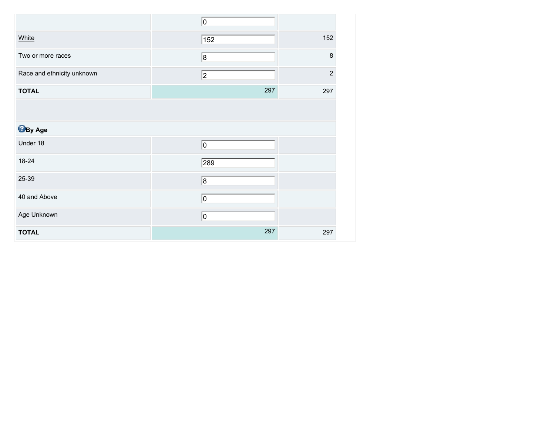|                            | 0   |                |
|----------------------------|-----|----------------|
| White                      | 152 | 152            |
| Two or more races          | 8   | 8              |
| Race and ethnicity unknown | 2   | $\overline{2}$ |
| <b>TOTAL</b>               | 297 | 297            |
|                            |     |                |
| <b>B</b> By Age            |     |                |
| Under 18                   | O   |                |
| 18-24                      | 289 |                |
| 25-39                      | 8   |                |
| 40 and Above               | 10  |                |
| Age Unknown                | 0   |                |
| <b>TOTAL</b>               | 297 | 297            |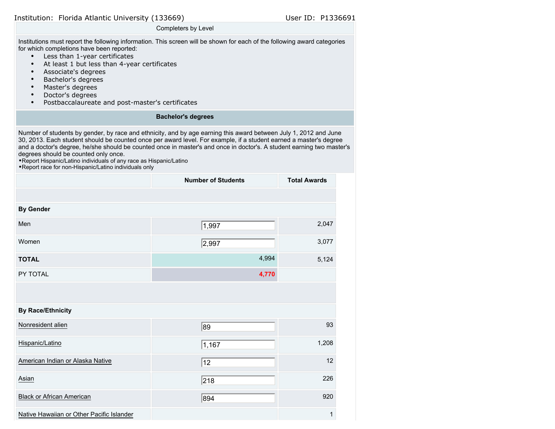#### Completers by Level

Institutions must report the following information. This screen will be shown for each of the following award categories for which completions have been reported:

- Less than 1-year certificates
- At least 1 but less than 4-year certificates
- Associate's degrees
- Bachelor's degrees
- Master's degrees
- Doctor's degrees
- Postbaccalaureate and post-master's certificates

#### **Bachelor's degrees**

Number of students by gender, by race and ethnicity, and by age earning this award between July 1, 2012 and June 30, 2013. Each student should be counted once per award level. For example, if a student earned a master's degree and a doctor's degree, he/she should be counted once in master's and once in doctor's. A student earning two master's degrees should be counted only once.

•Report Hispanic/Latino individuals of any race as Hispanic/Latino

|                                           | <b>Number of Students</b> | <b>Total Awards</b> |
|-------------------------------------------|---------------------------|---------------------|
|                                           |                           |                     |
| <b>By Gender</b>                          |                           |                     |
| Men                                       | 1,997                     | 2,047               |
| Women                                     | 2,997                     | 3,077               |
| <b>TOTAL</b>                              | 4,994                     | 5,124               |
| PY TOTAL                                  | 4,770                     |                     |
|                                           |                           |                     |
| <b>By Race/Ethnicity</b>                  |                           |                     |
| Nonresident alien                         | 89                        | 93                  |
| Hispanic/Latino                           | 1,167                     | 1,208               |
| American Indian or Alaska Native          | 12                        | 12                  |
| Asian                                     | 218                       | 226                 |
| <b>Black or African American</b>          | 894                       | 920                 |
| Native Hawaiian or Other Pacific Islander |                           | $\mathbf{1}$        |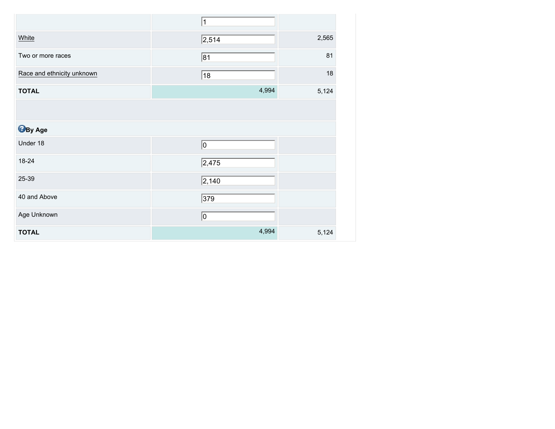|                            | $\mathbf 1$     |       |
|----------------------------|-----------------|-------|
| White                      | $\sqrt{2,514}$  | 2,565 |
| Two or more races          | $\overline{81}$ | 81    |
| Race and ethnicity unknown | 18              | 18    |
| <b>TOTAL</b>               | 4,994           | 5,124 |
|                            |                 |       |
| <b>B</b> By Age            |                 |       |
| Under 18                   | 0               |       |
| 18-24                      | 2,475           |       |
| 25-39                      | $\sqrt{2,140}$  |       |
| 40 and Above               | $\sqrt{379}$    |       |
| Age Unknown                | 10              |       |
| <b>TOTAL</b>               | 4,994           | 5,124 |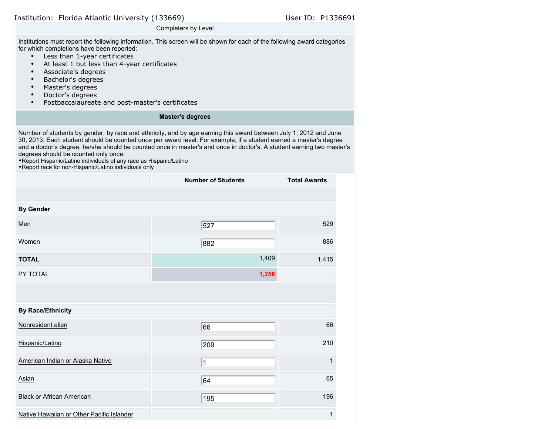| Institution: Florida Atlantic University (133669) |  |  |  |  |  |
|---------------------------------------------------|--|--|--|--|--|
|---------------------------------------------------|--|--|--|--|--|

#### User ID: P1336691

#### Completers by Level

Institutions must report the following information. This screen will be shown for each of the following award categories for which completions have been reported:

- Less than 1-year certificates
- At least 1 but less than 4-year certificates
- Associate's degrees
- Bachelor's degrees
- Master's degrees
- Doctor's degrees
- Postbaccalaureate and post-master's certificates

#### **Master's degrees**

Number of students by gender, by race and ethnicity, and by age earning this award between July 1, 2012 and June 30, 2013. Each student should be counted once per award level. For example, if a student earned a master's degree and a doctor's degree, he/she should be counted once in master's and once in doctor's. A student earning two master's degrees should be counted only once.

•Report Hispanic/Latino individuals of any race as Hispanic/Latino

|                                           | <b>Number of Students</b> | <b>Total Awards</b> |
|-------------------------------------------|---------------------------|---------------------|
|                                           |                           |                     |
| <b>By Gender</b>                          |                           |                     |
| Men                                       | 527                       | 529                 |
| Women                                     | 882                       | 886                 |
| <b>TOTAL</b>                              | 1,409                     | 1,415               |
| PY TOTAL                                  | 1,258                     |                     |
|                                           |                           |                     |
| <b>By Race/Ethnicity</b>                  |                           |                     |
| Nonresident alien                         | 66                        | 66                  |
| Hispanic/Latino                           | 209                       | 210                 |
| American Indian or Alaska Native          | 1                         | $\mathbf{1}$        |
| Asian                                     | 64                        | 65                  |
| <b>Black or African American</b>          | 195                       | 196                 |
| Native Hawaiian or Other Pacific Islander |                           | 1                   |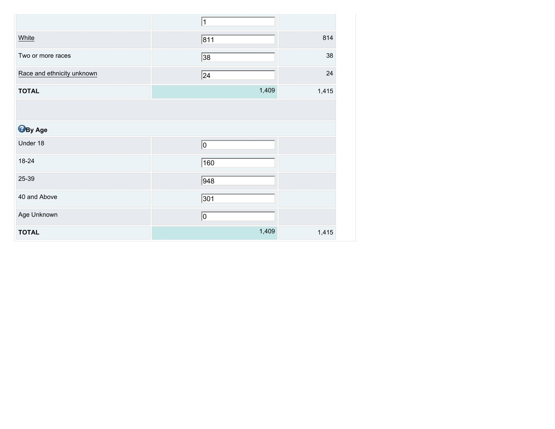|                            | $\mathbf 1$      |       |
|----------------------------|------------------|-------|
| White                      | 811              | 814   |
| Two or more races          | 38               | 38    |
| Race and ethnicity unknown | 24               | 24    |
| <b>TOTAL</b>               | 1,409            | 1,415 |
|                            |                  |       |
| <b>B</b> By Age            |                  |       |
| Under 18                   | 0                |       |
| 18-24                      | 160              |       |
| 25-39                      | $\overline{948}$ |       |
| 40 and Above               | 301              |       |
| Age Unknown                | 0                |       |
| <b>TOTAL</b>               | 1,409            | 1,415 |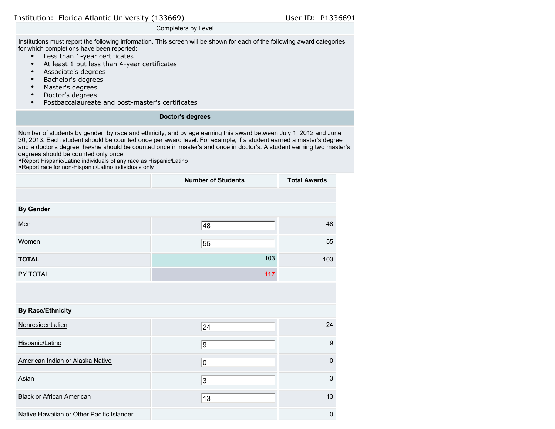| Institution: Florida Atlantic University (133669) |  |  |  |  |  |
|---------------------------------------------------|--|--|--|--|--|
|---------------------------------------------------|--|--|--|--|--|

#### User ID: P1336691

#### Completers by Level

Institutions must report the following information. This screen will be shown for each of the following award categories for which completions have been reported:

- Less than 1-year certificates
- At least 1 but less than 4-year certificates
- Associate's degrees
- Bachelor's degrees
- Master's degrees
- Doctor's degrees
- Postbaccalaureate and post-master's certificates

#### **Doctor's degrees**

Number of students by gender, by race and ethnicity, and by age earning this award between July 1, 2012 and June 30, 2013. Each student should be counted once per award level. For example, if a student earned a master's degree and a doctor's degree, he/she should be counted once in master's and once in doctor's. A student earning two master's degrees should be counted only once.

•Report Hispanic/Latino individuals of any race as Hispanic/Latino

|                                           | <b>Number of Students</b> | <b>Total Awards</b> |
|-------------------------------------------|---------------------------|---------------------|
|                                           |                           |                     |
| <b>By Gender</b>                          |                           |                     |
| Men                                       | 48                        | 48                  |
| Women                                     | 55                        | 55                  |
| <b>TOTAL</b>                              | 103                       | 103                 |
| PY TOTAL                                  | 117                       |                     |
|                                           |                           |                     |
| <b>By Race/Ethnicity</b>                  |                           |                     |
| Nonresident alien                         | 24                        | 24                  |
| Hispanic/Latino                           | 9                         | $\boldsymbol{9}$    |
| American Indian or Alaska Native          | 10                        | $\mathbf 0$         |
| Asian                                     | 3                         | $\mathbf{3}$        |
| <b>Black or African American</b>          | 13                        | 13                  |
| Native Hawaiian or Other Pacific Islander |                           | 0                   |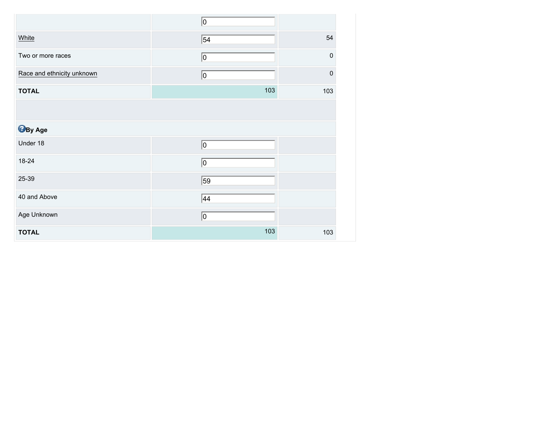|                            | 0               |             |
|----------------------------|-----------------|-------------|
| White                      | $\overline{54}$ | 54          |
| Two or more races          | 0               | $\mathbf 0$ |
| Race and ethnicity unknown | 0               | $\mathbf 0$ |
| <b>TOTAL</b>               | 103             | 103         |
|                            |                 |             |
| <b>By Age</b>              |                 |             |
| Under 18                   | 0               |             |
| 18-24                      | 0               |             |
| 25-39                      | 59              |             |
| 40 and Above               | 44              |             |
| Age Unknown                | 10              |             |
| <b>TOTAL</b>               | 103             | 103         |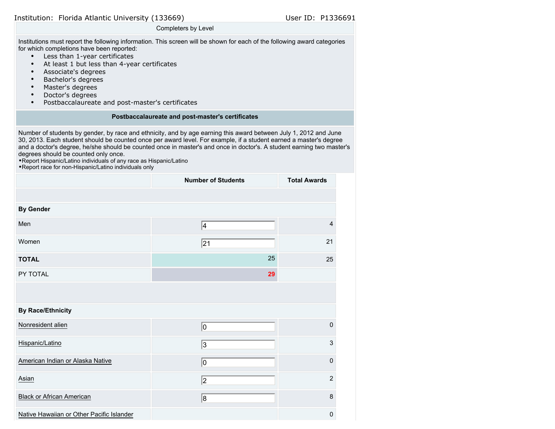#### Completers by Level

Institutions must report the following information. This screen will be shown for each of the following award categories for which completions have been reported:

- Less than 1-year certificates
- At least 1 but less than 4-year certificates
- Associate's degrees
- Bachelor's degrees
- Master's degrees
- Doctor's degrees
- Postbaccalaureate and post-master's certificates

#### **Postbaccalaureate and post-master's certificates**

Number of students by gender, by race and ethnicity, and by age earning this award between July 1, 2012 and June 30, 2013. Each student should be counted once per award level. For example, if a student earned a master's degree and a doctor's degree, he/she should be counted once in master's and once in doctor's. A student earning two master's degrees should be counted only once.

•Report Hispanic/Latino individuals of any race as Hispanic/Latino

|                                           | <b>Number of Students</b> | <b>Total Awards</b> |
|-------------------------------------------|---------------------------|---------------------|
|                                           |                           |                     |
| <b>By Gender</b>                          |                           |                     |
| Men                                       | 4                         | $\overline{4}$      |
| Women                                     | 21                        | 21                  |
| <b>TOTAL</b>                              | 25                        | 25                  |
| PY TOTAL                                  | 29                        |                     |
|                                           |                           |                     |
| <b>By Race/Ethnicity</b>                  |                           |                     |
| Nonresident alien                         | 10                        | $\mathbf 0$         |
| Hispanic/Latino                           | 3                         | 3                   |
| American Indian or Alaska Native          | 0                         | $\mathbf 0$         |
| Asian                                     | 2                         | $\overline{2}$      |
| <b>Black or African American</b>          | 8                         | 8                   |
| Native Hawaiian or Other Pacific Islander |                           | $\mathbf 0$         |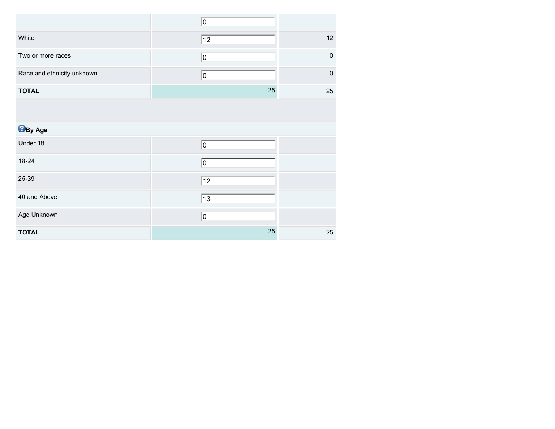|                            | O  |             |
|----------------------------|----|-------------|
| White                      | 12 | 12          |
| Two or more races          | 0  | $\mathbf 0$ |
| Race and ethnicity unknown | 0  | $\mathbf 0$ |
| <b>TOTAL</b>               | 25 | 25          |
|                            |    |             |
| <b>B</b> By Age            |    |             |
| Under 18                   | O  |             |
| 18-24                      | 0  |             |
| 25-39                      | 12 |             |
| 40 and Above               | 13 |             |
| Age Unknown                | 0  |             |
| <b>TOTAL</b>               | 25 | 25          |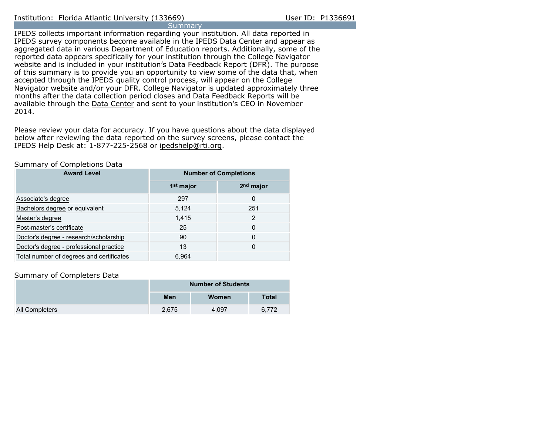#### Institution: Florida Atlantic University (133669) User ID: P1336691 **Summary**

IPEDS collects important information regarding your institution. All data reported in IPEDS survey components become available in the IPEDS Data Center and appear as aggregated data in various Department of Education reports. Additionally, some of the reported data appears specifically for your institution through the College Navigator website and is included in your institution's Data Feedback Report (DFR). The purpose of this summary is to provide you an opportunity to view some of the data that, when accepted through the IPEDS quality control process, will appear on the College Navigator website and/or your DFR. College Navigator is updated approximately three months after the data collection period closes and Data Feedback Reports will be available through the [Data Center](http://nces.ed.gov/ipeds/datacenter/) and sent to your institution's CEO in November 2014.

Please review your data for accuracy. If you have questions about the data displayed below after reviewing the data reported on the survey screens, please contact the IPEDS Help Desk at: 1-877-225-2568 or ipedshelp@rti.org.

#### Summary of Completions Data

| <b>Award Level</b>                       | <b>Number of Completions</b> |             |  |
|------------------------------------------|------------------------------|-------------|--|
|                                          | 1 <sup>st</sup> major        | $2nd$ major |  |
| Associate's degree                       | 297                          | 0           |  |
| Bachelors degree or equivalent           | 5,124                        | 251         |  |
| Master's degree                          | 1,415                        | 2           |  |
| Post-master's certificate                | 25                           | 0           |  |
| Doctor's degree - research/scholarship   | 90                           | 0           |  |
| Doctor's degree - professional practice  | 13                           | 0           |  |
| Total number of degrees and certificates | 6.964                        |             |  |

#### Summary of Completers Data

|                |       | <b>Number of Students</b> |              |
|----------------|-------|---------------------------|--------------|
|                | Men   | Women                     | <b>Total</b> |
| All Completers | 2.675 | 4.097                     | 6.772        |